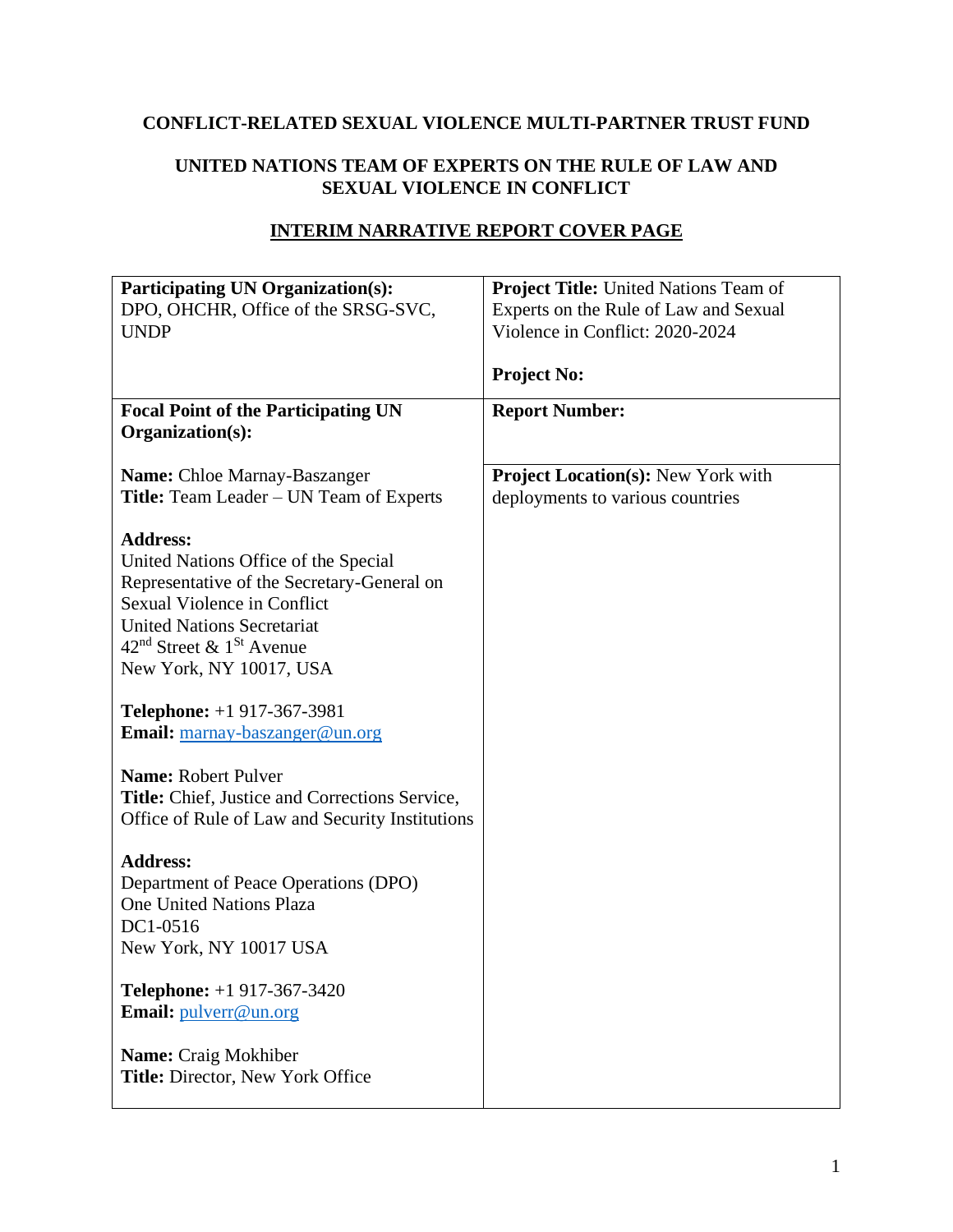# **CONFLICT-RELATED SEXUAL VIOLENCE MULTI-PARTNER TRUST FUND**

## **UNITED NATIONS TEAM OF EXPERTS ON THE RULE OF LAW AND SEXUAL VIOLENCE IN CONFLICT**

| <b>Participating UN Organization(s):</b><br>DPO, OHCHR, Office of the SRSG-SVC,                                                                                                                                                             | <b>Project Title:</b> United Nations Team of<br>Experts on the Rule of Law and Sexual |
|---------------------------------------------------------------------------------------------------------------------------------------------------------------------------------------------------------------------------------------------|---------------------------------------------------------------------------------------|
| <b>UNDP</b>                                                                                                                                                                                                                                 | Violence in Conflict: 2020-2024                                                       |
|                                                                                                                                                                                                                                             | <b>Project No:</b>                                                                    |
| <b>Focal Point of the Participating UN</b><br>Organization(s):                                                                                                                                                                              | <b>Report Number:</b>                                                                 |
| <b>Name:</b> Chloe Marnay-Baszanger<br>Title: Team Leader - UN Team of Experts                                                                                                                                                              | <b>Project Location(s): New York with</b><br>deployments to various countries         |
| <b>Address:</b><br>United Nations Office of the Special<br>Representative of the Secretary-General on<br><b>Sexual Violence in Conflict</b><br><b>United Nations Secretariat</b><br>$42nd$ Street & $1St$ Avenue<br>New York, NY 10017, USA |                                                                                       |
| Telephone: $+1917-367-3981$<br>Email: marnay-baszanger@un.org                                                                                                                                                                               |                                                                                       |
| Name: Robert Pulver<br><b>Title:</b> Chief, Justice and Corrections Service,<br>Office of Rule of Law and Security Institutions                                                                                                             |                                                                                       |
| <b>Address:</b><br>Department of Peace Operations (DPO)<br><b>One United Nations Plaza</b><br>DC1-0516<br>New York, NY 10017 USA                                                                                                            |                                                                                       |
| Telephone: +1 917-367-3420<br>Email: pulverr@un.org                                                                                                                                                                                         |                                                                                       |
| <b>Name:</b> Craig Mokhiber<br>Title: Director, New York Office                                                                                                                                                                             |                                                                                       |

### **INTERIM NARRATIVE REPORT COVER PAGE**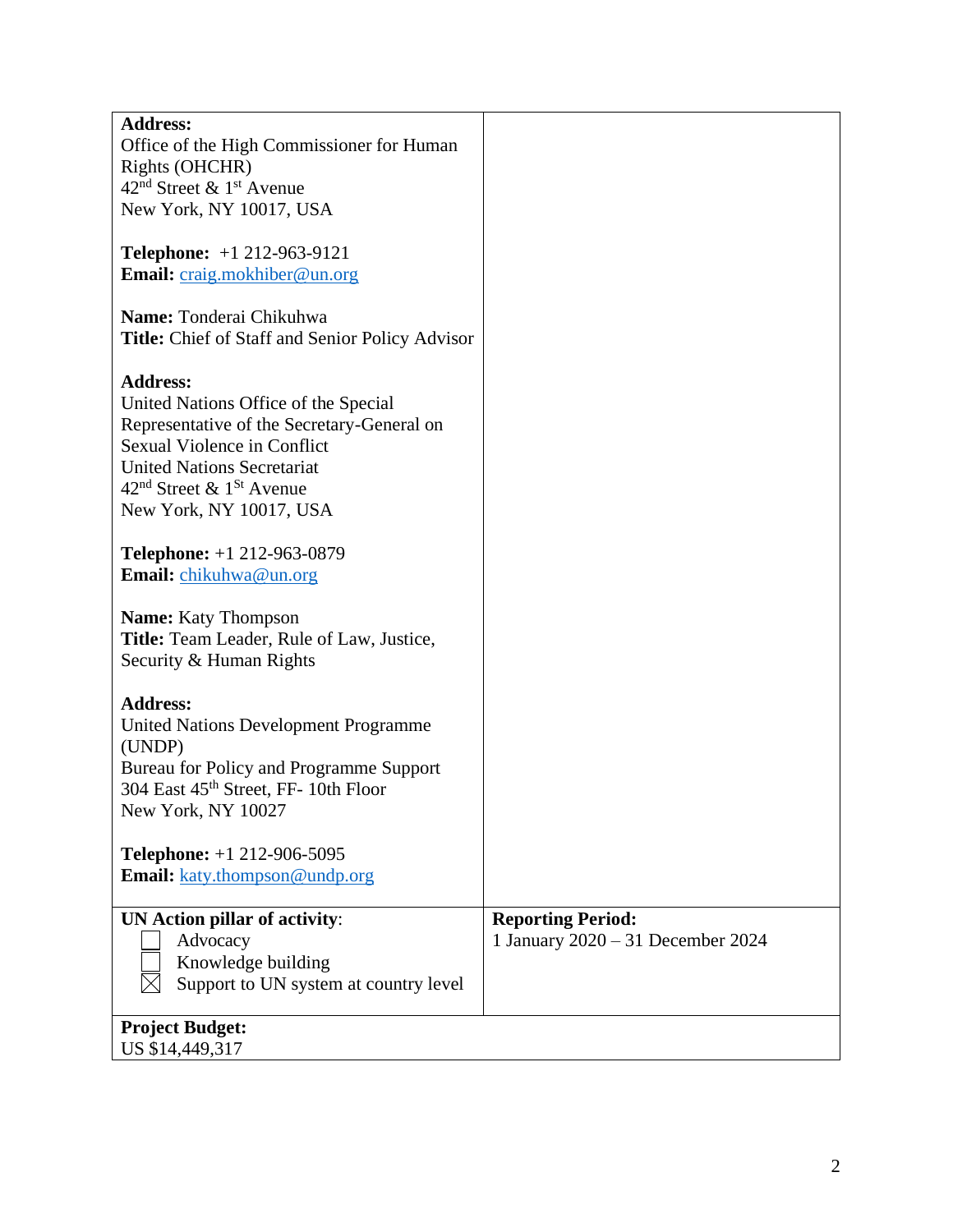| <b>Address:</b>                                 |                                   |
|-------------------------------------------------|-----------------------------------|
| Office of the High Commissioner for Human       |                                   |
| Rights (OHCHR)                                  |                                   |
| $42nd$ Street & 1 <sup>st</sup> Avenue          |                                   |
|                                                 |                                   |
| New York, NY 10017, USA                         |                                   |
|                                                 |                                   |
| <b>Telephone:</b> $+1$ 212-963-9121             |                                   |
| <b>Email:</b> craig.mokhiber@un.org             |                                   |
|                                                 |                                   |
| Name: Tonderai Chikuhwa                         |                                   |
|                                                 |                                   |
| Title: Chief of Staff and Senior Policy Advisor |                                   |
|                                                 |                                   |
| <b>Address:</b>                                 |                                   |
| United Nations Office of the Special            |                                   |
| Representative of the Secretary-General on      |                                   |
|                                                 |                                   |
| Sexual Violence in Conflict                     |                                   |
| <b>United Nations Secretariat</b>               |                                   |
| $42nd$ Street & $1St$ Avenue                    |                                   |
| New York, NY 10017, USA                         |                                   |
|                                                 |                                   |
|                                                 |                                   |
| Telephone: +1 212-963-0879                      |                                   |
| Email: chikuhwa@un.org                          |                                   |
|                                                 |                                   |
| <b>Name:</b> Katy Thompson                      |                                   |
| Title: Team Leader, Rule of Law, Justice,       |                                   |
|                                                 |                                   |
| Security & Human Rights                         |                                   |
|                                                 |                                   |
| <b>Address:</b>                                 |                                   |
| <b>United Nations Development Programme</b>     |                                   |
| (UNDP)                                          |                                   |
| Bureau for Policy and Programme Support         |                                   |
|                                                 |                                   |
| 304 East 45th Street, FF-10th Floor             |                                   |
| New York, NY 10027                              |                                   |
|                                                 |                                   |
| <b>Telephone:</b> $+1$ 212-906-5095             |                                   |
| <b>Email:</b> katy.thompson@undp.org            |                                   |
|                                                 |                                   |
| <b>UN Action pillar of activity:</b>            | <b>Reporting Period:</b>          |
|                                                 |                                   |
| Advocacy                                        | 1 January 2020 - 31 December 2024 |
| Knowledge building                              |                                   |
| Support to UN system at country level           |                                   |
|                                                 |                                   |
| <b>Project Budget:</b>                          |                                   |
| US \$14,449,317                                 |                                   |
|                                                 |                                   |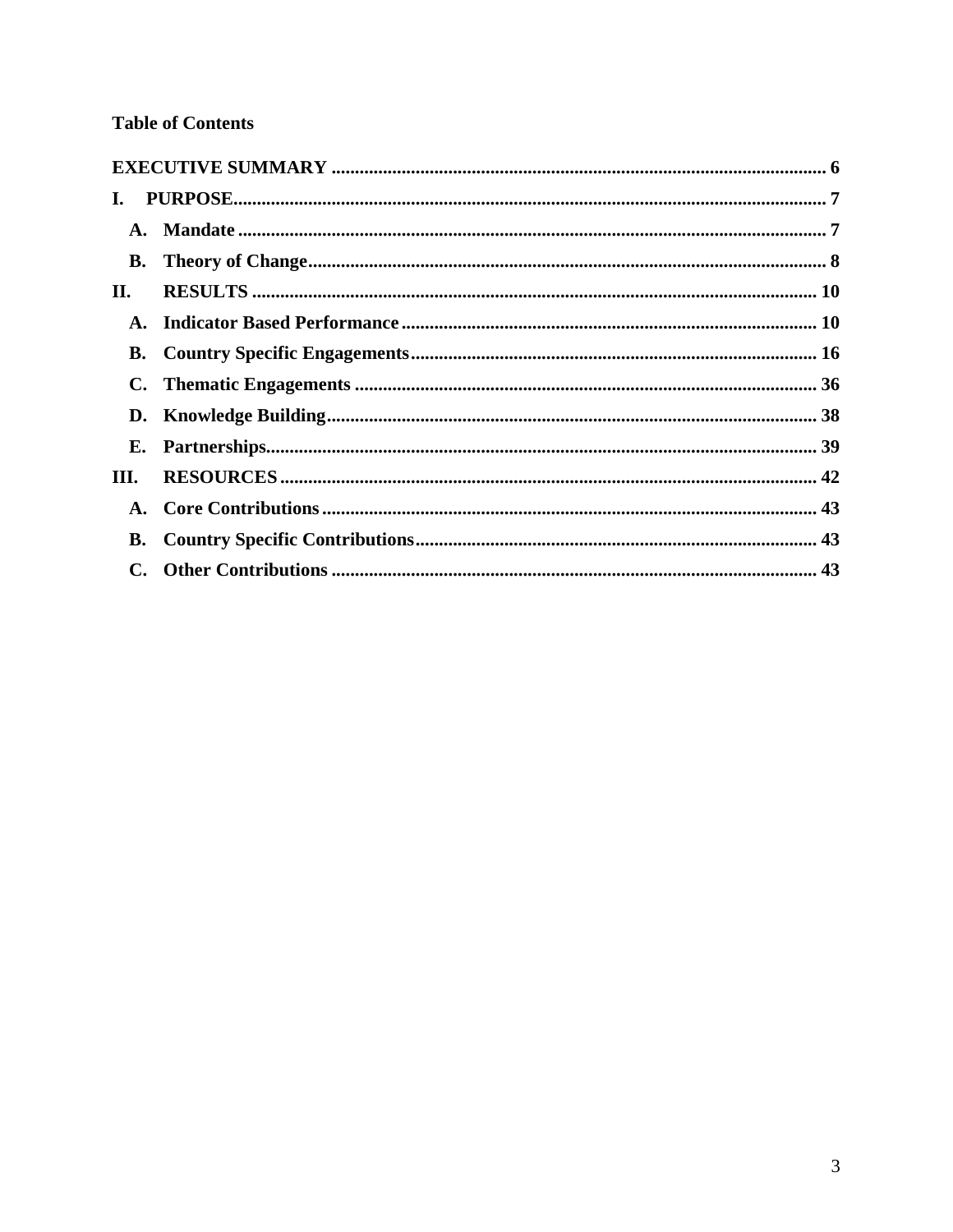## **Table of Contents**

| I. |           |  |
|----|-----------|--|
|    |           |  |
|    |           |  |
| П. |           |  |
|    |           |  |
|    |           |  |
|    |           |  |
|    |           |  |
|    |           |  |
| Ш. |           |  |
|    |           |  |
|    | <b>B.</b> |  |
|    |           |  |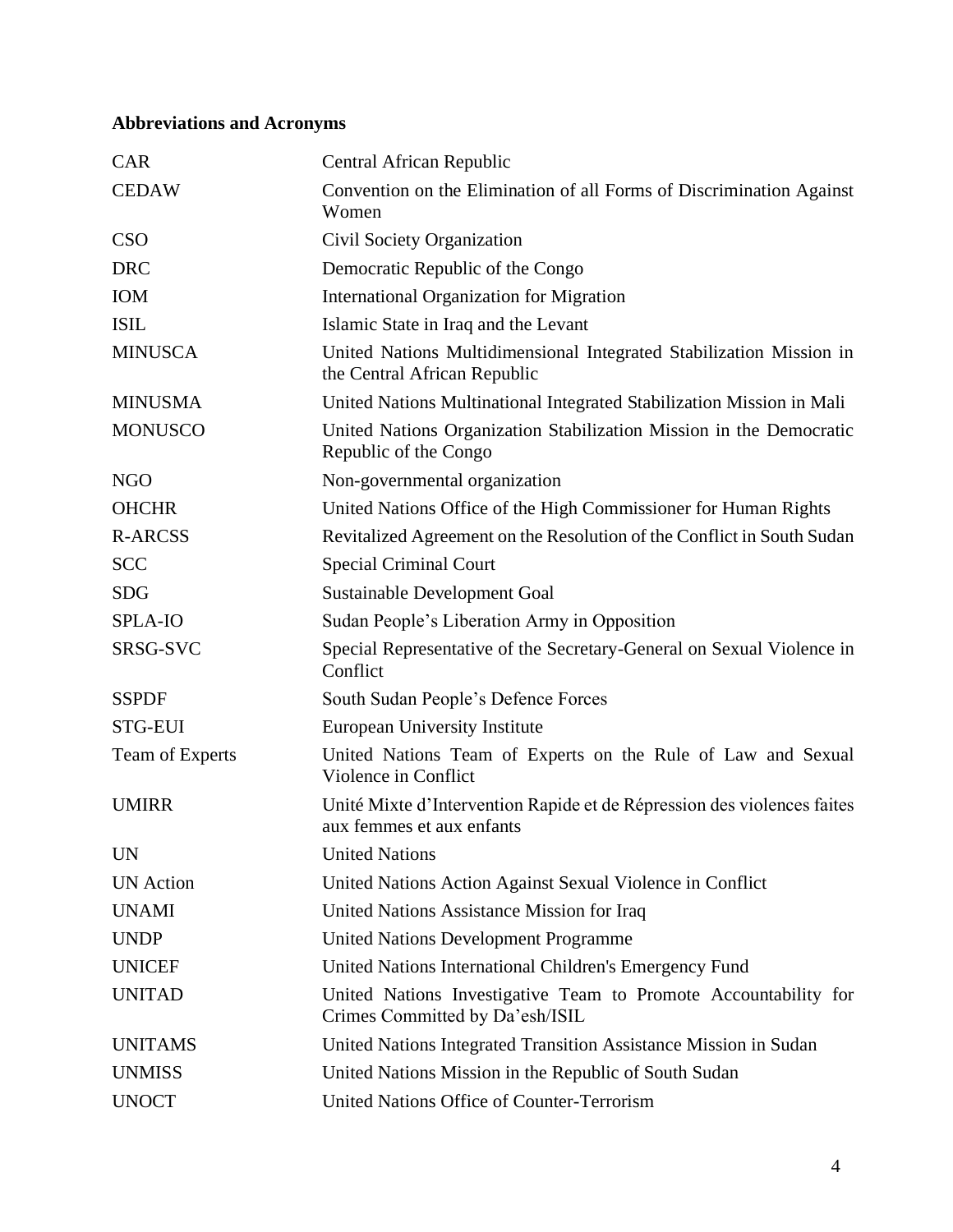# **Abbreviations and Acronyms**

| <b>CAR</b>       | Central African Republic                                                                             |  |
|------------------|------------------------------------------------------------------------------------------------------|--|
| <b>CEDAW</b>     | Convention on the Elimination of all Forms of Discrimination Against<br>Women                        |  |
| <b>CSO</b>       | Civil Society Organization                                                                           |  |
| <b>DRC</b>       | Democratic Republic of the Congo                                                                     |  |
| <b>IOM</b>       | International Organization for Migration                                                             |  |
| <b>ISIL</b>      | Islamic State in Iraq and the Levant                                                                 |  |
| <b>MINUSCA</b>   | United Nations Multidimensional Integrated Stabilization Mission in<br>the Central African Republic  |  |
| <b>MINUSMA</b>   | United Nations Multinational Integrated Stabilization Mission in Mali                                |  |
| <b>MONUSCO</b>   | United Nations Organization Stabilization Mission in the Democratic<br>Republic of the Congo         |  |
| <b>NGO</b>       | Non-governmental organization                                                                        |  |
| <b>OHCHR</b>     | United Nations Office of the High Commissioner for Human Rights                                      |  |
| <b>R-ARCSS</b>   | Revitalized Agreement on the Resolution of the Conflict in South Sudan                               |  |
| <b>SCC</b>       | <b>Special Criminal Court</b>                                                                        |  |
| <b>SDG</b>       | Sustainable Development Goal                                                                         |  |
| <b>SPLA-IO</b>   | Sudan People's Liberation Army in Opposition                                                         |  |
| SRSG-SVC         | Special Representative of the Secretary-General on Sexual Violence in<br>Conflict                    |  |
| <b>SSPDF</b>     | South Sudan People's Defence Forces                                                                  |  |
| STG-EUI          | <b>European University Institute</b>                                                                 |  |
| Team of Experts  | United Nations Team of Experts on the Rule of Law and Sexual<br>Violence in Conflict                 |  |
| <b>UMIRR</b>     | Unité Mixte d'Intervention Rapide et de Répression des violences faites<br>aux femmes et aux enfants |  |
| UN               | <b>United Nations</b>                                                                                |  |
| <b>UN</b> Action | United Nations Action Against Sexual Violence in Conflict                                            |  |
| <b>UNAMI</b>     | United Nations Assistance Mission for Iraq                                                           |  |
| <b>UNDP</b>      | <b>United Nations Development Programme</b>                                                          |  |
| <b>UNICEF</b>    | United Nations International Children's Emergency Fund                                               |  |
| <b>UNITAD</b>    | United Nations Investigative Team to Promote Accountability for<br>Crimes Committed by Da'esh/ISIL   |  |
| <b>UNITAMS</b>   | United Nations Integrated Transition Assistance Mission in Sudan                                     |  |
| <b>UNMISS</b>    | United Nations Mission in the Republic of South Sudan                                                |  |
| <b>UNOCT</b>     | United Nations Office of Counter-Terrorism                                                           |  |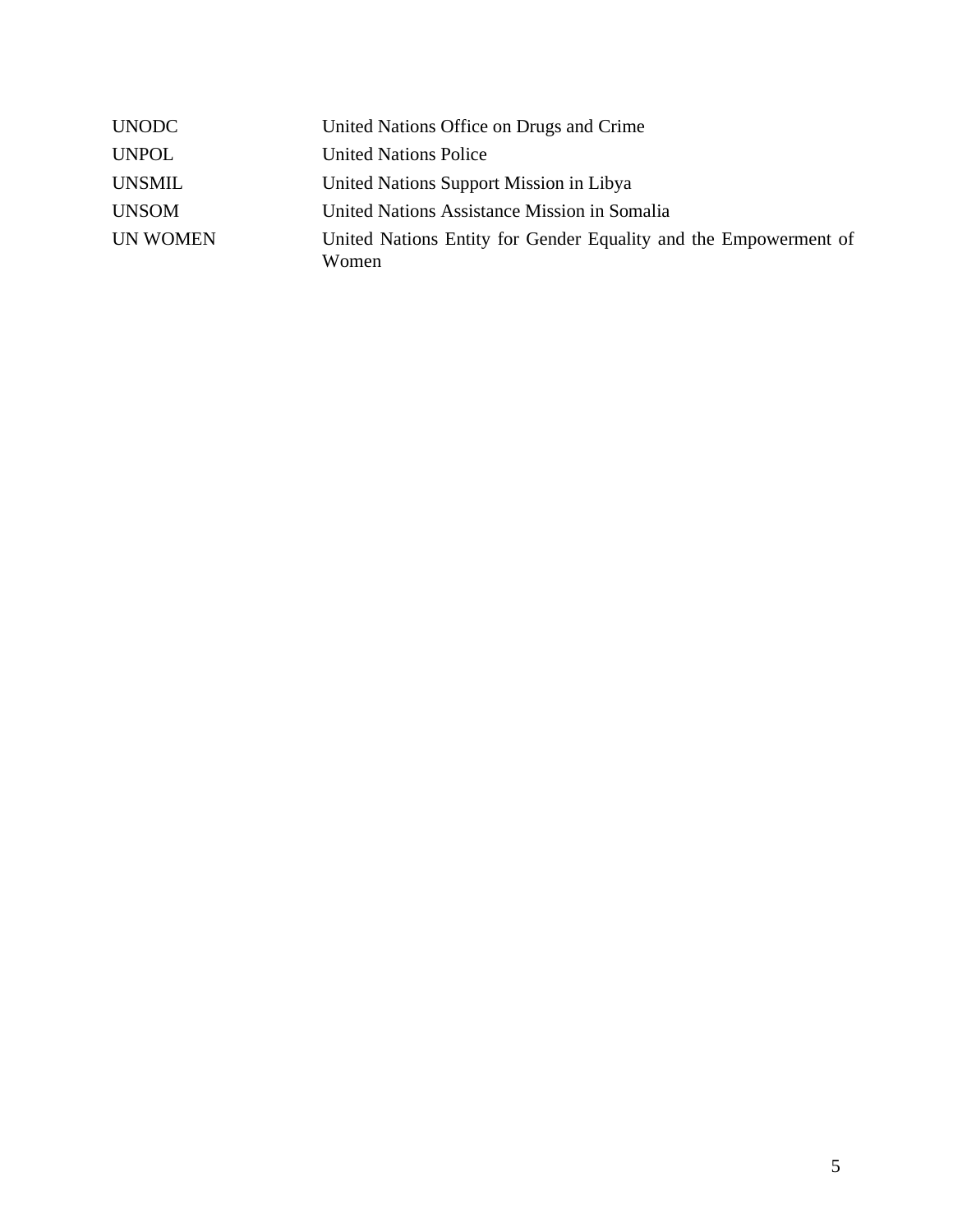| <b>UNODC</b>    | United Nations Office on Drugs and Crime                                  |
|-----------------|---------------------------------------------------------------------------|
| <b>UNPOL</b>    | <b>United Nations Police</b>                                              |
| <b>UNSMIL</b>   | United Nations Support Mission in Libya                                   |
| <b>UNSOM</b>    | United Nations Assistance Mission in Somalia                              |
| <b>UN WOMEN</b> | United Nations Entity for Gender Equality and the Empowerment of<br>Women |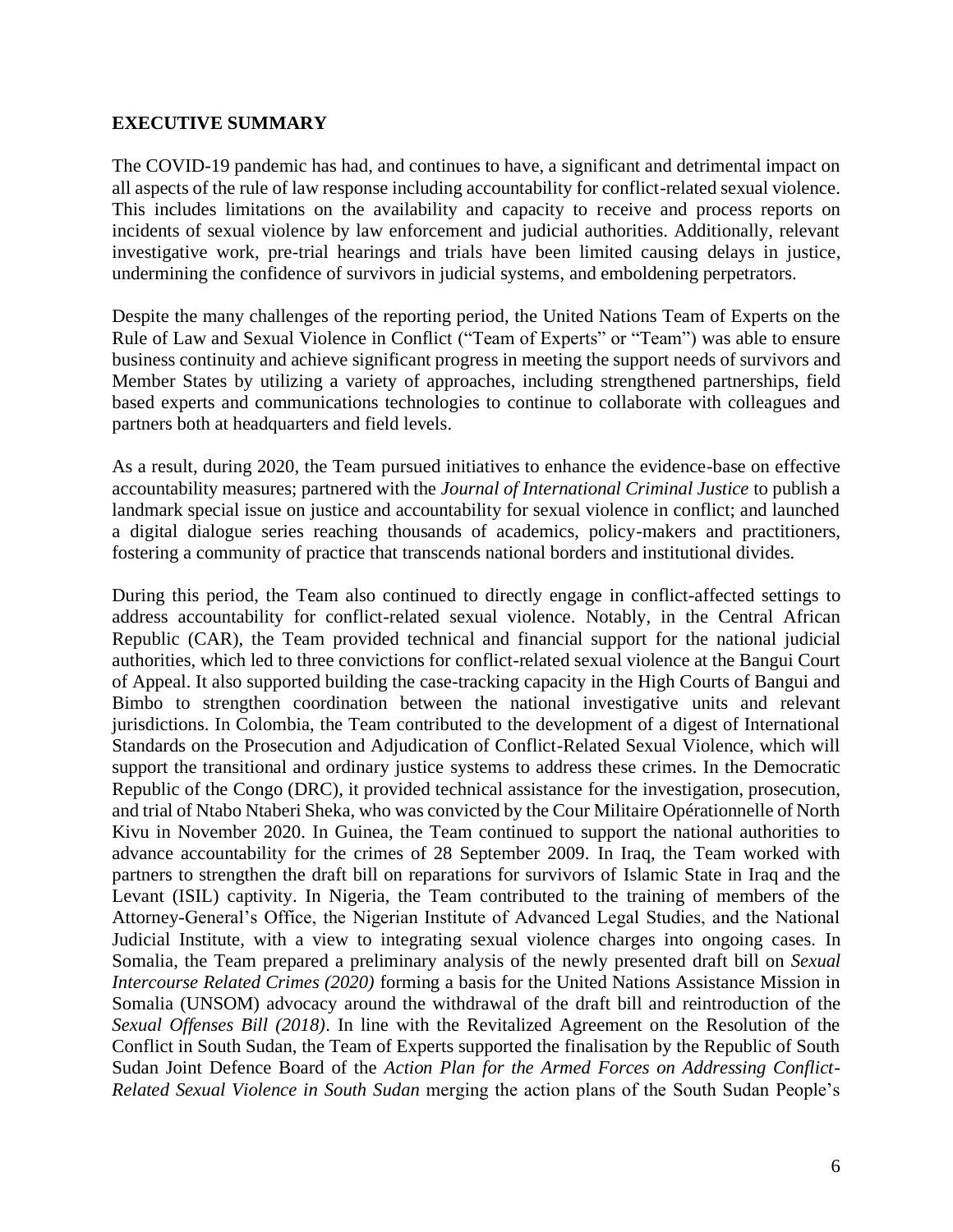#### <span id="page-5-0"></span>**EXECUTIVE SUMMARY**

The COVID-19 pandemic has had, and continues to have, a significant and detrimental impact on all aspects of the rule of law response including accountability for conflict-related sexual violence. This includes limitations on the availability and capacity to receive and process reports on incidents of sexual violence by law enforcement and judicial authorities. Additionally, relevant investigative work, pre-trial hearings and trials have been limited causing delays in justice, undermining the confidence of survivors in judicial systems, and emboldening perpetrators.

Despite the many challenges of the reporting period, the United Nations Team of Experts on the Rule of Law and Sexual Violence in Conflict ("Team of Experts" or "Team") was able to ensure business continuity and achieve significant progress in meeting the support needs of survivors and Member States by utilizing a variety of approaches, including strengthened partnerships, field based experts and communications technologies to continue to collaborate with colleagues and partners both at headquarters and field levels.

As a result, during 2020, the Team pursued initiatives to enhance the evidence-base on effective accountability measures; partnered with the *Journal of International Criminal Justice* to publish a landmark special issue on justice and accountability for sexual violence in conflict; and launched a digital dialogue series reaching thousands of academics, policy-makers and practitioners, fostering a community of practice that transcends national borders and institutional divides.

During this period, the Team also continued to directly engage in conflict-affected settings to address accountability for conflict-related sexual violence. Notably, in the Central African Republic (CAR), the Team provided technical and financial support for the national judicial authorities, which led to three convictions for conflict-related sexual violence at the Bangui Court of Appeal. It also supported building the case-tracking capacity in the High Courts of Bangui and Bimbo to strengthen coordination between the national investigative units and relevant jurisdictions. In Colombia, the Team contributed to the development of a digest of International Standards on the Prosecution and Adjudication of Conflict-Related Sexual Violence, which will support the transitional and ordinary justice systems to address these crimes. In the Democratic Republic of the Congo (DRC), it provided technical assistance for the investigation, prosecution, and trial of Ntabo Ntaberi Sheka, who was convicted by the Cour Militaire Opérationnelle of North Kivu in November 2020. In Guinea, the Team continued to support the national authorities to advance accountability for the crimes of 28 September 2009. In Iraq, the Team worked with partners to strengthen the draft bill on reparations for survivors of Islamic State in Iraq and the Levant (ISIL) captivity. In Nigeria, the Team contributed to the training of members of the Attorney-General's Office, the Nigerian Institute of Advanced Legal Studies, and the National Judicial Institute, with a view to integrating sexual violence charges into ongoing cases. In Somalia, the Team prepared a preliminary analysis of the newly presented draft bill on *Sexual Intercourse Related Crimes (2020)* forming a basis for the United Nations Assistance Mission in Somalia (UNSOM) advocacy around the withdrawal of the draft bill and reintroduction of the *Sexual Offenses Bill (2018)*. In line with the Revitalized Agreement on the Resolution of the Conflict in South Sudan, the Team of Experts supported the finalisation by the Republic of South Sudan Joint Defence Board of the *Action Plan for the Armed Forces on Addressing Conflict-Related Sexual Violence in South Sudan* merging the action plans of the South Sudan People's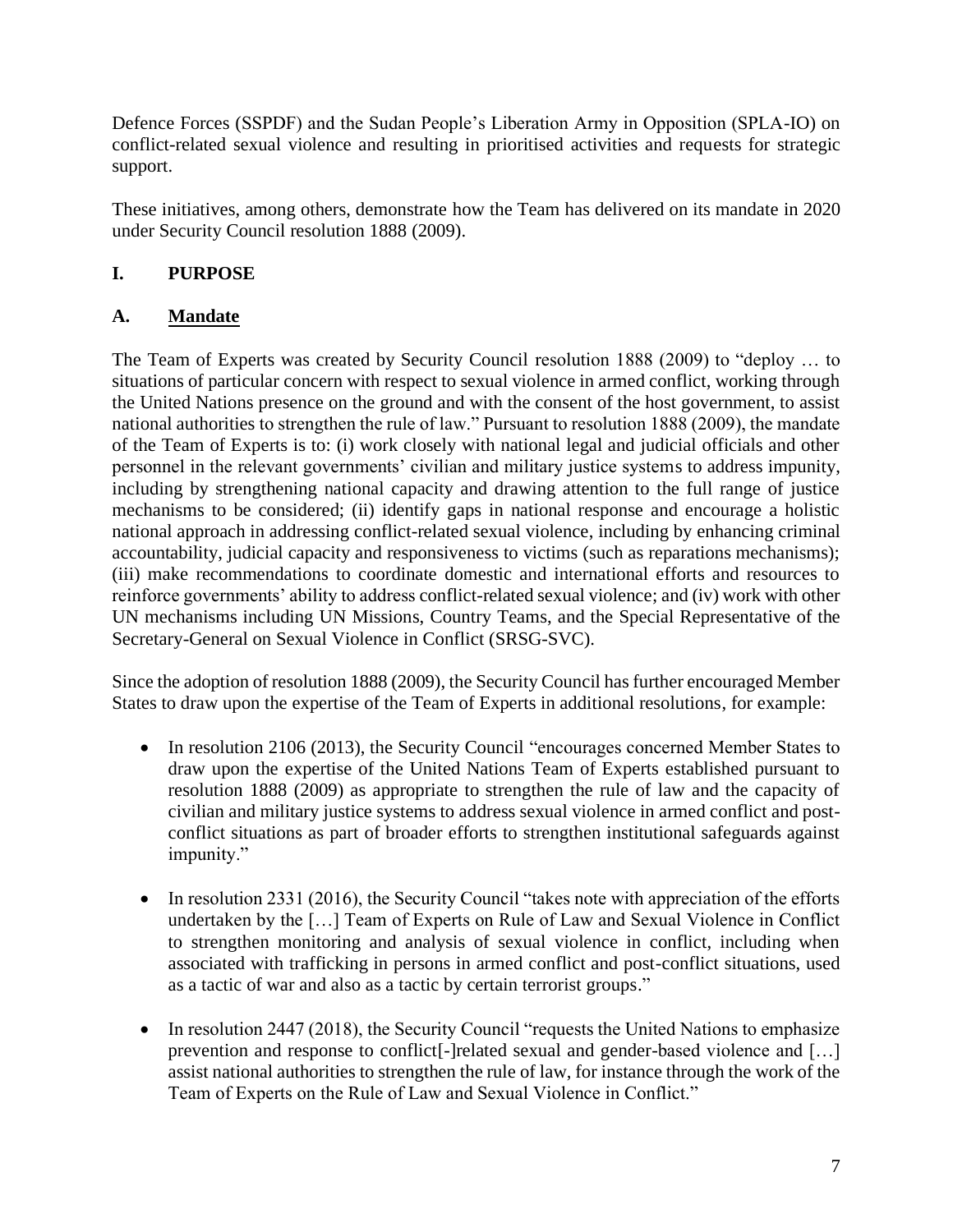Defence Forces (SSPDF) and the Sudan People's Liberation Army in Opposition (SPLA-IO) on conflict-related sexual violence and resulting in prioritised activities and requests for strategic support.

These initiatives, among others, demonstrate how the Team has delivered on its mandate in 2020 under Security Council resolution 1888 (2009).

# <span id="page-6-0"></span>**I. PURPOSE**

# <span id="page-6-1"></span>**A. Mandate**

The Team of Experts was created by Security Council resolution 1888 (2009) to "deploy … to situations of particular concern with respect to sexual violence in armed conflict, working through the United Nations presence on the ground and with the consent of the host government, to assist national authorities to strengthen the rule of law." Pursuant to resolution 1888 (2009), the mandate of the Team of Experts is to: (i) work closely with national legal and judicial officials and other personnel in the relevant governments' civilian and military justice systems to address impunity, including by strengthening national capacity and drawing attention to the full range of justice mechanisms to be considered; (ii) identify gaps in national response and encourage a holistic national approach in addressing conflict-related sexual violence, including by enhancing criminal accountability, judicial capacity and responsiveness to victims (such as reparations mechanisms); (iii) make recommendations to coordinate domestic and international efforts and resources to reinforce governments' ability to address conflict-related sexual violence; and (iv) work with other UN mechanisms including UN Missions, Country Teams, and the Special Representative of the Secretary-General on Sexual Violence in Conflict (SRSG-SVC).

Since the adoption of resolution 1888 (2009), the Security Council has further encouraged Member States to draw upon the expertise of the Team of Experts in additional resolutions, for example:

- In resolution 2106 (2013), the Security Council "encourages concerned Member States to draw upon the expertise of the United Nations Team of Experts established pursuant to resolution 1888 (2009) as appropriate to strengthen the rule of law and the capacity of civilian and military justice systems to address sexual violence in armed conflict and postconflict situations as part of broader efforts to strengthen institutional safeguards against impunity."
- In resolution 2331 (2016), the Security Council "takes note with appreciation of the efforts undertaken by the […] Team of Experts on Rule of Law and Sexual Violence in Conflict to strengthen monitoring and analysis of sexual violence in conflict, including when associated with trafficking in persons in armed conflict and post-conflict situations, used as a tactic of war and also as a tactic by certain terrorist groups."
- In resolution 2447 (2018), the Security Council "requests the United Nations to emphasize prevention and response to conflict[-]related sexual and gender-based violence and […] assist national authorities to strengthen the rule of law, for instance through the work of the Team of Experts on the Rule of Law and Sexual Violence in Conflict."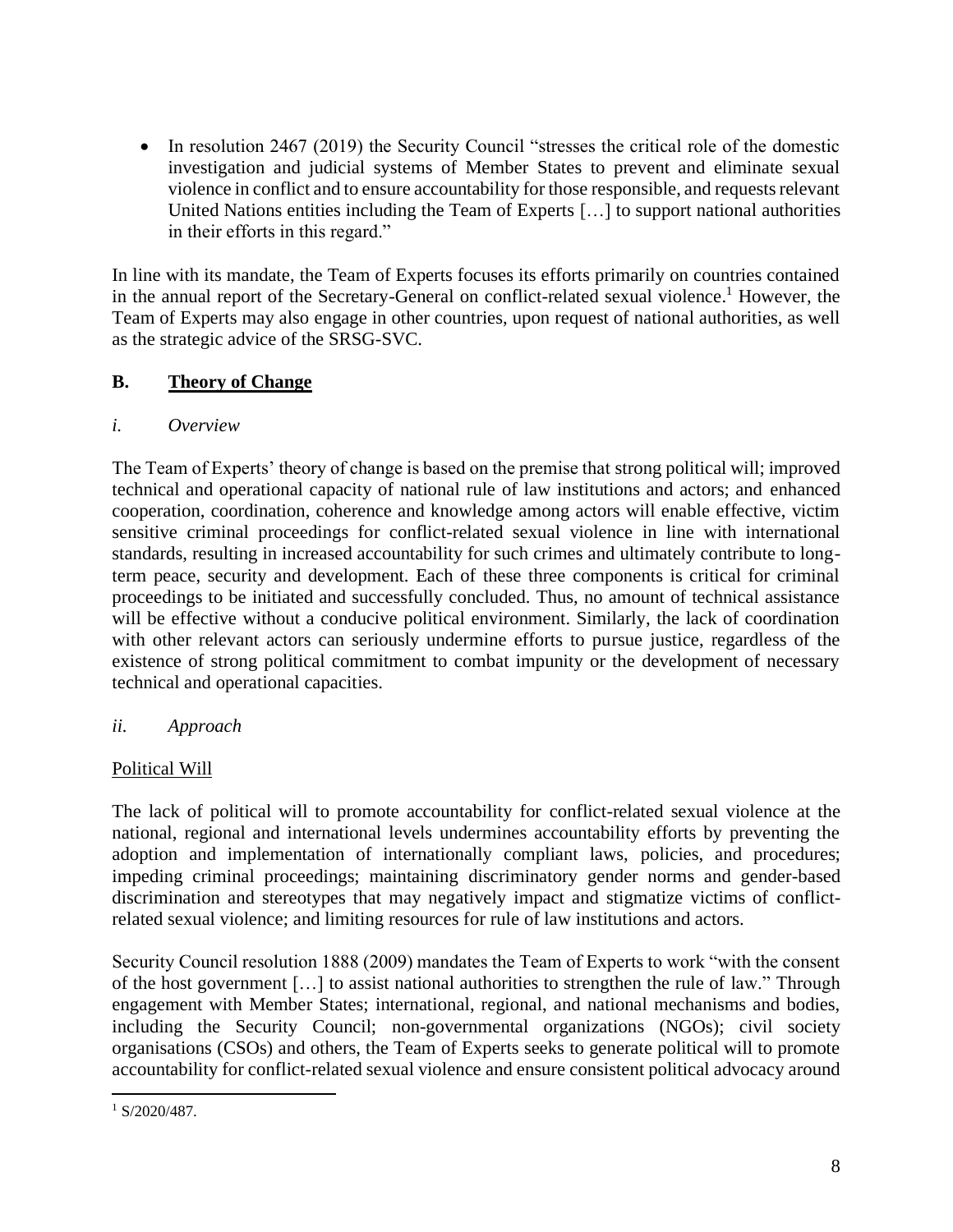• In resolution 2467 (2019) the Security Council "stresses the critical role of the domestic investigation and judicial systems of Member States to prevent and eliminate sexual violence in conflict and to ensure accountability for those responsible, and requests relevant United Nations entities including the Team of Experts […] to support national authorities in their efforts in this regard."

In line with its mandate, the Team of Experts focuses its efforts primarily on countries contained in the annual report of the Secretary-General on conflict-related sexual violence. <sup>1</sup> However, the Team of Experts may also engage in other countries, upon request of national authorities, as well as the strategic advice of the SRSG-SVC.

## <span id="page-7-0"></span>**B. Theory of Change**

## *i. Overview*

The Team of Experts' theory of change is based on the premise that strong political will; improved technical and operational capacity of national rule of law institutions and actors; and enhanced cooperation, coordination, coherence and knowledge among actors will enable effective, victim sensitive criminal proceedings for conflict-related sexual violence in line with international standards, resulting in increased accountability for such crimes and ultimately contribute to longterm peace, security and development. Each of these three components is critical for criminal proceedings to be initiated and successfully concluded. Thus, no amount of technical assistance will be effective without a conducive political environment. Similarly, the lack of coordination with other relevant actors can seriously undermine efforts to pursue justice, regardless of the existence of strong political commitment to combat impunity or the development of necessary technical and operational capacities.

## *ii. Approach*

## Political Will

The lack of political will to promote accountability for conflict-related sexual violence at the national, regional and international levels undermines accountability efforts by preventing the adoption and implementation of internationally compliant laws, policies, and procedures; impeding criminal proceedings; maintaining discriminatory gender norms and gender-based discrimination and stereotypes that may negatively impact and stigmatize victims of conflictrelated sexual violence; and limiting resources for rule of law institutions and actors.

Security Council resolution 1888 (2009) mandates the Team of Experts to work "with the consent of the host government […] to assist national authorities to strengthen the rule of law." Through engagement with Member States; international, regional, and national mechanisms and bodies, including the Security Council; non-governmental organizations (NGOs); civil society organisations (CSOs) and others, the Team of Experts seeks to generate political will to promote accountability for conflict-related sexual violence and ensure consistent political advocacy around

 $1$  S/2020/487.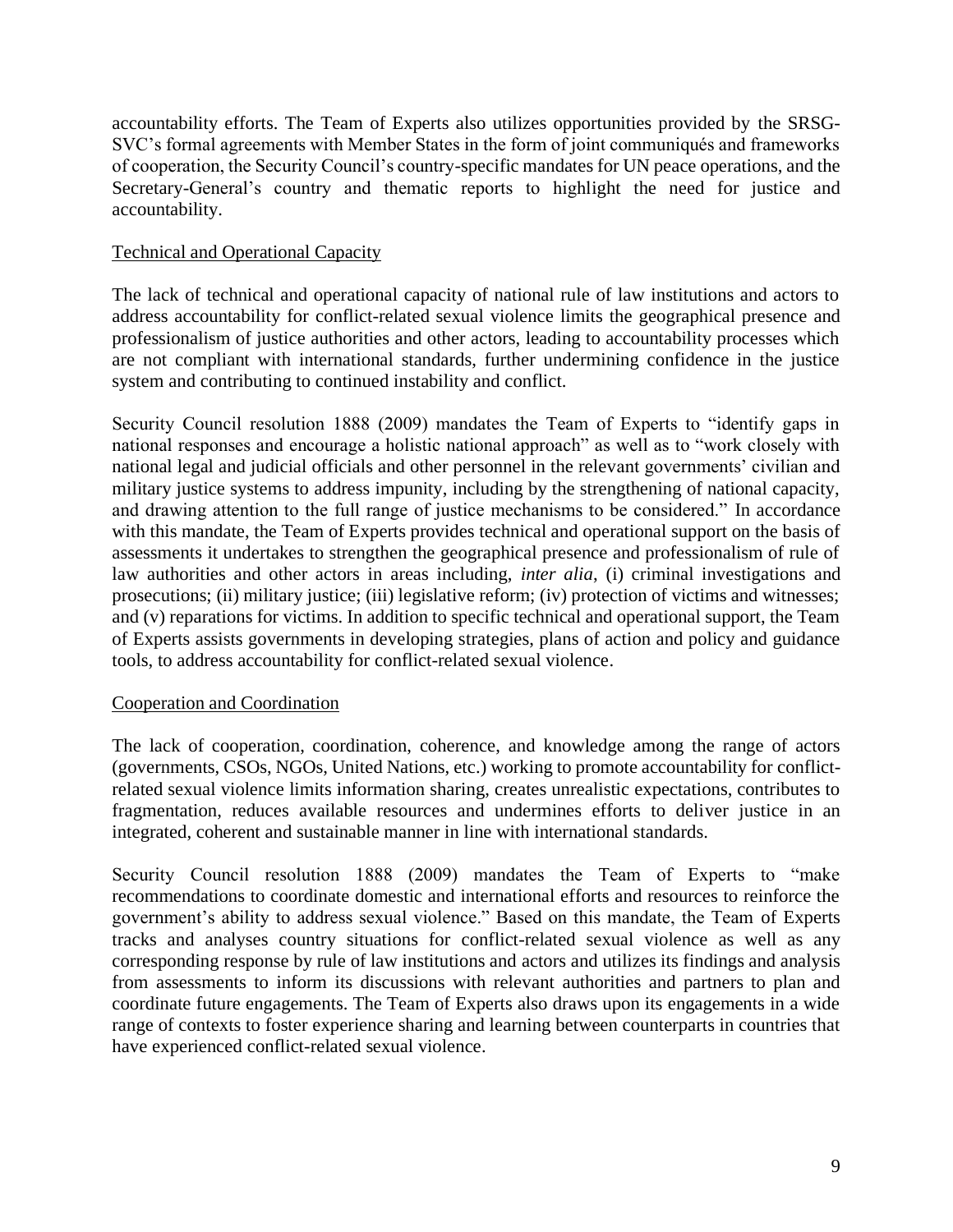accountability efforts. The Team of Experts also utilizes opportunities provided by the SRSG-SVC's formal agreements with Member States in the form of joint communiqués and frameworks of cooperation, the Security Council's country-specific mandates for UN peace operations, and the Secretary-General's country and thematic reports to highlight the need for justice and accountability.

### Technical and Operational Capacity

The lack of technical and operational capacity of national rule of law institutions and actors to address accountability for conflict-related sexual violence limits the geographical presence and professionalism of justice authorities and other actors, leading to accountability processes which are not compliant with international standards, further undermining confidence in the justice system and contributing to continued instability and conflict.

Security Council resolution 1888 (2009) mandates the Team of Experts to "identify gaps in national responses and encourage a holistic national approach" as well as to "work closely with national legal and judicial officials and other personnel in the relevant governments' civilian and military justice systems to address impunity, including by the strengthening of national capacity, and drawing attention to the full range of justice mechanisms to be considered." In accordance with this mandate, the Team of Experts provides technical and operational support on the basis of assessments it undertakes to strengthen the geographical presence and professionalism of rule of law authorities and other actors in areas including, *inter alia*, (i) criminal investigations and prosecutions; (ii) military justice; (iii) legislative reform; (iv) protection of victims and witnesses; and (v) reparations for victims. In addition to specific technical and operational support, the Team of Experts assists governments in developing strategies, plans of action and policy and guidance tools, to address accountability for conflict-related sexual violence.

#### Cooperation and Coordination

The lack of cooperation, coordination, coherence, and knowledge among the range of actors (governments, CSOs, NGOs, United Nations, etc.) working to promote accountability for conflictrelated sexual violence limits information sharing, creates unrealistic expectations, contributes to fragmentation, reduces available resources and undermines efforts to deliver justice in an integrated, coherent and sustainable manner in line with international standards.

Security Council resolution 1888 (2009) mandates the Team of Experts to "make recommendations to coordinate domestic and international efforts and resources to reinforce the government's ability to address sexual violence." Based on this mandate, the Team of Experts tracks and analyses country situations for conflict-related sexual violence as well as any corresponding response by rule of law institutions and actors and utilizes its findings and analysis from assessments to inform its discussions with relevant authorities and partners to plan and coordinate future engagements. The Team of Experts also draws upon its engagements in a wide range of contexts to foster experience sharing and learning between counterparts in countries that have experienced conflict-related sexual violence.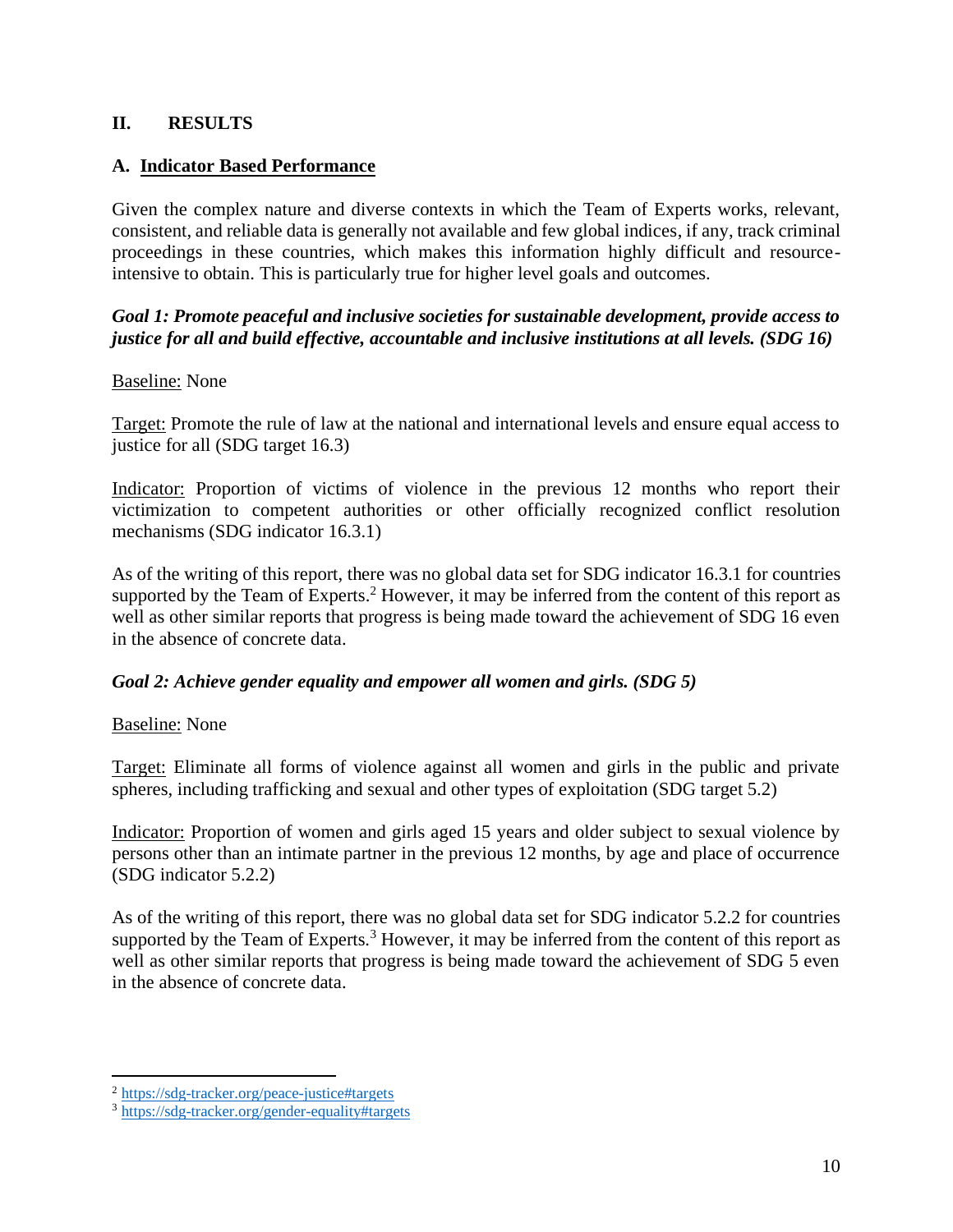### <span id="page-9-0"></span>**II. RESULTS**

### <span id="page-9-1"></span>**A. Indicator Based Performance**

Given the complex nature and diverse contexts in which the Team of Experts works, relevant, consistent, and reliable data is generally not available and few global indices, if any, track criminal proceedings in these countries, which makes this information highly difficult and resourceintensive to obtain. This is particularly true for higher level goals and outcomes.

### *Goal 1: Promote peaceful and inclusive societies for sustainable development, provide access to justice for all and build effective, accountable and inclusive institutions at all levels. (SDG 16)*

#### Baseline: None

Target: Promote the rule of law at the national and international levels and ensure equal access to justice for all (SDG target 16.3)

Indicator: Proportion of victims of violence in the previous 12 months who report their victimization to competent authorities or other officially recognized conflict resolution mechanisms (SDG indicator 16.3.1)

As of the writing of this report, there was no global data set for SDG indicator 16.3.1 for countries supported by the Team of Experts.<sup>2</sup> However, it may be inferred from the content of this report as well as other similar reports that progress is being made toward the achievement of SDG 16 even in the absence of concrete data.

#### *Goal 2: Achieve gender equality and empower all women and girls. (SDG 5)*

#### Baseline: None

Target: Eliminate all forms of violence against all women and girls in the public and private spheres, including trafficking and sexual and other types of exploitation (SDG target 5.2)

Indicator: Proportion of women and girls aged 15 years and older subject to sexual violence by persons other than an intimate partner in the previous 12 months, by age and place of occurrence (SDG indicator 5.2.2)

As of the writing of this report, there was no global data set for SDG indicator 5.2.2 for countries supported by the Team of Experts.<sup>3</sup> However, it may be inferred from the content of this report as well as other similar reports that progress is being made toward the achievement of SDG 5 even in the absence of concrete data.

<sup>2</sup> <https://sdg-tracker.org/peace-justice#targets>

<sup>3</sup> <https://sdg-tracker.org/gender-equality#targets>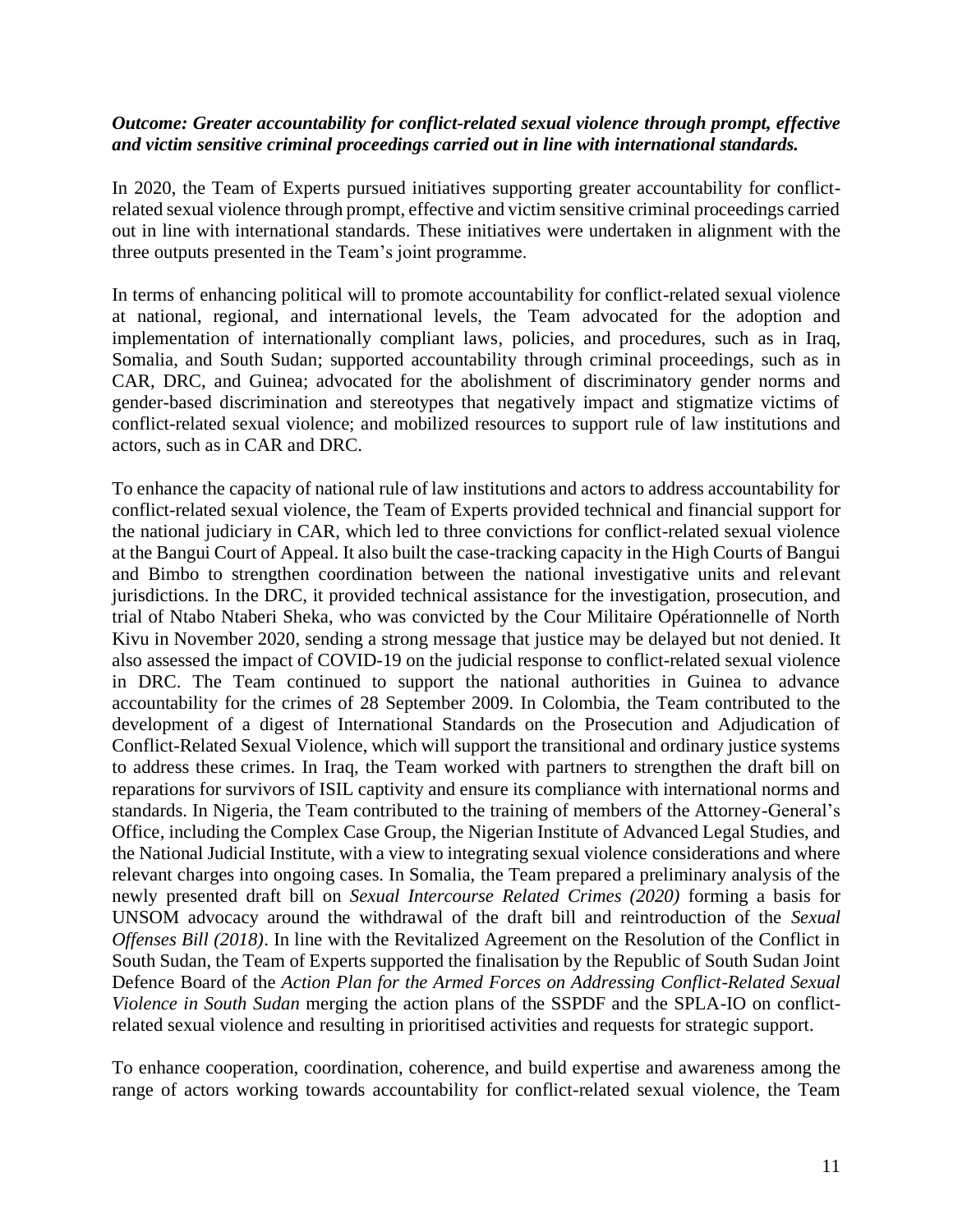#### *Outcome: Greater accountability for conflict-related sexual violence through prompt, effective and victim sensitive criminal proceedings carried out in line with international standards.*

In 2020, the Team of Experts pursued initiatives supporting greater accountability for conflictrelated sexual violence through prompt, effective and victim sensitive criminal proceedings carried out in line with international standards. These initiatives were undertaken in alignment with the three outputs presented in the Team's joint programme.

In terms of enhancing political will to promote accountability for conflict-related sexual violence at national, regional, and international levels, the Team advocated for the adoption and implementation of internationally compliant laws, policies, and procedures, such as in Iraq, Somalia, and South Sudan; supported accountability through criminal proceedings, such as in CAR, DRC, and Guinea; advocated for the abolishment of discriminatory gender norms and gender-based discrimination and stereotypes that negatively impact and stigmatize victims of conflict-related sexual violence; and mobilized resources to support rule of law institutions and actors, such as in CAR and DRC.

To enhance the capacity of national rule of law institutions and actors to address accountability for conflict-related sexual violence, the Team of Experts provided technical and financial support for the national judiciary in CAR, which led to three convictions for conflict-related sexual violence at the Bangui Court of Appeal. It also built the case-tracking capacity in the High Courts of Bangui and Bimbo to strengthen coordination between the national investigative units and relevant jurisdictions. In the DRC, it provided technical assistance for the investigation, prosecution, and trial of Ntabo Ntaberi Sheka, who was convicted by the Cour Militaire Opérationnelle of North Kivu in November 2020, sending a strong message that justice may be delayed but not denied. It also assessed the impact of COVID-19 on the judicial response to conflict-related sexual violence in DRC. The Team continued to support the national authorities in Guinea to advance accountability for the crimes of 28 September 2009. In Colombia, the Team contributed to the development of a digest of International Standards on the Prosecution and Adjudication of Conflict-Related Sexual Violence, which will support the transitional and ordinary justice systems to address these crimes. In Iraq, the Team worked with partners to strengthen the draft bill on reparations for survivors of ISIL captivity and ensure its compliance with international norms and standards. In Nigeria, the Team contributed to the training of members of the Attorney-General's Office, including the Complex Case Group, the Nigerian Institute of Advanced Legal Studies, and the National Judicial Institute, with a view to integrating sexual violence considerations and where relevant charges into ongoing cases. In Somalia, the Team prepared a preliminary analysis of the newly presented draft bill on *Sexual Intercourse Related Crimes (2020)* forming a basis for UNSOM advocacy around the withdrawal of the draft bill and reintroduction of the *Sexual Offenses Bill (2018)*. In line with the Revitalized Agreement on the Resolution of the Conflict in South Sudan, the Team of Experts supported the finalisation by the Republic of South Sudan Joint Defence Board of the *Action Plan for the Armed Forces on Addressing Conflict-Related Sexual Violence in South Sudan* merging the action plans of the SSPDF and the SPLA-IO on conflictrelated sexual violence and resulting in prioritised activities and requests for strategic support.

To enhance cooperation, coordination, coherence, and build expertise and awareness among the range of actors working towards accountability for conflict-related sexual violence, the Team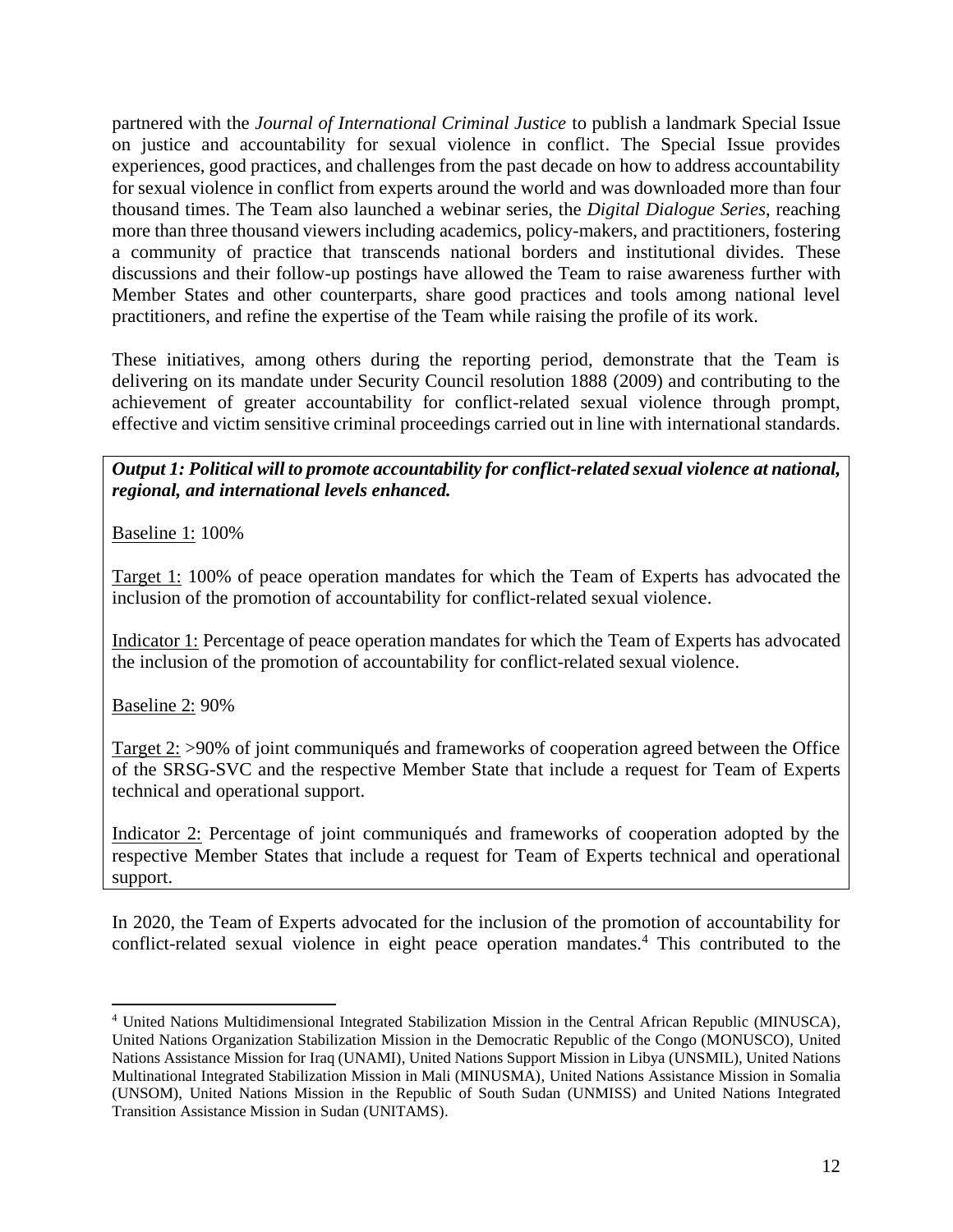partnered with the *Journal of International Criminal Justice* to publish a landmark Special Issue on justice and accountability for sexual violence in conflict. The Special Issue provides experiences, good practices, and challenges from the past decade on how to address accountability for sexual violence in conflict from experts around the world and was downloaded more than four thousand times. The Team also launched a webinar series, the *Digital Dialogue Series*, reaching more than three thousand viewers including academics, policy-makers, and practitioners, fostering a community of practice that transcends national borders and institutional divides. These discussions and their follow-up postings have allowed the Team to raise awareness further with Member States and other counterparts, share good practices and tools among national level practitioners, and refine the expertise of the Team while raising the profile of its work.

These initiatives, among others during the reporting period, demonstrate that the Team is delivering on its mandate under Security Council resolution 1888 (2009) and contributing to the achievement of greater accountability for conflict-related sexual violence through prompt, effective and victim sensitive criminal proceedings carried out in line with international standards.

*Output 1: Political will to promote accountability for conflict-related sexual violence at national, regional, and international levels enhanced.*

Baseline 1: 100%

Target 1: 100% of peace operation mandates for which the Team of Experts has advocated the inclusion of the promotion of accountability for conflict-related sexual violence.

Indicator 1: Percentage of peace operation mandates for which the Team of Experts has advocated the inclusion of the promotion of accountability for conflict-related sexual violence.

Baseline 2: 90%

Target 2: >90% of joint communiqués and frameworks of cooperation agreed between the Office of the SRSG-SVC and the respective Member State that include a request for Team of Experts technical and operational support.

Indicator 2: Percentage of joint communiqués and frameworks of cooperation adopted by the respective Member States that include a request for Team of Experts technical and operational support.

In 2020, the Team of Experts advocated for the inclusion of the promotion of accountability for conflict-related sexual violence in eight peace operation mandates.<sup>4</sup> This contributed to the

<sup>4</sup> United Nations Multidimensional Integrated Stabilization Mission in the Central African Republic (MINUSCA), United Nations Organization Stabilization Mission in the Democratic Republic of the Congo (MONUSCO), United Nations Assistance Mission for Iraq (UNAMI), United Nations Support Mission in Libya (UNSMIL), United Nations Multinational Integrated Stabilization Mission in Mali (MINUSMA), United Nations Assistance Mission in Somalia (UNSOM), United Nations Mission in the Republic of South Sudan (UNMISS) and United Nations Integrated Transition Assistance Mission in Sudan (UNITAMS).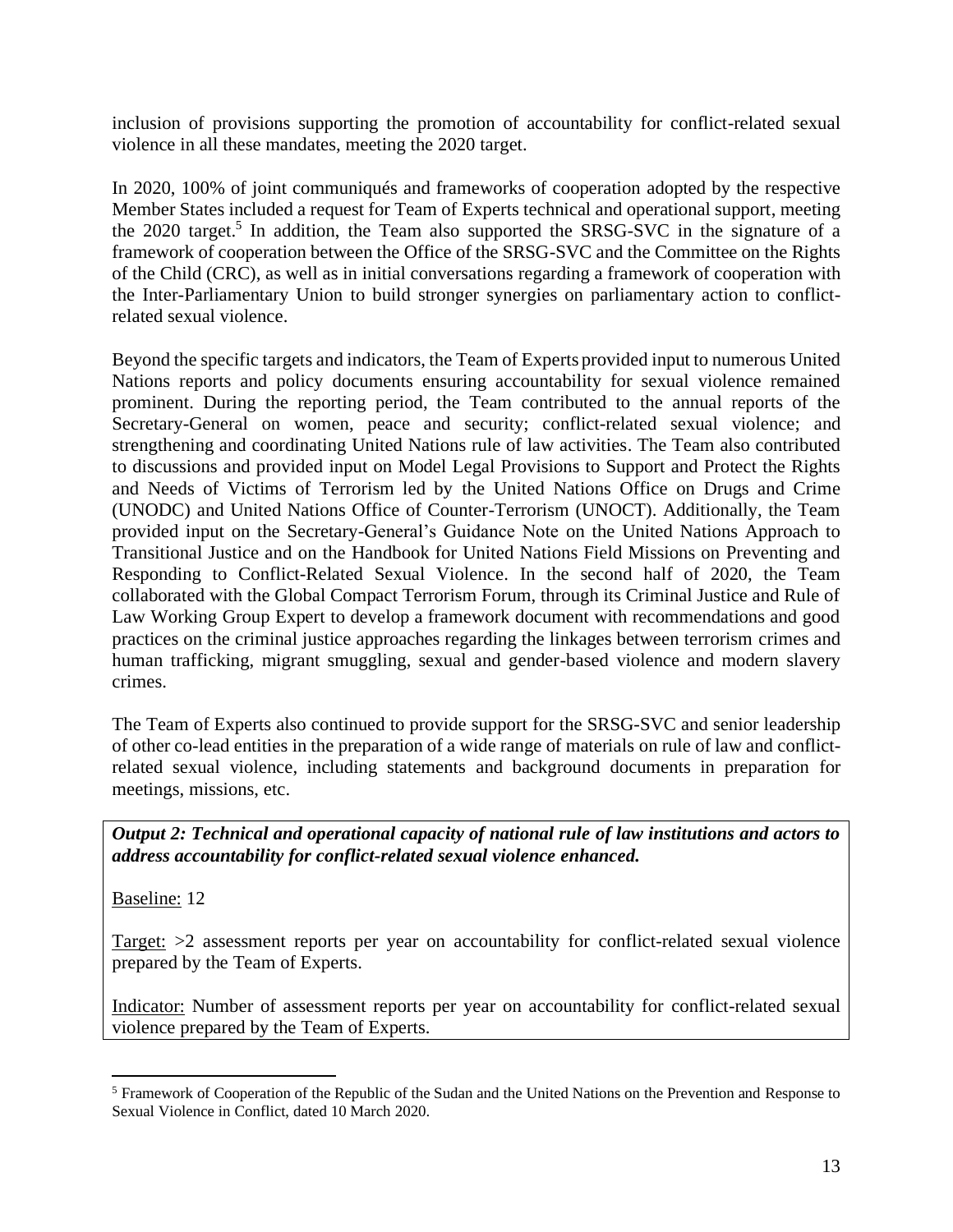inclusion of provisions supporting the promotion of accountability for conflict-related sexual violence in all these mandates, meeting the 2020 target.

In 2020, 100% of joint communiqués and frameworks of cooperation adopted by the respective Member States included a request for Team of Experts technical and operational support, meeting the 2020 target.<sup>5</sup> In addition, the Team also supported the SRSG-SVC in the signature of a framework of cooperation between the Office of the SRSG-SVC and the Committee on the Rights of the Child (CRC), as well as in initial conversations regarding a framework of cooperation with the Inter-Parliamentary Union to build stronger synergies on parliamentary action to conflictrelated sexual violence.

Beyond the specific targets and indicators, the Team of Experts provided input to numerous United Nations reports and policy documents ensuring accountability for sexual violence remained prominent. During the reporting period, the Team contributed to the annual reports of the Secretary-General on women, peace and security; conflict-related sexual violence; and strengthening and coordinating United Nations rule of law activities. The Team also contributed to discussions and provided input on Model Legal Provisions to Support and Protect the Rights and Needs of Victims of Terrorism led by the United Nations Office on Drugs and Crime (UNODC) and United Nations Office of Counter-Terrorism (UNOCT). Additionally, the Team provided input on the Secretary-General's Guidance Note on the United Nations Approach to Transitional Justice and on the Handbook for United Nations Field Missions on Preventing and Responding to Conflict-Related Sexual Violence. In the second half of 2020, the Team collaborated with the Global Compact Terrorism Forum, through its Criminal Justice and Rule of Law Working Group Expert to develop a framework document with recommendations and good practices on the criminal justice approaches regarding the linkages between terrorism crimes and human trafficking, migrant smuggling, sexual and gender-based violence and modern slavery crimes.

The Team of Experts also continued to provide support for the SRSG-SVC and senior leadership of other co-lead entities in the preparation of a wide range of materials on rule of law and conflictrelated sexual violence, including statements and background documents in preparation for meetings, missions, etc.

*Output 2: Technical and operational capacity of national rule of law institutions and actors to address accountability for conflict-related sexual violence enhanced.*

Baseline: 12

Target: >2 assessment reports per year on accountability for conflict-related sexual violence prepared by the Team of Experts.

Indicator: Number of assessment reports per year on accountability for conflict-related sexual violence prepared by the Team of Experts.

<sup>5</sup> Framework of Cooperation of the Republic of the Sudan and the United Nations on the Prevention and Response to Sexual Violence in Conflict, dated 10 March 2020.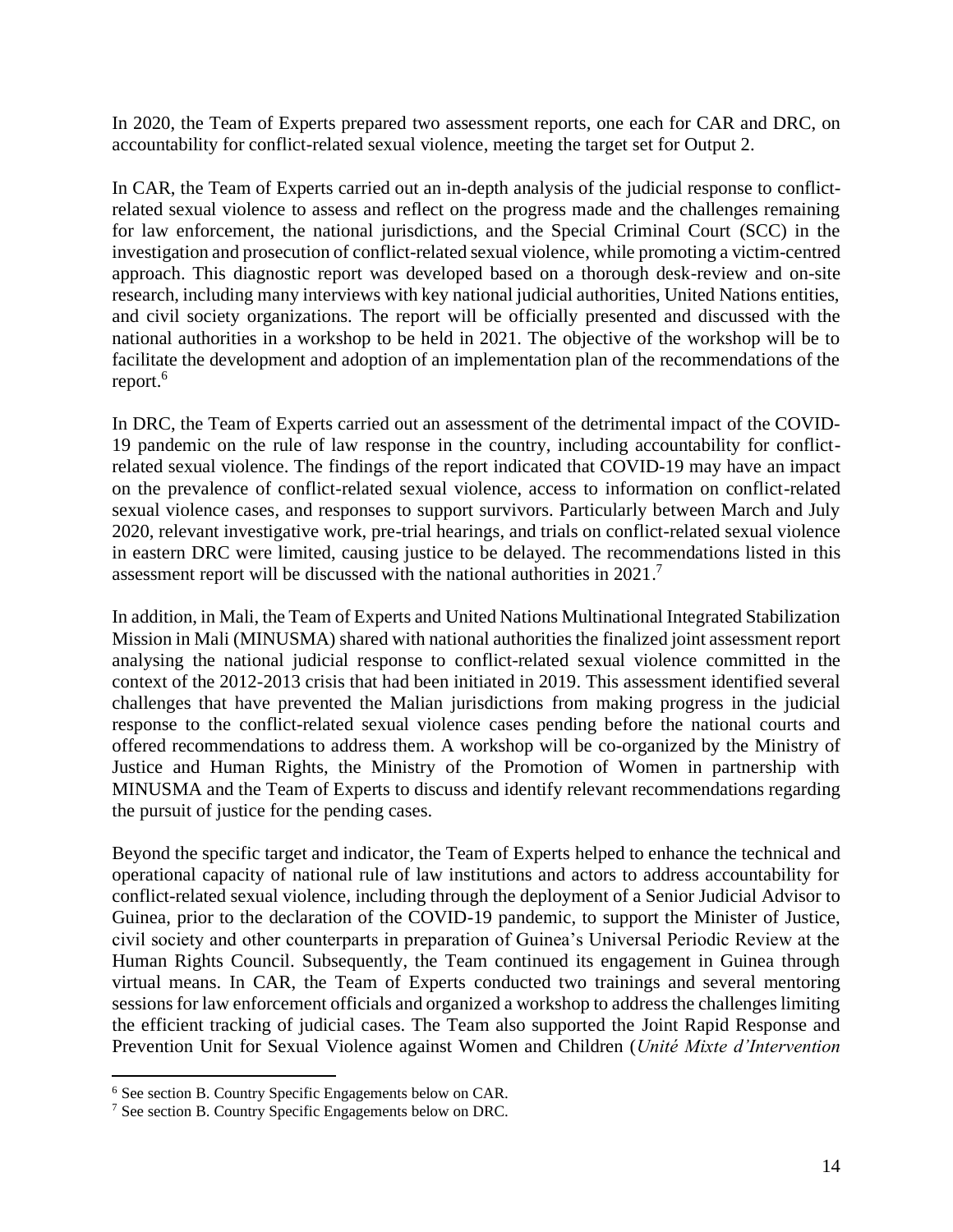In 2020, the Team of Experts prepared two assessment reports, one each for CAR and DRC, on accountability for conflict-related sexual violence, meeting the target set for Output 2.

In CAR, the Team of Experts carried out an in-depth analysis of the judicial response to conflictrelated sexual violence to assess and reflect on the progress made and the challenges remaining for law enforcement, the national jurisdictions, and the Special Criminal Court (SCC) in the investigation and prosecution of conflict-related sexual violence, while promoting a victim-centred approach. This diagnostic report was developed based on a thorough desk-review and on-site research, including many interviews with key national judicial authorities, United Nations entities, and civil society organizations. The report will be officially presented and discussed with the national authorities in a workshop to be held in 2021. The objective of the workshop will be to facilitate the development and adoption of an implementation plan of the recommendations of the report. 6

In DRC, the Team of Experts carried out an assessment of the detrimental impact of the COVID-19 pandemic on the rule of law response in the country, including accountability for conflictrelated sexual violence. The findings of the report indicated that COVID-19 may have an impact on the prevalence of conflict-related sexual violence, access to information on conflict-related sexual violence cases, and responses to support survivors. Particularly between March and July 2020, relevant investigative work, pre-trial hearings, and trials on conflict-related sexual violence in eastern DRC were limited, causing justice to be delayed. The recommendations listed in this assessment report will be discussed with the national authorities in 2021.<sup>7</sup>

In addition, in Mali, the Team of Experts and United Nations Multinational Integrated Stabilization Mission in Mali (MINUSMA) shared with national authorities the finalized joint assessment report analysing the national judicial response to conflict-related sexual violence committed in the context of the 2012-2013 crisis that had been initiated in 2019. This assessment identified several challenges that have prevented the Malian jurisdictions from making progress in the judicial response to the conflict-related sexual violence cases pending before the national courts and offered recommendations to address them. A workshop will be co-organized by the Ministry of Justice and Human Rights, the Ministry of the Promotion of Women in partnership with MINUSMA and the Team of Experts to discuss and identify relevant recommendations regarding the pursuit of justice for the pending cases.

Beyond the specific target and indicator, the Team of Experts helped to enhance the technical and operational capacity of national rule of law institutions and actors to address accountability for conflict-related sexual violence, including through the deployment of a Senior Judicial Advisor to Guinea, prior to the declaration of the COVID-19 pandemic, to support the Minister of Justice, civil society and other counterparts in preparation of Guinea's Universal Periodic Review at the Human Rights Council. Subsequently, the Team continued its engagement in Guinea through virtual means. In CAR, the Team of Experts conducted two trainings and several mentoring sessions for law enforcement officials and organized a workshop to address the challenges limiting the efficient tracking of judicial cases. The Team also supported the Joint Rapid Response and Prevention Unit for Sexual Violence against Women and Children (*Unité Mixte d'Intervention* 

<sup>6</sup> See sectio[n B. Country Specific Engagements](#page-15-0) below on CAR.

<sup>7</sup> See sectio[n B. Country Specific Engagements](#page-15-0) below on DRC.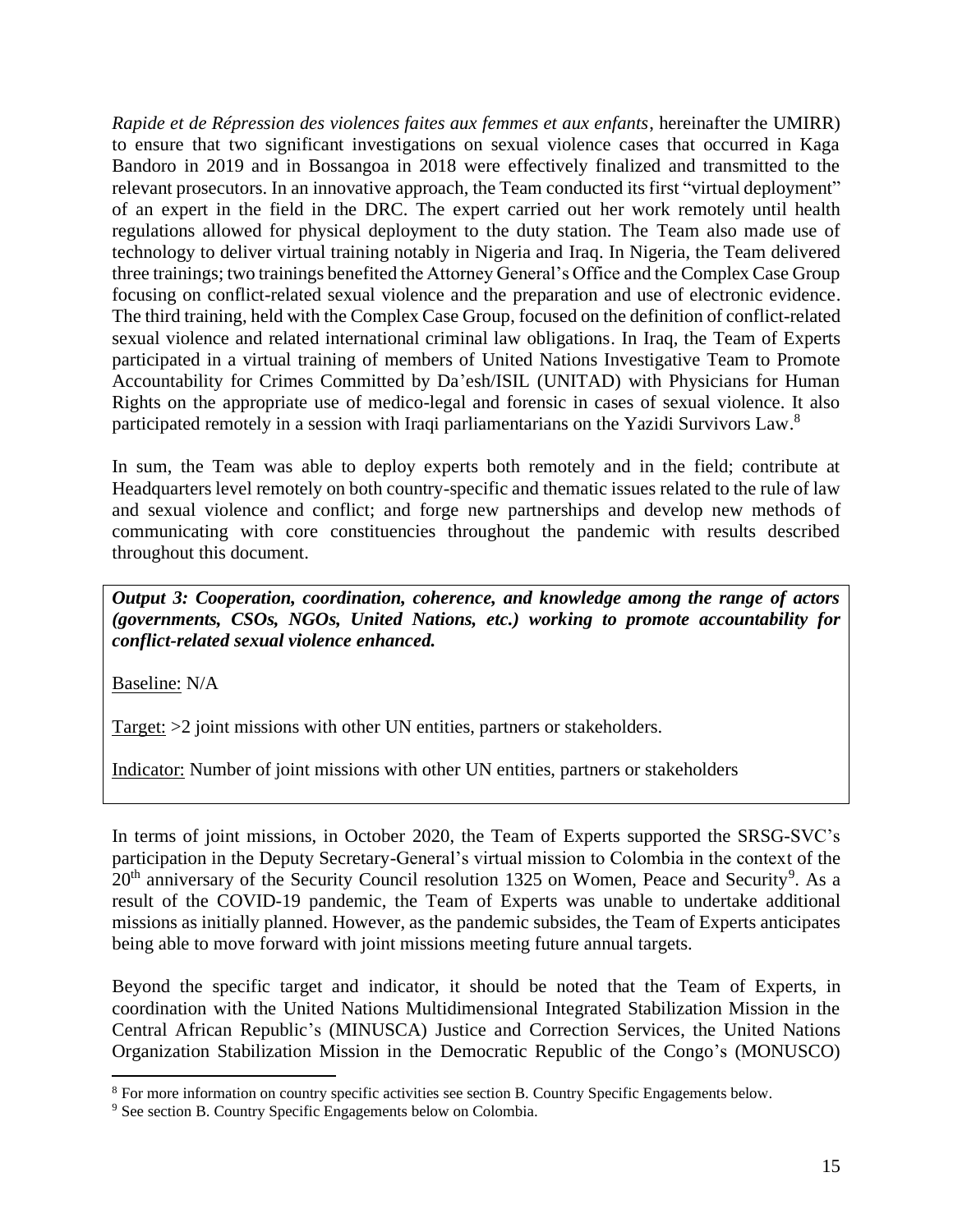*Rapide et de Répression des violences faites aux femmes et aux enfants*, hereinafter the UMIRR) to ensure that two significant investigations on sexual violence cases that occurred in Kaga Bandoro in 2019 and in Bossangoa in 2018 were effectively finalized and transmitted to the relevant prosecutors. In an innovative approach, the Team conducted its first "virtual deployment" of an expert in the field in the DRC. The expert carried out her work remotely until health regulations allowed for physical deployment to the duty station. The Team also made use of technology to deliver virtual training notably in Nigeria and Iraq. In Nigeria, the Team delivered three trainings; two trainings benefited the Attorney General's Office and the Complex Case Group focusing on conflict-related sexual violence and the preparation and use of electronic evidence. The third training, held with the Complex Case Group, focused on the definition of conflict-related sexual violence and related international criminal law obligations. In Iraq, the Team of Experts participated in a virtual training of members of United Nations Investigative Team to Promote Accountability for Crimes Committed by Da'esh/ISIL (UNITAD) with Physicians for Human Rights on the appropriate use of medico-legal and forensic in cases of sexual violence. It also participated remotely in a session with Iraqi parliamentarians on the Yazidi Survivors Law.<sup>8</sup>

In sum, the Team was able to deploy experts both remotely and in the field; contribute at Headquarters level remotely on both country-specific and thematic issues related to the rule of law and sexual violence and conflict; and forge new partnerships and develop new methods of communicating with core constituencies throughout the pandemic with results described throughout this document.

*Output 3: Cooperation, coordination, coherence, and knowledge among the range of actors (governments, CSOs, NGOs, United Nations, etc.) working to promote accountability for conflict-related sexual violence enhanced.*

Baseline: N/A

Target: >2 joint missions with other UN entities, partners or stakeholders.

Indicator: Number of joint missions with other UN entities, partners or stakeholders

In terms of joint missions, in October 2020, the Team of Experts supported the SRSG-SVC's participation in the Deputy Secretary-General's virtual mission to Colombia in the context of the 20<sup>th</sup> anniversary of the Security Council resolution 1325 on Women, Peace and Security<sup>9</sup>. As a result of the COVID-19 pandemic, the Team of Experts was unable to undertake additional missions as initially planned. However, as the pandemic subsides, the Team of Experts anticipates being able to move forward with joint missions meeting future annual targets.

Beyond the specific target and indicator, it should be noted that the Team of Experts, in coordination with the United Nations Multidimensional Integrated Stabilization Mission in the Central African Republic's (MINUSCA) Justice and Correction Services, the United Nations Organization Stabilization Mission in the Democratic Republic of the Congo's (MONUSCO)

<sup>8</sup> For more information on country specific activities see section B. Country Specific Engagements below.

<sup>9</sup> See sectio[n B. Country Specific Engagements](#page-15-0) below on Colombia.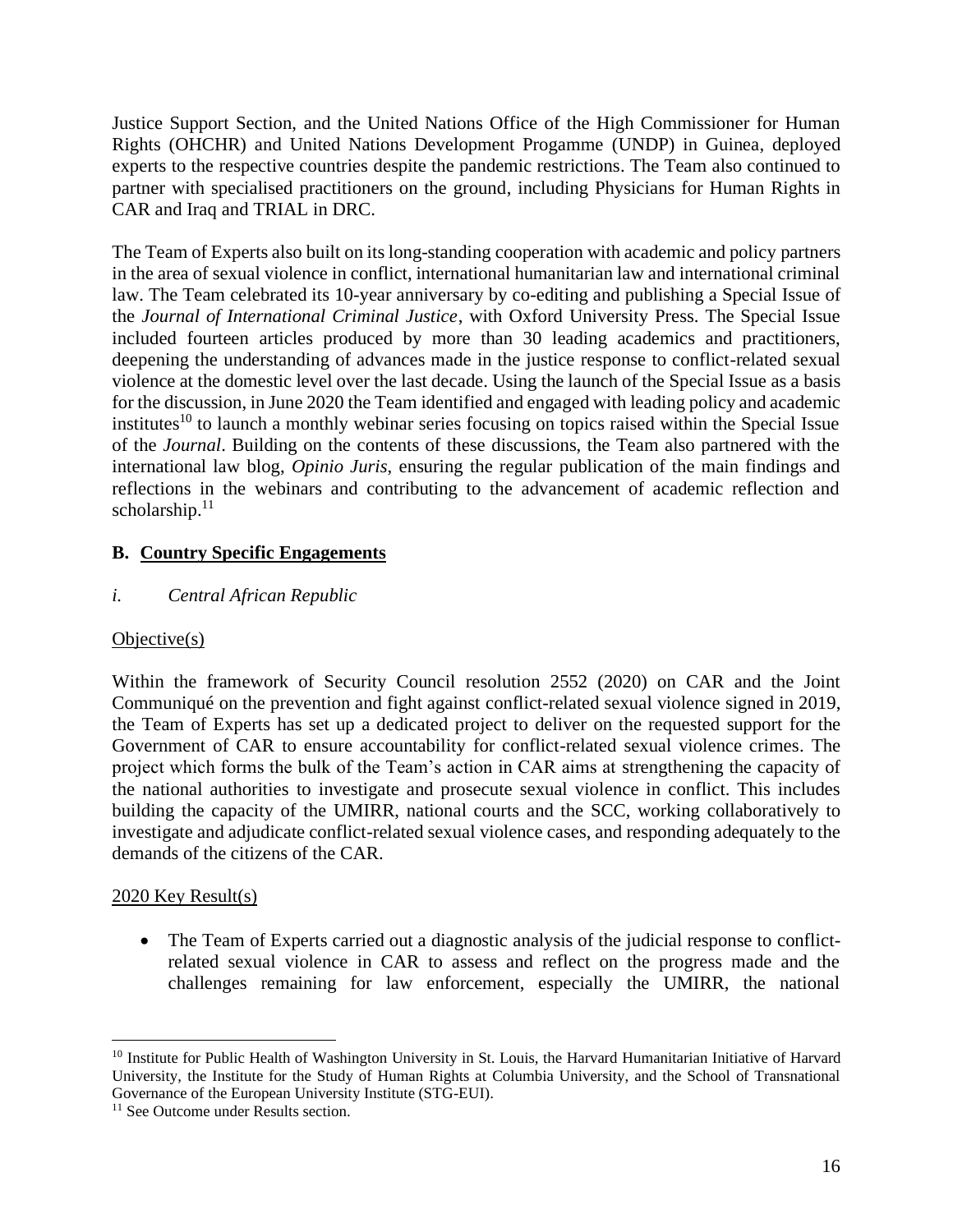Justice Support Section, and the United Nations Office of the High Commissioner for Human Rights (OHCHR) and United Nations Development Progamme (UNDP) in Guinea, deployed experts to the respective countries despite the pandemic restrictions. The Team also continued to partner with specialised practitioners on the ground, including Physicians for Human Rights in CAR and Iraq and TRIAL in DRC.

The Team of Experts also built on its long-standing cooperation with academic and policy partners in the area of sexual violence in conflict, international humanitarian law and international criminal law. The Team celebrated its 10-year anniversary by co-editing and publishing a Special Issue of the *Journal of International Criminal Justice*, with Oxford University Press. The Special Issue included fourteen articles produced by more than 30 leading academics and practitioners, deepening the understanding of advances made in the justice response to conflict-related sexual violence at the domestic level over the last decade. Using the launch of the Special Issue as a basis for the discussion, in June 2020 the Team identified and engaged with leading policy and academic institutes<sup>10</sup> to launch a monthly webinar series focusing on topics raised within the Special Issue of the *Journal*. Building on the contents of these discussions, the Team also partnered with the international law blog, *Opinio Juris*, ensuring the regular publication of the main findings and reflections in the webinars and contributing to the advancement of academic reflection and scholarship. $11$ 

## <span id="page-15-0"></span>**B. Country Specific Engagements**

*i. Central African Republic*

## Objective(s)

Within the framework of Security Council resolution 2552 (2020) on CAR and the Joint Communiqué on the prevention and fight against conflict-related sexual violence signed in 2019, the Team of Experts has set up a dedicated project to deliver on the requested support for the Government of CAR to ensure accountability for conflict-related sexual violence crimes. The project which forms the bulk of the Team's action in CAR aims at strengthening the capacity of the national authorities to investigate and prosecute sexual violence in conflict. This includes building the capacity of the UMIRR, national courts and the SCC, working collaboratively to investigate and adjudicate conflict-related sexual violence cases, and responding adequately to the demands of the citizens of the CAR.

## 2020 Key Result(s)

• The Team of Experts carried out a diagnostic analysis of the judicial response to conflictrelated sexual violence in CAR to assess and reflect on the progress made and the challenges remaining for law enforcement, especially the UMIRR, the national

<sup>&</sup>lt;sup>10</sup> Institute for Public Health of Washington University in St. Louis, the Harvard Humanitarian Initiative of Harvard University, the Institute for the Study of Human Rights at Columbia University, and the School of Transnational Governance of the European University Institute (STG-EUI).

<sup>&</sup>lt;sup>11</sup> See Outcome unde[r Results](#page-9-1) section.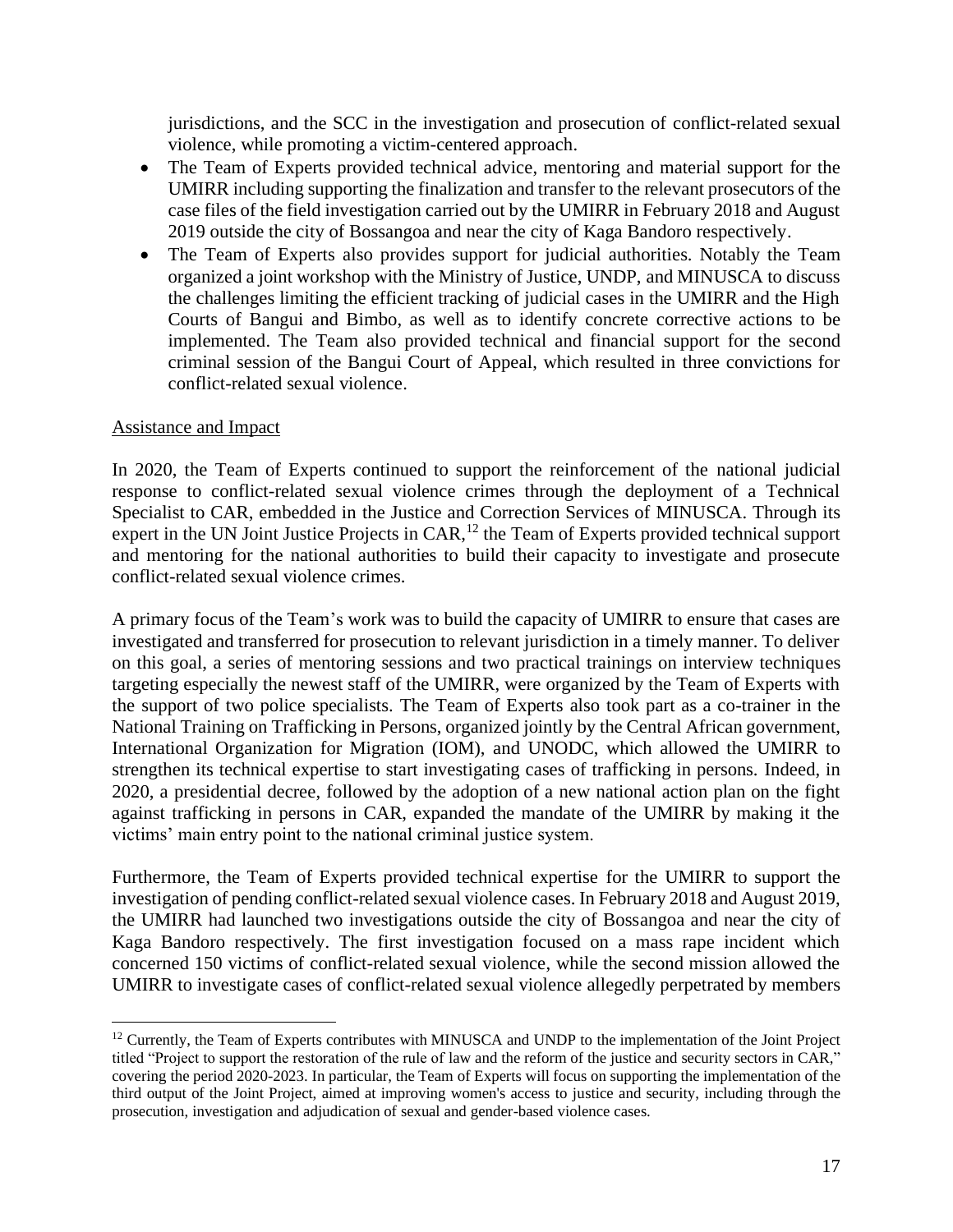jurisdictions, and the SCC in the investigation and prosecution of conflict-related sexual violence, while promoting a victim-centered approach.

- The Team of Experts provided technical advice, mentoring and material support for the UMIRR including supporting the finalization and transfer to the relevant prosecutors of the case files of the field investigation carried out by the UMIRR in February 2018 and August 2019 outside the city of Bossangoa and near the city of Kaga Bandoro respectively.
- The Team of Experts also provides support for judicial authorities. Notably the Team organized a joint workshop with the Ministry of Justice, UNDP, and MINUSCA to discuss the challenges limiting the efficient tracking of judicial cases in the UMIRR and the High Courts of Bangui and Bimbo, as well as to identify concrete corrective actions to be implemented. The Team also provided technical and financial support for the second criminal session of the Bangui Court of Appeal, which resulted in three convictions for conflict-related sexual violence.

### Assistance and Impact

In 2020, the Team of Experts continued to support the reinforcement of the national judicial response to conflict-related sexual violence crimes through the deployment of a Technical Specialist to CAR, embedded in the Justice and Correction Services of MINUSCA. Through its expert in the UN Joint Justice Projects in CAR,<sup>12</sup> the Team of Experts provided technical support and mentoring for the national authorities to build their capacity to investigate and prosecute conflict-related sexual violence crimes.

A primary focus of the Team's work was to build the capacity of UMIRR to ensure that cases are investigated and transferred for prosecution to relevant jurisdiction in a timely manner. To deliver on this goal, a series of mentoring sessions and two practical trainings on interview techniques targeting especially the newest staff of the UMIRR, were organized by the Team of Experts with the support of two police specialists. The Team of Experts also took part as a co-trainer in the National Training on Trafficking in Persons, organized jointly by the Central African government, International Organization for Migration (IOM), and UNODC, which allowed the UMIRR to strengthen its technical expertise to start investigating cases of trafficking in persons. Indeed, in 2020, a presidential decree, followed by the adoption of a new national action plan on the fight against trafficking in persons in CAR, expanded the mandate of the UMIRR by making it the victims' main entry point to the national criminal justice system.

Furthermore, the Team of Experts provided technical expertise for the UMIRR to support the investigation of pending conflict-related sexual violence cases. In February 2018 and August 2019, the UMIRR had launched two investigations outside the city of Bossangoa and near the city of Kaga Bandoro respectively. The first investigation focused on a mass rape incident which concerned 150 victims of conflict-related sexual violence, while the second mission allowed the UMIRR to investigate cases of conflict-related sexual violence allegedly perpetrated by members

<sup>&</sup>lt;sup>12</sup> Currently, the Team of Experts contributes with MINUSCA and UNDP to the implementation of the Joint Project titled "Project to support the restoration of the rule of law and the reform of the justice and security sectors in CAR," covering the period 2020-2023. In particular, the Team of Experts will focus on supporting the implementation of the third output of the Joint Project, aimed at improving women's access to justice and security, including through the prosecution, investigation and adjudication of sexual and gender-based violence cases.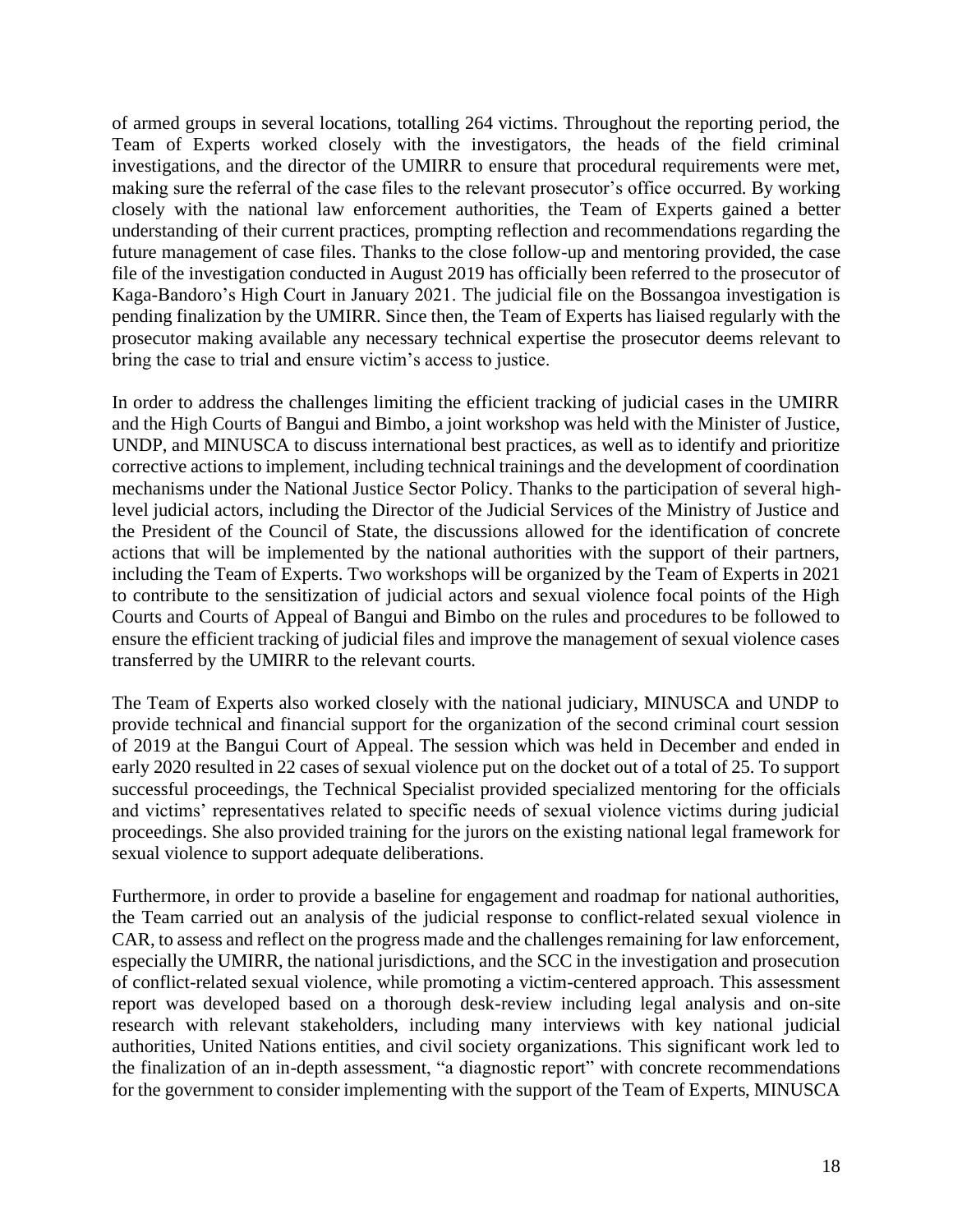of armed groups in several locations, totalling 264 victims. Throughout the reporting period, the Team of Experts worked closely with the investigators, the heads of the field criminal investigations, and the director of the UMIRR to ensure that procedural requirements were met, making sure the referral of the case files to the relevant prosecutor's office occurred. By working closely with the national law enforcement authorities, the Team of Experts gained a better understanding of their current practices, prompting reflection and recommendations regarding the future management of case files. Thanks to the close follow-up and mentoring provided, the case file of the investigation conducted in August 2019 has officially been referred to the prosecutor of Kaga-Bandoro's High Court in January 2021. The judicial file on the Bossangoa investigation is pending finalization by the UMIRR. Since then, the Team of Experts has liaised regularly with the prosecutor making available any necessary technical expertise the prosecutor deems relevant to bring the case to trial and ensure victim's access to justice.

In order to address the challenges limiting the efficient tracking of judicial cases in the UMIRR and the High Courts of Bangui and Bimbo, a joint workshop was held with the Minister of Justice, UNDP, and MINUSCA to discuss international best practices, as well as to identify and prioritize corrective actions to implement, including technical trainings and the development of coordination mechanisms under the National Justice Sector Policy. Thanks to the participation of several highlevel judicial actors, including the Director of the Judicial Services of the Ministry of Justice and the President of the Council of State, the discussions allowed for the identification of concrete actions that will be implemented by the national authorities with the support of their partners, including the Team of Experts. Two workshops will be organized by the Team of Experts in 2021 to contribute to the sensitization of judicial actors and sexual violence focal points of the High Courts and Courts of Appeal of Bangui and Bimbo on the rules and procedures to be followed to ensure the efficient tracking of judicial files and improve the management of sexual violence cases transferred by the UMIRR to the relevant courts.

The Team of Experts also worked closely with the national judiciary, MINUSCA and UNDP to provide technical and financial support for the organization of the second criminal court session of 2019 at the Bangui Court of Appeal. The session which was held in December and ended in early 2020 resulted in 22 cases of sexual violence put on the docket out of a total of 25. To support successful proceedings, the Technical Specialist provided specialized mentoring for the officials and victims' representatives related to specific needs of sexual violence victims during judicial proceedings. She also provided training for the jurors on the existing national legal framework for sexual violence to support adequate deliberations.

Furthermore, in order to provide a baseline for engagement and roadmap for national authorities, the Team carried out an analysis of the judicial response to conflict-related sexual violence in CAR, to assess and reflect on the progress made and the challenges remaining for law enforcement, especially the UMIRR, the national jurisdictions, and the SCC in the investigation and prosecution of conflict-related sexual violence, while promoting a victim-centered approach. This assessment report was developed based on a thorough desk-review including legal analysis and on-site research with relevant stakeholders, including many interviews with key national judicial authorities, United Nations entities, and civil society organizations. This significant work led to the finalization of an in-depth assessment, "a diagnostic report" with concrete recommendations for the government to consider implementing with the support of the Team of Experts, MINUSCA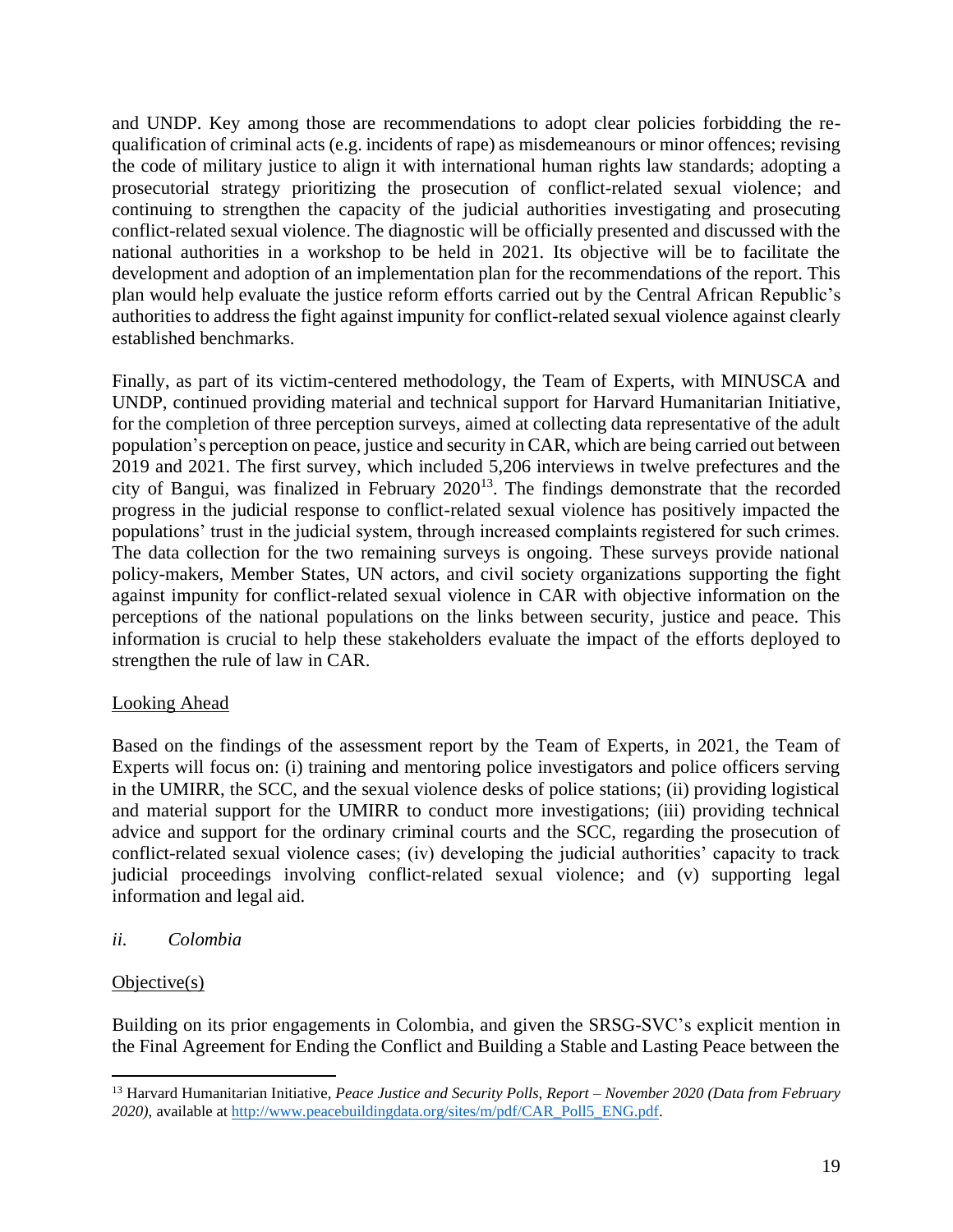and UNDP. Key among those are recommendations to adopt clear policies forbidding the requalification of criminal acts (e.g. incidents of rape) as misdemeanours or minor offences; revising the code of military justice to align it with international human rights law standards; adopting a prosecutorial strategy prioritizing the prosecution of conflict-related sexual violence; and continuing to strengthen the capacity of the judicial authorities investigating and prosecuting conflict-related sexual violence. The diagnostic will be officially presented and discussed with the national authorities in a workshop to be held in 2021. Its objective will be to facilitate the development and adoption of an implementation plan for the recommendations of the report. This plan would help evaluate the justice reform efforts carried out by the Central African Republic's authorities to address the fight against impunity for conflict-related sexual violence against clearly established benchmarks.

Finally, as part of its victim-centered methodology, the Team of Experts, with MINUSCA and UNDP, continued providing material and technical support for Harvard Humanitarian Initiative, for the completion of three perception surveys, aimed at collecting data representative of the adult population's perception on peace, justice and security in CAR, which are being carried out between 2019 and 2021. The first survey, which included 5,206 interviews in twelve prefectures and the city of Bangui, was finalized in February  $2020^{13}$ . The findings demonstrate that the recorded progress in the judicial response to conflict-related sexual violence has positively impacted the populations' trust in the judicial system, through increased complaints registered for such crimes. The data collection for the two remaining surveys is ongoing. These surveys provide national policy-makers, Member States, UN actors, and civil society organizations supporting the fight against impunity for conflict-related sexual violence in CAR with objective information on the perceptions of the national populations on the links between security, justice and peace. This information is crucial to help these stakeholders evaluate the impact of the efforts deployed to strengthen the rule of law in CAR.

## Looking Ahead

Based on the findings of the assessment report by the Team of Experts, in 2021, the Team of Experts will focus on: (i) training and mentoring police investigators and police officers serving in the UMIRR, the SCC, and the sexual violence desks of police stations; (ii) providing logistical and material support for the UMIRR to conduct more investigations; (iii) providing technical advice and support for the ordinary criminal courts and the SCC, regarding the prosecution of conflict-related sexual violence cases; (iv) developing the judicial authorities' capacity to track judicial proceedings involving conflict-related sexual violence; and (v) supporting legal information and legal aid.

*ii. Colombia*

## Objective(s)

Building on its prior engagements in Colombia, and given the SRSG-SVC's explicit mention in the Final Agreement for Ending the Conflict and Building a Stable and Lasting Peace between the

<sup>13</sup> Harvard Humanitarian Initiative, *Peace Justice and Security Polls, Report – November 2020 (Data from February 2020)*, available a[t http://www.peacebuildingdata.org/sites/m/pdf/CAR\\_Poll5\\_ENG.pdf.](http://www.peacebuildingdata.org/sites/m/pdf/CAR_Poll5_ENG.pdf)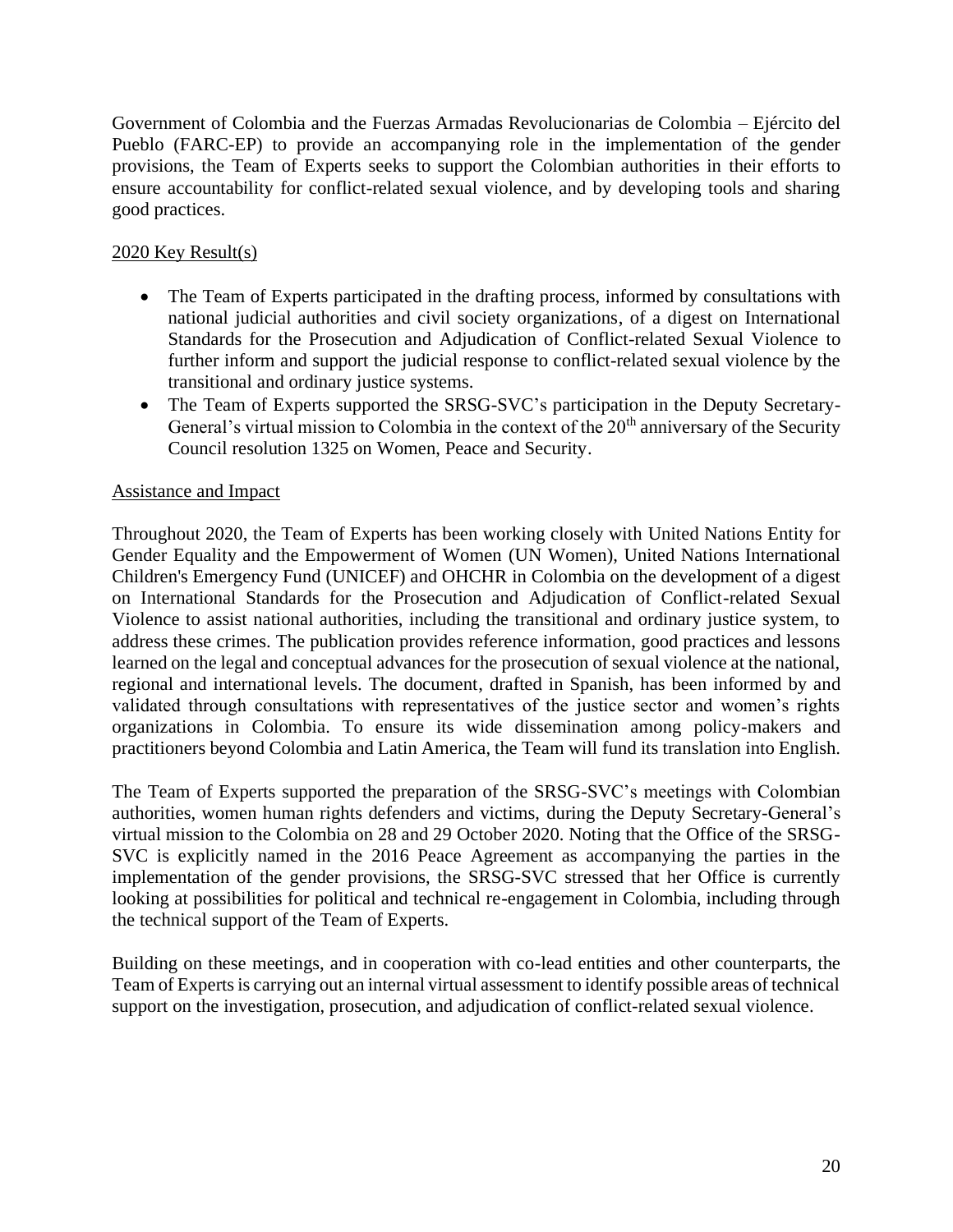Government of Colombia and the Fuerzas Armadas Revolucionarias de Colombia – Ejército del Pueblo (FARC-EP) to provide an accompanying role in the implementation of the gender provisions, the Team of Experts seeks to support the Colombian authorities in their efforts to ensure accountability for conflict-related sexual violence, and by developing tools and sharing good practices.

## 2020 Key Result(s)

- The Team of Experts participated in the drafting process, informed by consultations with national judicial authorities and civil society organizations, of a digest on International Standards for the Prosecution and Adjudication of Conflict-related Sexual Violence to further inform and support the judicial response to conflict-related sexual violence by the transitional and ordinary justice systems.
- The Team of Experts supported the SRSG-SVC's participation in the Deputy Secretary-General's virtual mission to Colombia in the context of the  $20<sup>th</sup>$  anniversary of the Security Council resolution 1325 on Women, Peace and Security.

## Assistance and Impact

Throughout 2020, the Team of Experts has been working closely with United Nations Entity for Gender Equality and the Empowerment of Women (UN Women), United Nations International Children's Emergency Fund (UNICEF) and OHCHR in Colombia on the development of a digest on International Standards for the Prosecution and Adjudication of Conflict-related Sexual Violence to assist national authorities, including the transitional and ordinary justice system, to address these crimes. The publication provides reference information, good practices and lessons learned on the legal and conceptual advances for the prosecution of sexual violence at the national, regional and international levels. The document, drafted in Spanish, has been informed by and validated through consultations with representatives of the justice sector and women's rights organizations in Colombia. To ensure its wide dissemination among policy-makers and practitioners beyond Colombia and Latin America, the Team will fund its translation into English.

The Team of Experts supported the preparation of the SRSG-SVC's meetings with Colombian authorities, women human rights defenders and victims, during the Deputy Secretary-General's virtual mission to the Colombia on 28 and 29 October 2020. Noting that the Office of the SRSG-SVC is explicitly named in the 2016 Peace Agreement as accompanying the parties in the implementation of the gender provisions, the SRSG-SVC stressed that her Office is currently looking at possibilities for political and technical re-engagement in Colombia, including through the technical support of the Team of Experts.

Building on these meetings, and in cooperation with co-lead entities and other counterparts, the Team of Experts is carrying out an internal virtual assessment to identify possible areas of technical support on the investigation, prosecution, and adjudication of conflict-related sexual violence.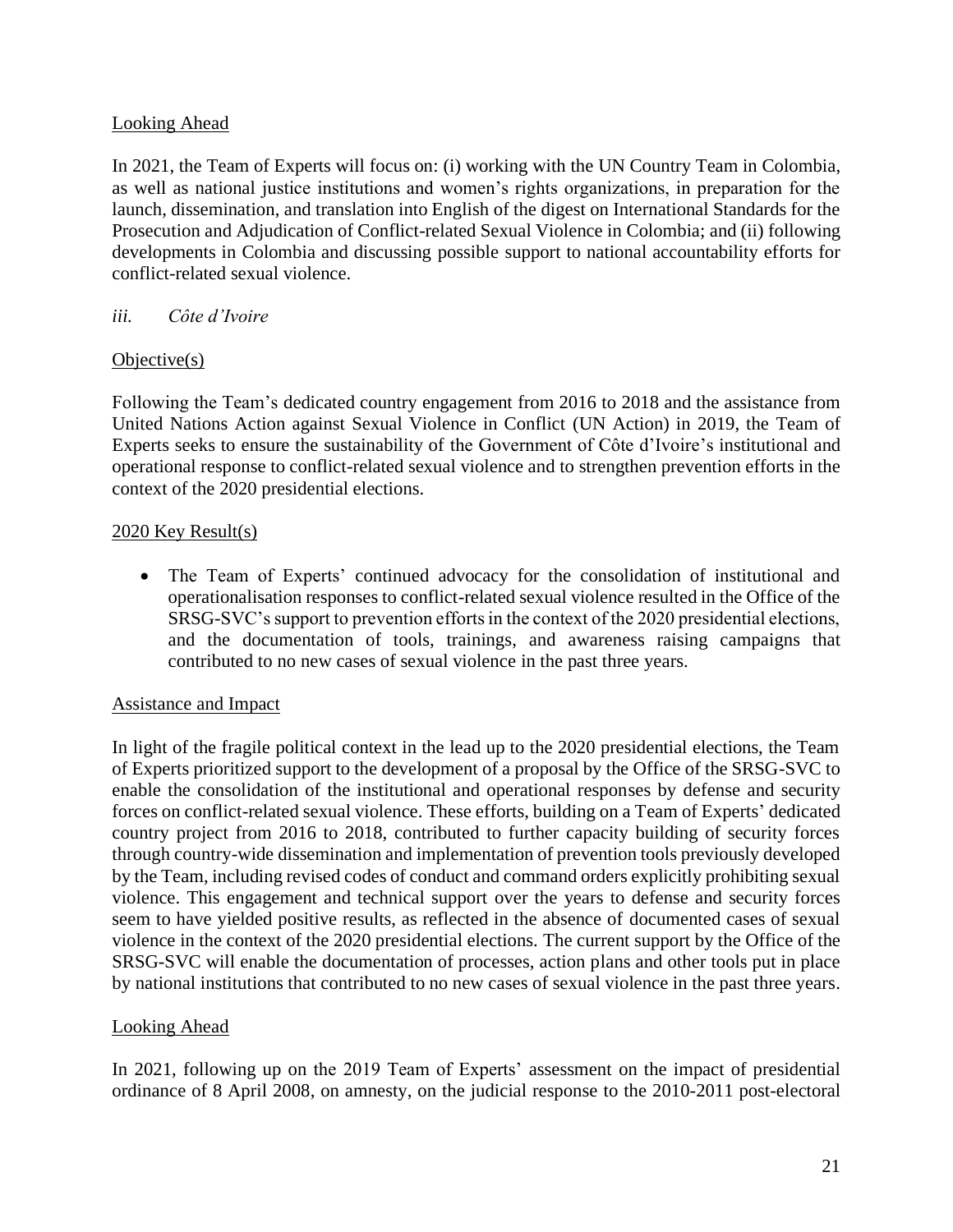## Looking Ahead

In 2021, the Team of Experts will focus on: (i) working with the UN Country Team in Colombia, as well as national justice institutions and women's rights organizations, in preparation for the launch, dissemination, and translation into English of the digest on International Standards for the Prosecution and Adjudication of Conflict-related Sexual Violence in Colombia; and (ii) following developments in Colombia and discussing possible support to national accountability efforts for conflict-related sexual violence.

## *iii. Côte d'Ivoire*

## Objective(s)

Following the Team's dedicated country engagement from 2016 to 2018 and the assistance from United Nations Action against Sexual Violence in Conflict (UN Action) in 2019, the Team of Experts seeks to ensure the sustainability of the Government of Côte d'Ivoire's institutional and operational response to conflict-related sexual violence and to strengthen prevention efforts in the context of the 2020 presidential elections.

## 2020 Key Result(s)

• The Team of Experts' continued advocacy for the consolidation of institutional and operationalisation responses to conflict-related sexual violence resulted in the Office of the SRSG-SVC's support to prevention efforts in the context of the 2020 presidential elections, and the documentation of tools, trainings, and awareness raising campaigns that contributed to no new cases of sexual violence in the past three years.

## Assistance and Impact

In light of the fragile political context in the lead up to the 2020 presidential elections, the Team of Experts prioritized support to the development of a proposal by the Office of the SRSG-SVC to enable the consolidation of the institutional and operational responses by defense and security forces on conflict-related sexual violence. These efforts, building on a Team of Experts' dedicated country project from 2016 to 2018, contributed to further capacity building of security forces through country-wide dissemination and implementation of prevention tools previously developed by the Team, including revised codes of conduct and command orders explicitly prohibiting sexual violence. This engagement and technical support over the years to defense and security forces seem to have yielded positive results, as reflected in the absence of documented cases of sexual violence in the context of the 2020 presidential elections. The current support by the Office of the SRSG-SVC will enable the documentation of processes, action plans and other tools put in place by national institutions that contributed to no new cases of sexual violence in the past three years.

## Looking Ahead

In 2021, following up on the 2019 Team of Experts' assessment on the impact of presidential ordinance of 8 April 2008, on amnesty, on the judicial response to the 2010-2011 post-electoral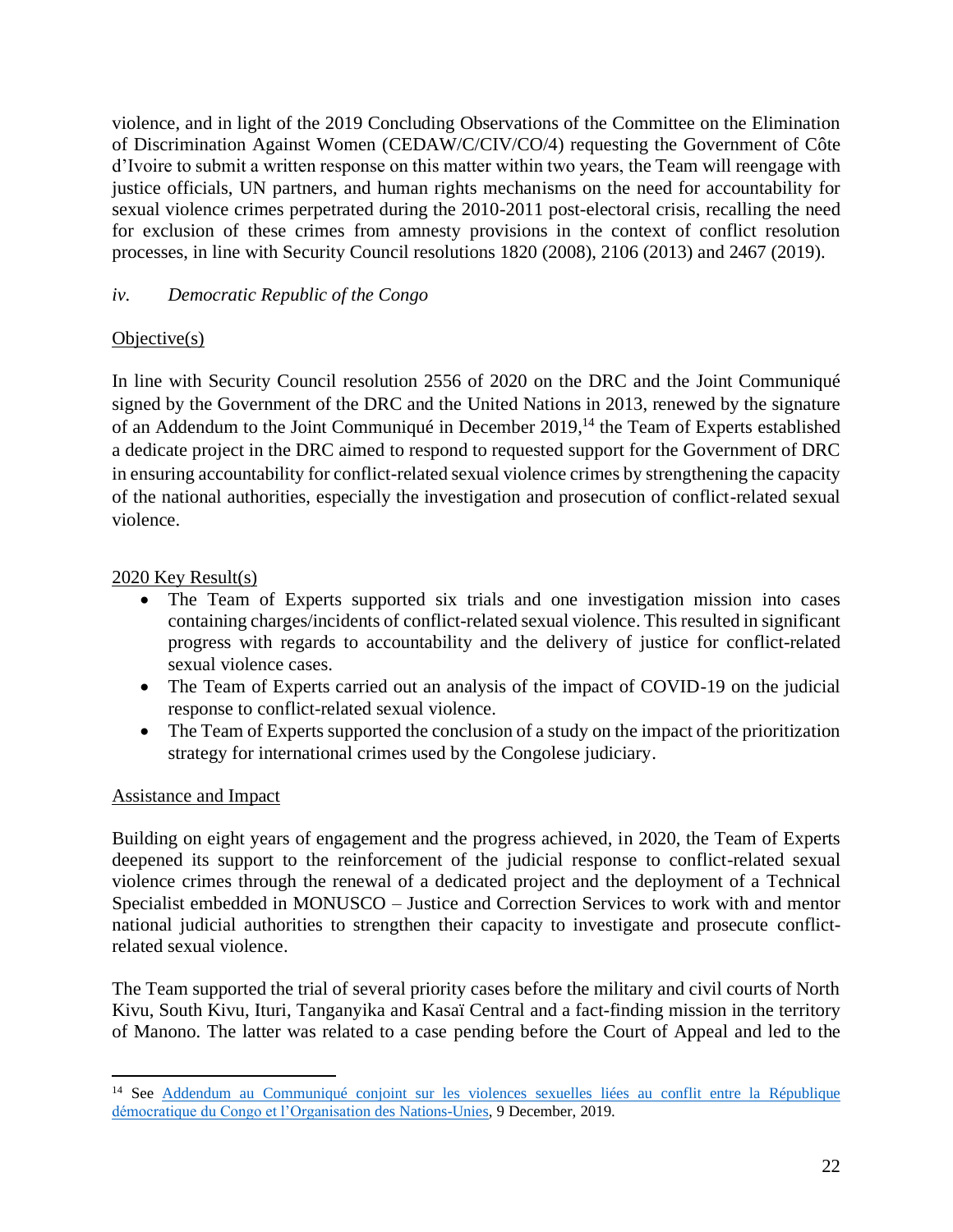violence, and in light of the 2019 Concluding Observations of the Committee on the Elimination of Discrimination Against Women [\(CEDAW/C/CIV/CO/4\)](https://undocs.org/en/CEDAW/C/CIV/4) requesting the Government of Côte d'Ivoire to submit a written response on this matter within two years, the Team will reengage with justice officials, UN partners, and human rights mechanisms on the need for accountability for sexual violence crimes perpetrated during the 2010-2011 post-electoral crisis, recalling the need for exclusion of these crimes from amnesty provisions in the context of conflict resolution processes, in line with Security Council resolutions 1820 (2008), 2106 (2013) and 2467 (2019).

## *iv. Democratic Republic of the Congo*

## Objective(s)

In line with Security Council resolution 2556 of 2020 on the DRC and the Joint Communiqué signed by the Government of the DRC and the United Nations in 2013, renewed by the signature of an Addendum to the Joint Communiqué in December 2019,<sup>14</sup> the Team of Experts established a dedicate project in the DRC aimed to respond to requested support for the Government of DRC in ensuring accountability for conflict-related sexual violence crimes by strengthening the capacity of the national authorities, especially the investigation and prosecution of conflict-related sexual violence.

## 2020 Key Result(s)

- The Team of Experts supported six trials and one investigation mission into cases containing charges/incidents of conflict-related sexual violence. This resulted in significant progress with regards to accountability and the delivery of justice for conflict-related sexual violence cases.
- The Team of Experts carried out an analysis of the impact of COVID-19 on the judicial response to conflict-related sexual violence.
- The Team of Experts supported the conclusion of a study on the impact of the prioritization strategy for international crimes used by the Congolese judiciary.

## Assistance and Impact

Building on eight years of engagement and the progress achieved, in 2020, the Team of Experts deepened its support to the reinforcement of the judicial response to conflict-related sexual violence crimes through the renewal of a dedicated project and the deployment of a Technical Specialist embedded in MONUSCO – Justice and Correction Services to work with and mentor national judicial authorities to strengthen their capacity to investigate and prosecute conflictrelated sexual violence.

The Team supported the trial of several priority cases before the military and civil courts of North Kivu, South Kivu, Ituri, Tanganyika and Kasaï Central and a fact-finding mission in the territory of Manono. The latter was related to a case pending before the Court of Appeal and led to the

<sup>&</sup>lt;sup>14</sup> See Addendum au Communiqué conjoint sur les violences sexuelles liées au conflit entre la République [démocratique du Congo et l'Organisation des Nations-Unies,](https://www.un.org/sexualviolenceinconflict/wp-content/uploads/2019/12/joint-communique/addendum-au-communique-conjoint-sur-les-violences-sexuelles-liees-au-conflit-entre-la-republique-democratique-du-congo-et-lorganisation-des-nations-unies/RDC.pdf) 9 December, 2019.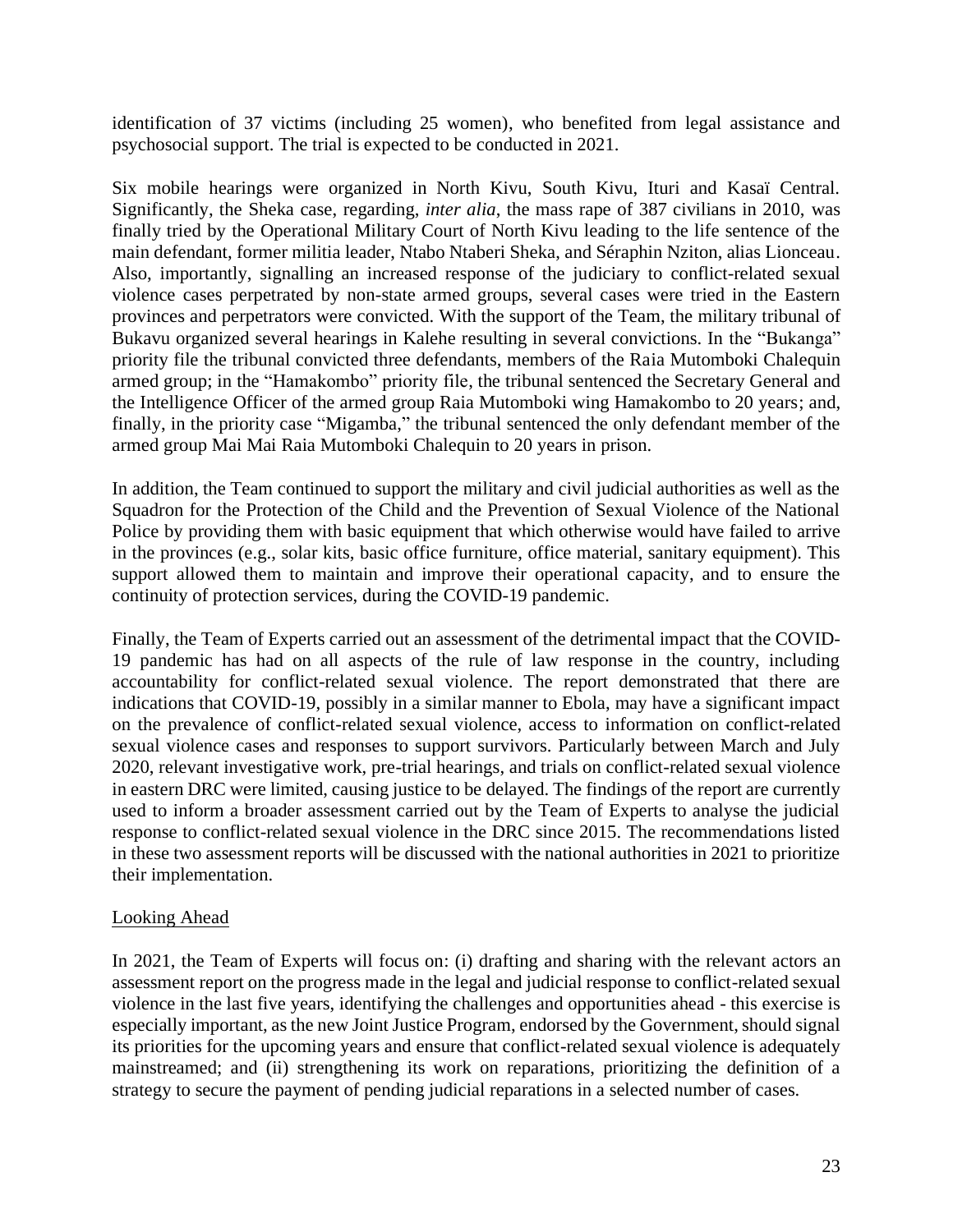identification of 37 victims (including 25 women), who benefited from legal assistance and psychosocial support. The trial is expected to be conducted in 2021.

Six mobile hearings were organized in North Kivu, South Kivu, Ituri and Kasaï Central. Significantly, the Sheka case, regarding, *inter alia*, the mass rape of 387 civilians in 2010, was finally tried by the Operational Military Court of North Kivu leading to the life sentence of the main defendant, former militia leader, Ntabo Ntaberi Sheka, and Séraphin Nziton, alias Lionceau. Also, importantly, signalling an increased response of the judiciary to conflict-related sexual violence cases perpetrated by non-state armed groups, several cases were tried in the Eastern provinces and perpetrators were convicted. With the support of the Team, the military tribunal of Bukavu organized several hearings in Kalehe resulting in several convictions. In the "Bukanga" priority file the tribunal convicted three defendants, members of the Raia Mutomboki Chalequin armed group; in the "Hamakombo" priority file, the tribunal sentenced the Secretary General and the Intelligence Officer of the armed group Raia Mutomboki wing Hamakombo to 20 years; and, finally, in the priority case "Migamba," the tribunal sentenced the only defendant member of the armed group Mai Mai Raia Mutomboki Chalequin to 20 years in prison.

In addition, the Team continued to support the military and civil judicial authorities as well as the Squadron for the Protection of the Child and the Prevention of Sexual Violence of the National Police by providing them with basic equipment that which otherwise would have failed to arrive in the provinces (e.g., solar kits, basic office furniture, office material, sanitary equipment). This support allowed them to maintain and improve their operational capacity, and to ensure the continuity of protection services, during the COVID-19 pandemic.

Finally, the Team of Experts carried out an assessment of the detrimental impact that the COVID-19 pandemic has had on all aspects of the rule of law response in the country, including accountability for conflict-related sexual violence. The report demonstrated that there are indications that COVID-19, possibly in a similar manner to Ebola, may have a significant impact on the prevalence of conflict-related sexual violence, access to information on conflict-related sexual violence cases and responses to support survivors. Particularly between March and July 2020, relevant investigative work, pre-trial hearings, and trials on conflict-related sexual violence in eastern DRC were limited, causing justice to be delayed. The findings of the report are currently used to inform a broader assessment carried out by the Team of Experts to analyse the judicial response to conflict-related sexual violence in the DRC since 2015. The recommendations listed in these two assessment reports will be discussed with the national authorities in 2021 to prioritize their implementation.

## Looking Ahead

In 2021, the Team of Experts will focus on: (i) drafting and sharing with the relevant actors an assessment report on the progress made in the legal and judicial response to conflict-related sexual violence in the last five years, identifying the challenges and opportunities ahead - this exercise is especially important, as the new Joint Justice Program, endorsed by the Government, should signal its priorities for the upcoming years and ensure that conflict-related sexual violence is adequately mainstreamed; and (ii) strengthening its work on reparations, prioritizing the definition of a strategy to secure the payment of pending judicial reparations in a selected number of cases.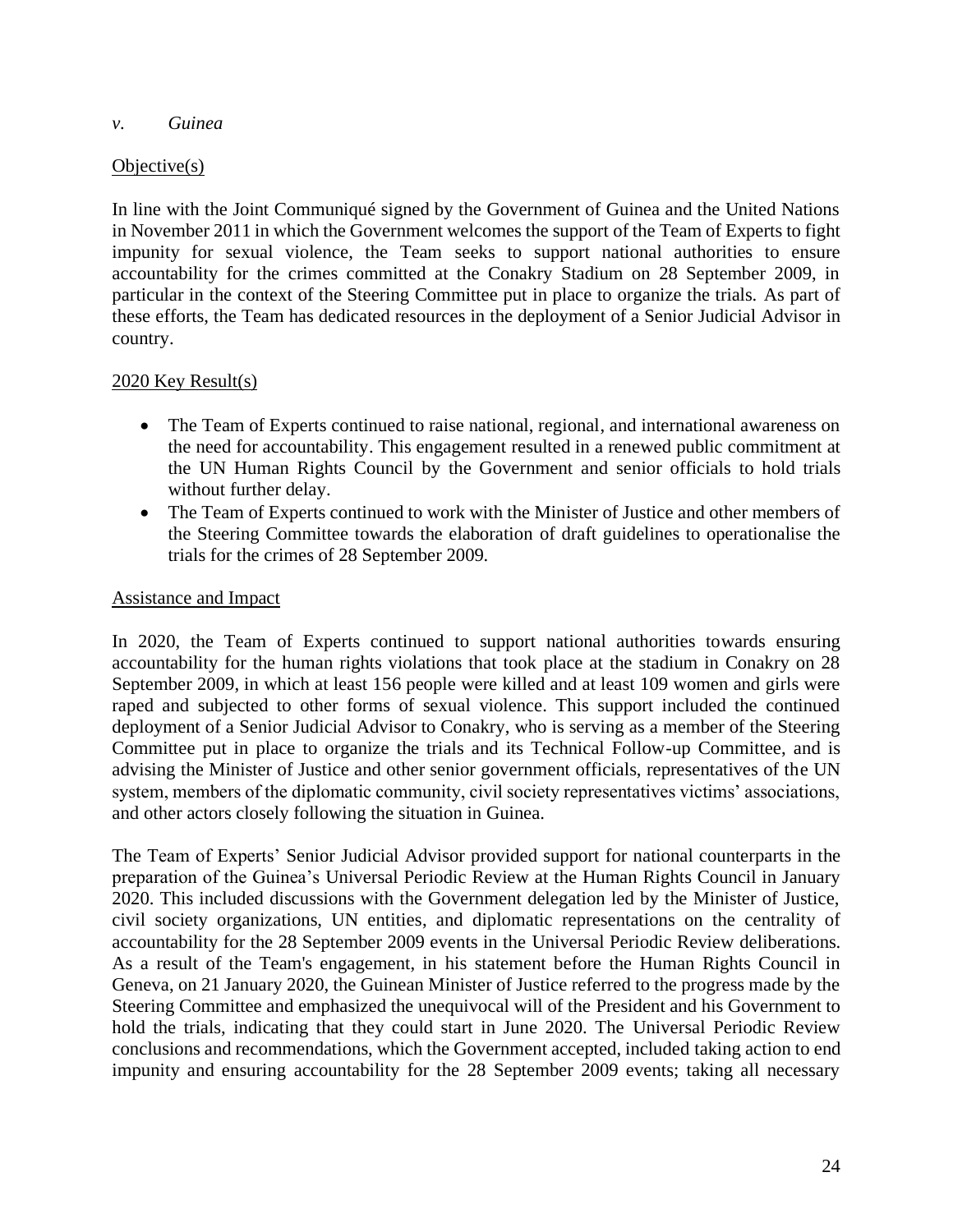#### *v. Guinea*

### Objective(s)

In line with the Joint Communiqué signed by the Government of Guinea and the United Nations in November 2011 in which the Government welcomes the support of the Team of Experts to fight impunity for sexual violence, the Team seeks to support national authorities to ensure accountability for the crimes committed at the Conakry Stadium on 28 September 2009, in particular in the context of the Steering Committee put in place to organize the trials. As part of these efforts, the Team has dedicated resources in the deployment of a Senior Judicial Advisor in country.

### 2020 Key Result(s)

- The Team of Experts continued to raise national, regional, and international awareness on the need for accountability. This engagement resulted in a renewed public commitment at the UN Human Rights Council by the Government and senior officials to hold trials without further delay.
- The Team of Experts continued to work with the Minister of Justice and other members of the Steering Committee towards the elaboration of draft guidelines to operationalise the trials for the crimes of 28 September 2009.

#### Assistance and Impact

In 2020, the Team of Experts continued to support national authorities towards ensuring accountability for the human rights violations that took place at the stadium in Conakry on 28 September 2009, in which at least 156 people were killed and at least 109 women and girls were raped and subjected to other forms of sexual violence. This support included the continued deployment of a Senior Judicial Advisor to Conakry, who is serving as a member of the Steering Committee put in place to organize the trials and its Technical Follow-up Committee, and is advising the Minister of Justice and other senior government officials, representatives of the UN system, members of the diplomatic community, civil society representatives victims' associations, and other actors closely following the situation in Guinea.

The Team of Experts' Senior Judicial Advisor provided support for national counterparts in the preparation of the Guinea's Universal Periodic Review at the Human Rights Council in January 2020. This included discussions with the Government delegation led by the Minister of Justice, civil society organizations, UN entities, and diplomatic representations on the centrality of accountability for the 28 September 2009 events in the Universal Periodic Review deliberations. As a result of the Team's engagement, in his statement before the Human Rights Council in Geneva, on 21 January 2020, the Guinean Minister of Justice referred to the progress made by the Steering Committee and emphasized the unequivocal will of the President and his Government to hold the trials, indicating that they could start in June 2020. The Universal Periodic Review conclusions and recommendations, which the Government accepted, included taking action to end impunity and ensuring accountability for the 28 September 2009 events; taking all necessary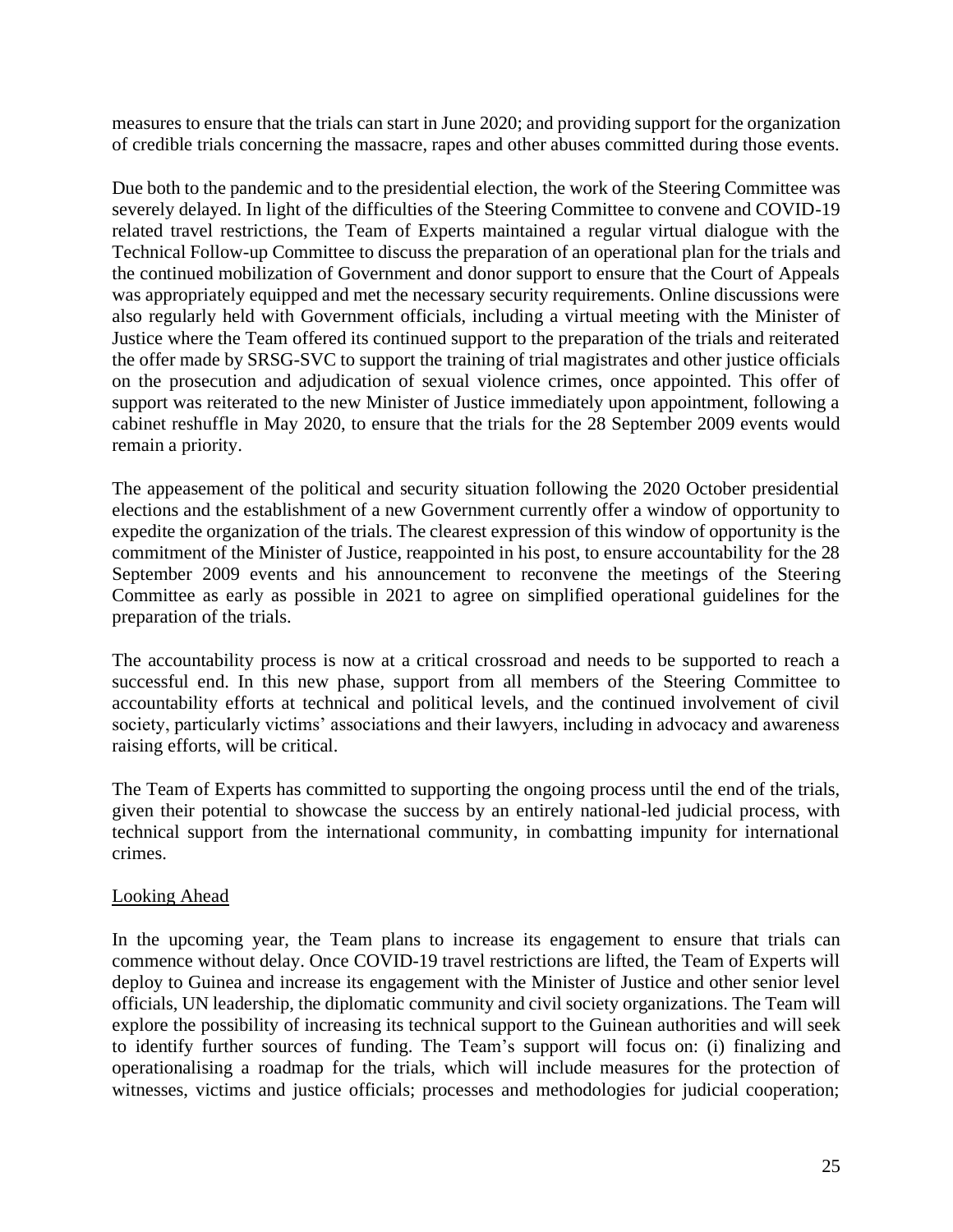measures to ensure that the trials can start in June 2020; and providing support for the organization of credible trials concerning the massacre, rapes and other abuses committed during those events.

Due both to the pandemic and to the presidential election, the work of the Steering Committee was severely delayed. In light of the difficulties of the Steering Committee to convene and COVID-19 related travel restrictions, the Team of Experts maintained a regular virtual dialogue with the Technical Follow-up Committee to discuss the preparation of an operational plan for the trials and the continued mobilization of Government and donor support to ensure that the Court of Appeals was appropriately equipped and met the necessary security requirements. Online discussions were also regularly held with Government officials, including a virtual meeting with the Minister of Justice where the Team offered its continued support to the preparation of the trials and reiterated the offer made by SRSG-SVC to support the training of trial magistrates and other justice officials on the prosecution and adjudication of sexual violence crimes, once appointed. This offer of support was reiterated to the new Minister of Justice immediately upon appointment, following a cabinet reshuffle in May 2020, to ensure that the trials for the 28 September 2009 events would remain a priority.

The appeasement of the political and security situation following the 2020 October presidential elections and the establishment of a new Government currently offer a window of opportunity to expedite the organization of the trials. The clearest expression of this window of opportunity is the commitment of the Minister of Justice, reappointed in his post, to ensure accountability for the 28 September 2009 events and his announcement to reconvene the meetings of the Steering Committee as early as possible in 2021 to agree on simplified operational guidelines for the preparation of the trials.

The accountability process is now at a critical crossroad and needs to be supported to reach a successful end. In this new phase, support from all members of the Steering Committee to accountability efforts at technical and political levels, and the continued involvement of civil society, particularly victims' associations and their lawyers, including in advocacy and awareness raising efforts, will be critical.

The Team of Experts has committed to supporting the ongoing process until the end of the trials, given their potential to showcase the success by an entirely national-led judicial process, with technical support from the international community, in combatting impunity for international crimes.

#### Looking Ahead

In the upcoming year, the Team plans to increase its engagement to ensure that trials can commence without delay. Once COVID-19 travel restrictions are lifted, the Team of Experts will deploy to Guinea and increase its engagement with the Minister of Justice and other senior level officials, UN leadership, the diplomatic community and civil society organizations. The Team will explore the possibility of increasing its technical support to the Guinean authorities and will seek to identify further sources of funding. The Team's support will focus on: (i) finalizing and operationalising a roadmap for the trials, which will include measures for the protection of witnesses, victims and justice officials; processes and methodologies for judicial cooperation;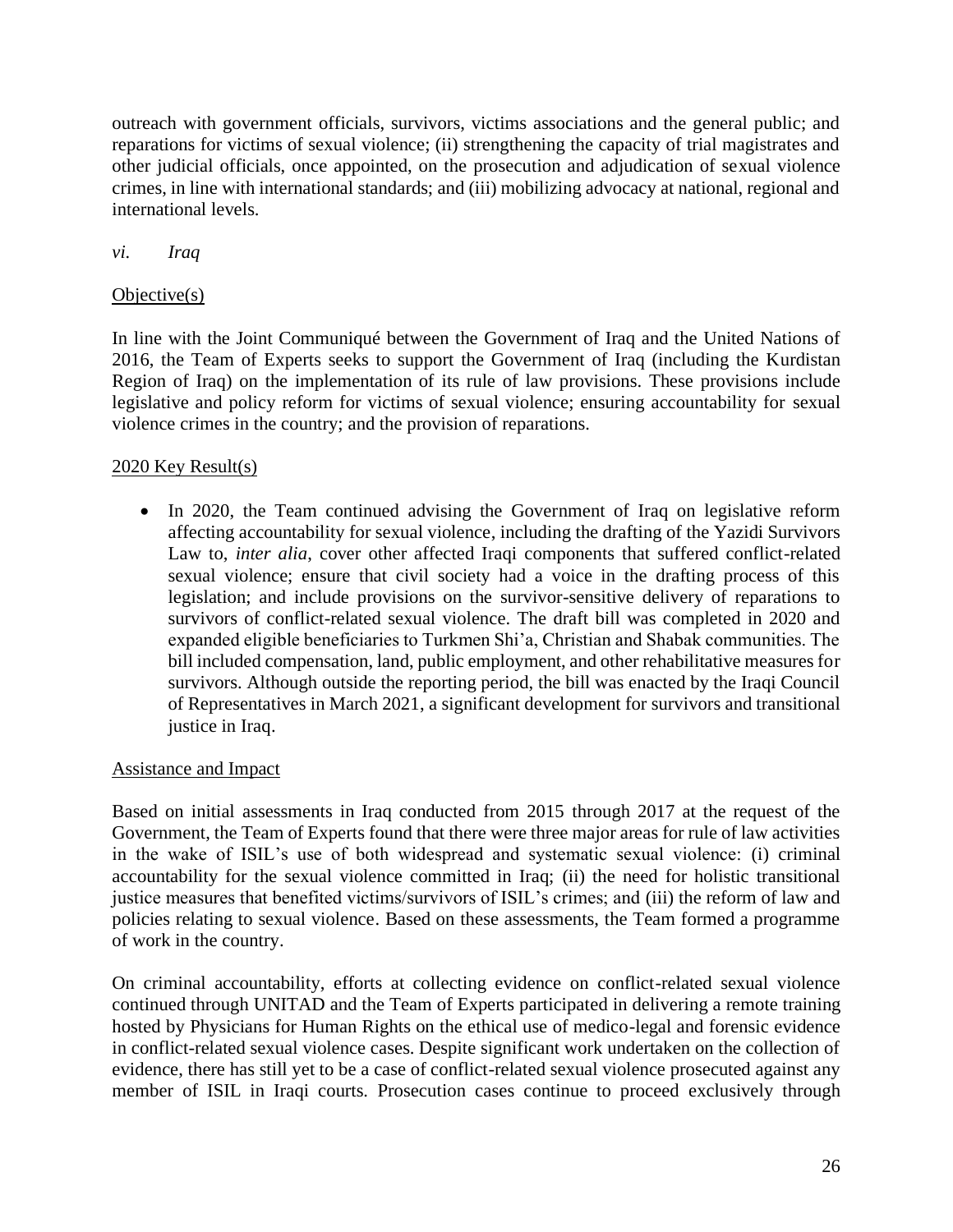outreach with government officials, survivors, victims associations and the general public; and reparations for victims of sexual violence; (ii) strengthening the capacity of trial magistrates and other judicial officials, once appointed, on the prosecution and adjudication of sexual violence crimes, in line with international standards; and (iii) mobilizing advocacy at national, regional and international levels.

*vi. Iraq*

## Objective(s)

In line with the Joint Communiqué between the Government of Iraq and the United Nations of 2016, the Team of Experts seeks to support the Government of Iraq (including the Kurdistan Region of Iraq) on the implementation of its rule of law provisions. These provisions include legislative and policy reform for victims of sexual violence; ensuring accountability for sexual violence crimes in the country; and the provision of reparations.

## 2020 Key Result(s)

• In 2020, the Team continued advising the Government of Iraq on legislative reform affecting accountability for sexual violence, including the drafting of the Yazidi Survivors Law to, *inter alia*, cover other affected Iraqi components that suffered conflict-related sexual violence; ensure that civil society had a voice in the drafting process of this legislation; and include provisions on the survivor-sensitive delivery of reparations to survivors of conflict-related sexual violence. The draft bill was completed in 2020 and expanded eligible beneficiaries to Turkmen Shi'a, Christian and Shabak communities. The bill included compensation, land, public employment, and other rehabilitative measures for survivors. Although outside the reporting period, the bill was enacted by the Iraqi Council of Representatives in March 2021, a significant development for survivors and transitional justice in Iraq.

## Assistance and Impact

Based on initial assessments in Iraq conducted from 2015 through 2017 at the request of the Government, the Team of Experts found that there were three major areas for rule of law activities in the wake of ISIL's use of both widespread and systematic sexual violence: (i) criminal accountability for the sexual violence committed in Iraq; (ii) the need for holistic transitional justice measures that benefited victims/survivors of ISIL's crimes; and (iii) the reform of law and policies relating to sexual violence. Based on these assessments, the Team formed a programme of work in the country.

On criminal accountability, efforts at collecting evidence on conflict-related sexual violence continued through UNITAD and the Team of Experts participated in delivering a remote training hosted by Physicians for Human Rights on the ethical use of medico-legal and forensic evidence in conflict-related sexual violence cases. Despite significant work undertaken on the collection of evidence, there has still yet to be a case of conflict-related sexual violence prosecuted against any member of ISIL in Iraqi courts. Prosecution cases continue to proceed exclusively through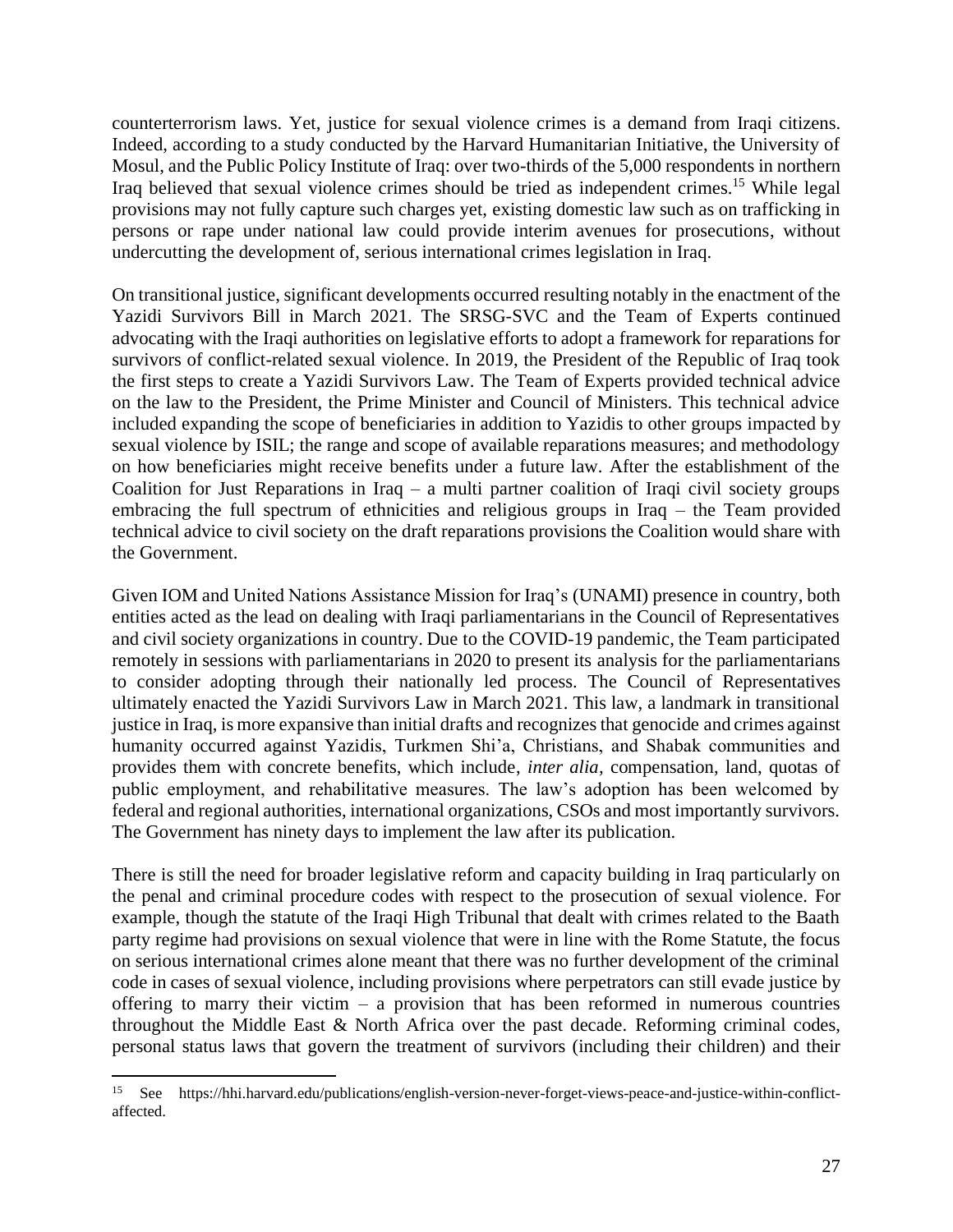counterterrorism laws. Yet, justice for sexual violence crimes is a demand from Iraqi citizens. Indeed, according to a study conducted by the Harvard Humanitarian Initiative, the University of Mosul, and the Public Policy Institute of Iraq: over two-thirds of the 5,000 respondents in northern Iraq believed that sexual violence crimes should be tried as independent crimes.<sup>15</sup> While legal provisions may not fully capture such charges yet, existing domestic law such as on trafficking in persons or rape under national law could provide interim avenues for prosecutions, without undercutting the development of, serious international crimes legislation in Iraq.

On transitional justice, significant developments occurred resulting notably in the enactment of the Yazidi Survivors Bill in March 2021. The SRSG-SVC and the Team of Experts continued advocating with the Iraqi authorities on legislative efforts to adopt a framework for reparations for survivors of conflict-related sexual violence. In 2019, the President of the Republic of Iraq took the first steps to create a Yazidi Survivors Law. The Team of Experts provided technical advice on the law to the President, the Prime Minister and Council of Ministers. This technical advice included expanding the scope of beneficiaries in addition to Yazidis to other groups impacted by sexual violence by ISIL; the range and scope of available reparations measures; and methodology on how beneficiaries might receive benefits under a future law. After the establishment of the Coalition for Just Reparations in Iraq – a multi partner coalition of Iraqi civil society groups embracing the full spectrum of ethnicities and religious groups in Iraq – the Team provided technical advice to civil society on the draft reparations provisions the Coalition would share with the Government.

Given IOM and United Nations Assistance Mission for Iraq's (UNAMI) presence in country, both entities acted as the lead on dealing with Iraqi parliamentarians in the Council of Representatives and civil society organizations in country. Due to the COVID-19 pandemic, the Team participated remotely in sessions with parliamentarians in 2020 to present its analysis for the parliamentarians to consider adopting through their nationally led process. The Council of Representatives ultimately enacted the Yazidi Survivors Law in March 2021. This law, a landmark in transitional justice in Iraq, is more expansive than initial drafts and recognizes that genocide and crimes against humanity occurred against Yazidis, Turkmen Shi'a, Christians, and Shabak communities and provides them with concrete benefits, which include, *inter alia,* compensation, land, quotas of public employment, and rehabilitative measures. The law's adoption has been welcomed by federal and regional authorities, international organizations, CSOs and most importantly survivors. The Government has ninety days to implement the law after its publication.

There is still the need for broader legislative reform and capacity building in Iraq particularly on the penal and criminal procedure codes with respect to the prosecution of sexual violence. For example, though the statute of the Iraqi High Tribunal that dealt with crimes related to the Baath party regime had provisions on sexual violence that were in line with the Rome Statute, the focus on serious international crimes alone meant that there was no further development of the criminal code in cases of sexual violence, including provisions where perpetrators can still evade justice by offering to marry their victim – a provision that has been reformed in numerous countries throughout the Middle East & North Africa over the past decade. Reforming criminal codes, personal status laws that govern the treatment of survivors (including their children) and their

<sup>15</sup> See https://hhi.harvard.edu/publications/english-version-never-forget-views-peace-and-justice-within-conflictaffected.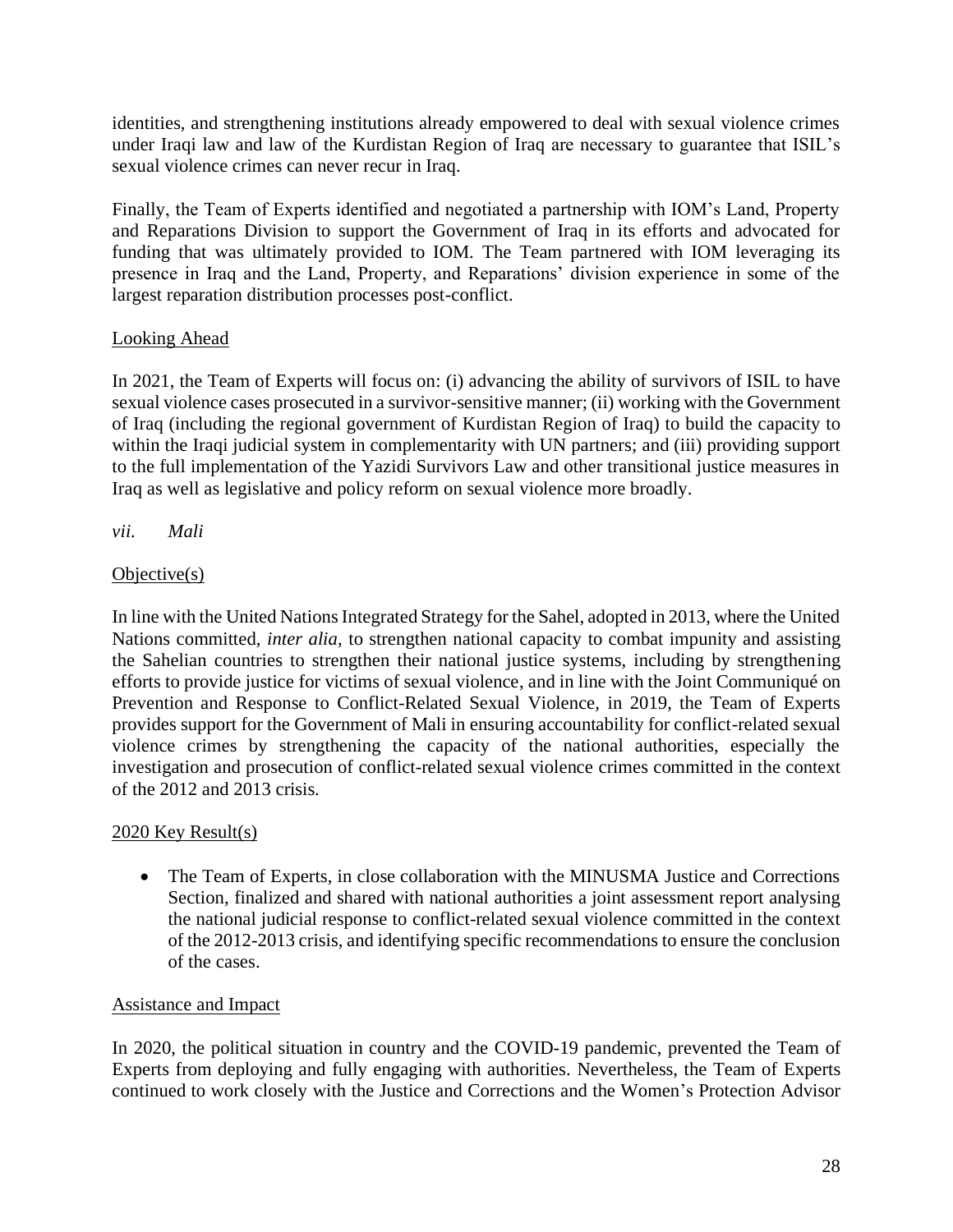identities, and strengthening institutions already empowered to deal with sexual violence crimes under Iraqi law and law of the Kurdistan Region of Iraq are necessary to guarantee that ISIL's sexual violence crimes can never recur in Iraq.

Finally, the Team of Experts identified and negotiated a partnership with IOM's Land, Property and Reparations Division to support the Government of Iraq in its efforts and advocated for funding that was ultimately provided to IOM. The Team partnered with IOM leveraging its presence in Iraq and the Land, Property, and Reparations' division experience in some of the largest reparation distribution processes post-conflict.

## Looking Ahead

In 2021, the Team of Experts will focus on: (i) advancing the ability of survivors of ISIL to have sexual violence cases prosecuted in a survivor-sensitive manner; (ii) working with the Government of Iraq (including the regional government of Kurdistan Region of Iraq) to build the capacity to within the Iraqi judicial system in complementarity with UN partners; and (iii) providing support to the full implementation of the Yazidi Survivors Law and other transitional justice measures in Iraq as well as legislative and policy reform on sexual violence more broadly.

*vii. Mali*

## Objective(s)

In line with the United Nations Integrated Strategy for the Sahel, adopted in 2013, where the United Nations committed, *inter alia*, to strengthen national capacity to combat impunity and assisting the Sahelian countries to strengthen their national justice systems, including by strengthening efforts to provide justice for victims of sexual violence, and in line with the Joint Communiqué on Prevention and Response to Conflict-Related Sexual Violence, in 2019, the Team of Experts provides support for the Government of Mali in ensuring accountability for conflict-related sexual violence crimes by strengthening the capacity of the national authorities, especially the investigation and prosecution of conflict-related sexual violence crimes committed in the context of the 2012 and 2013 crisis.

## 2020 Key Result(s)

• The Team of Experts, in close collaboration with the MINUSMA Justice and Corrections Section, finalized and shared with national authorities a joint assessment report analysing the national judicial response to conflict-related sexual violence committed in the context of the 2012-2013 crisis, and identifying specific recommendations to ensure the conclusion of the cases.

## Assistance and Impact

In 2020, the political situation in country and the COVID-19 pandemic, prevented the Team of Experts from deploying and fully engaging with authorities. Nevertheless, the Team of Experts continued to work closely with the Justice and Corrections and the Women's Protection Advisor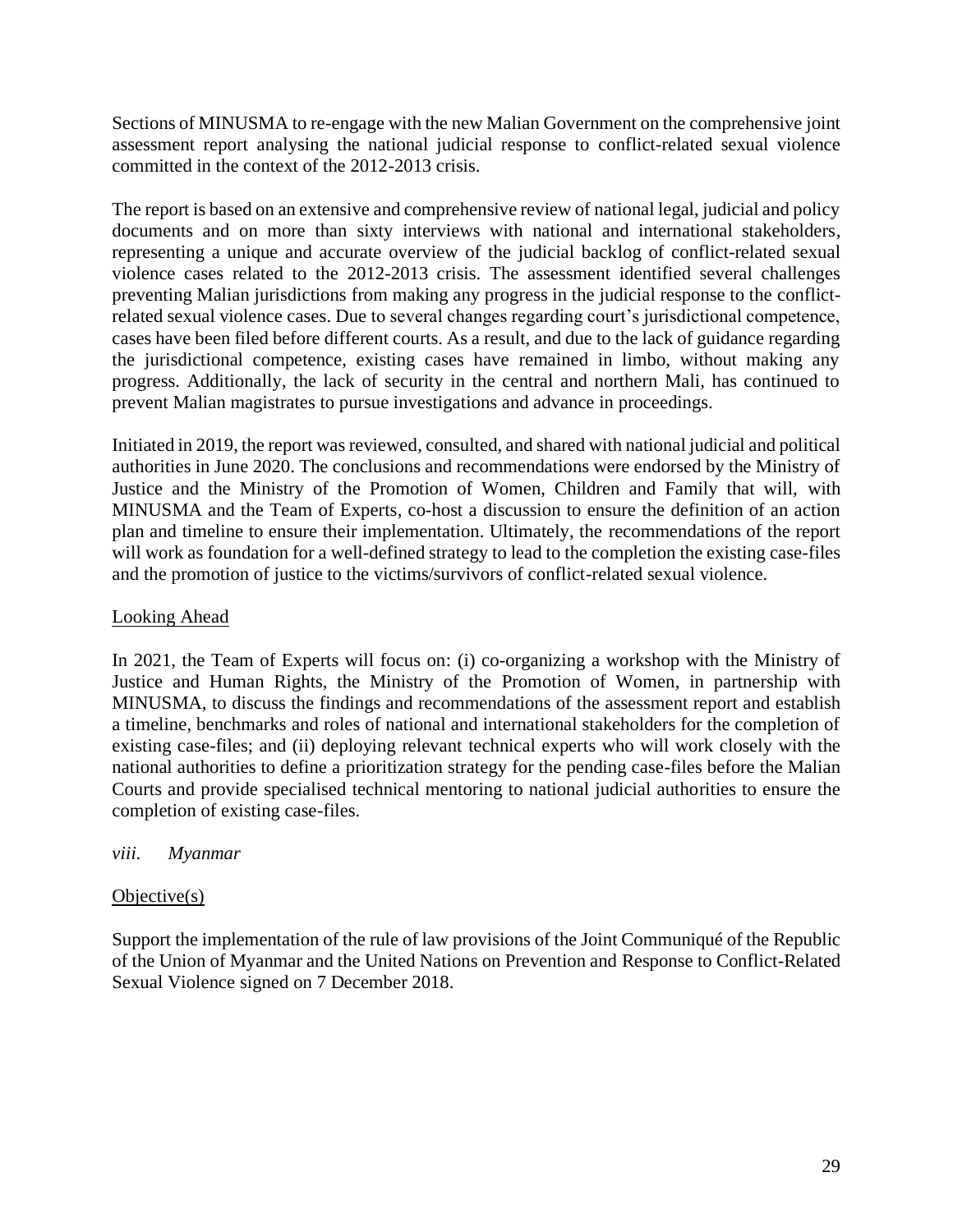Sections of MINUSMA to re-engage with the new Malian Government on the comprehensive joint assessment report analysing the national judicial response to conflict-related sexual violence committed in the context of the 2012-2013 crisis.

The report is based on an extensive and comprehensive review of national legal, judicial and policy documents and on more than sixty interviews with national and international stakeholders, representing a unique and accurate overview of the judicial backlog of conflict-related sexual violence cases related to the 2012-2013 crisis. The assessment identified several challenges preventing Malian jurisdictions from making any progress in the judicial response to the conflictrelated sexual violence cases. Due to several changes regarding court's jurisdictional competence, cases have been filed before different courts. As a result, and due to the lack of guidance regarding the jurisdictional competence, existing cases have remained in limbo, without making any progress. Additionally, the lack of security in the central and northern Mali, has continued to prevent Malian magistrates to pursue investigations and advance in proceedings.

Initiated in 2019, the report was reviewed, consulted, and shared with national judicial and political authorities in June 2020. The conclusions and recommendations were endorsed by the Ministry of Justice and the Ministry of the Promotion of Women, Children and Family that will, with MINUSMA and the Team of Experts, co-host a discussion to ensure the definition of an action plan and timeline to ensure their implementation. Ultimately, the recommendations of the report will work as foundation for a well-defined strategy to lead to the completion the existing case-files and the promotion of justice to the victims/survivors of conflict-related sexual violence.

## Looking Ahead

In 2021, the Team of Experts will focus on: (i) co-organizing a workshop with the Ministry of Justice and Human Rights, the Ministry of the Promotion of Women, in partnership with MINUSMA, to discuss the findings and recommendations of the assessment report and establish a timeline, benchmarks and roles of national and international stakeholders for the completion of existing case-files; and (ii) deploying relevant technical experts who will work closely with the national authorities to define a prioritization strategy for the pending case-files before the Malian Courts and provide specialised technical mentoring to national judicial authorities to ensure the completion of existing case-files.

## *viii. Myanmar*

## Objective(s)

Support the implementation of the rule of law provisions of the Joint Communiqué of the Republic of the Union of Myanmar and the United Nations on Prevention and Response to Conflict-Related Sexual Violence signed on 7 December 2018.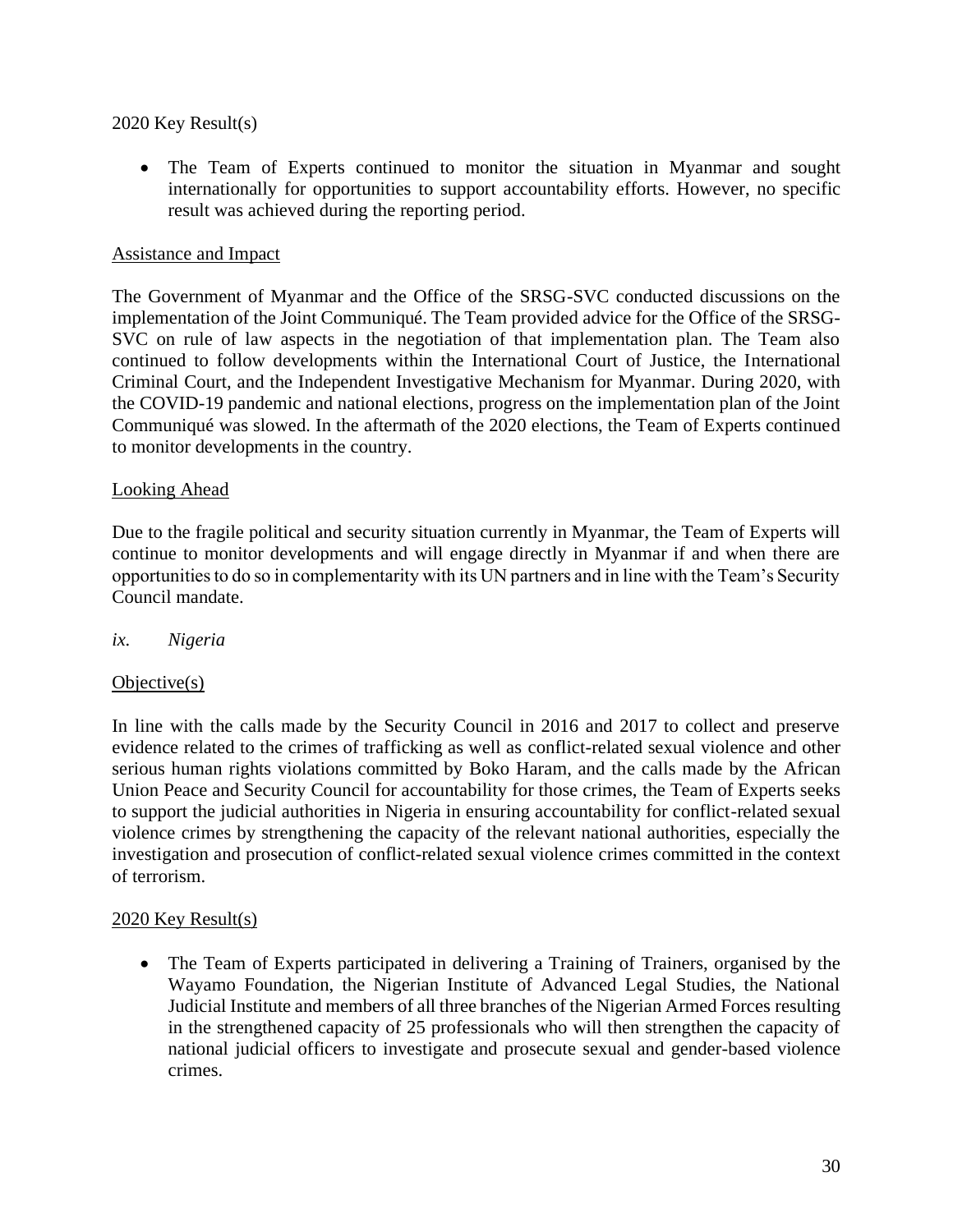### 2020 Key Result(s)

• The Team of Experts continued to monitor the situation in Myanmar and sought internationally for opportunities to support accountability efforts. However, no specific result was achieved during the reporting period.

### Assistance and Impact

The Government of Myanmar and the Office of the SRSG-SVC conducted discussions on the implementation of the Joint Communiqué. The Team provided advice for the Office of the SRSG-SVC on rule of law aspects in the negotiation of that implementation plan. The Team also continued to follow developments within the International Court of Justice, the International Criminal Court, and the Independent Investigative Mechanism for Myanmar. During 2020, with the COVID-19 pandemic and national elections, progress on the implementation plan of the Joint Communiqué was slowed. In the aftermath of the 2020 elections, the Team of Experts continued to monitor developments in the country.

#### Looking Ahead

Due to the fragile political and security situation currently in Myanmar, the Team of Experts will continue to monitor developments and will engage directly in Myanmar if and when there are opportunities to do so in complementarity with its UN partners and in line with the Team's Security Council mandate.

#### *ix. Nigeria*

## Objective(s)

In line with the calls made by the Security Council in 2016 and 2017 to collect and preserve evidence related to the crimes of trafficking as well as conflict-related sexual violence and other serious human rights violations committed by Boko Haram, and the calls made by the African Union Peace and Security Council for accountability for those crimes, the Team of Experts seeks to support the judicial authorities in Nigeria in ensuring accountability for conflict-related sexual violence crimes by strengthening the capacity of the relevant national authorities, especially the investigation and prosecution of conflict-related sexual violence crimes committed in the context of terrorism.

#### 2020 Key Result(s)

• The Team of Experts participated in delivering a Training of Trainers, organised by the Wayamo Foundation, the Nigerian Institute of Advanced Legal Studies, the National Judicial Institute and members of all three branches of the Nigerian Armed Forces resulting in the strengthened capacity of 25 professionals who will then strengthen the capacity of national judicial officers to investigate and prosecute sexual and gender-based violence crimes.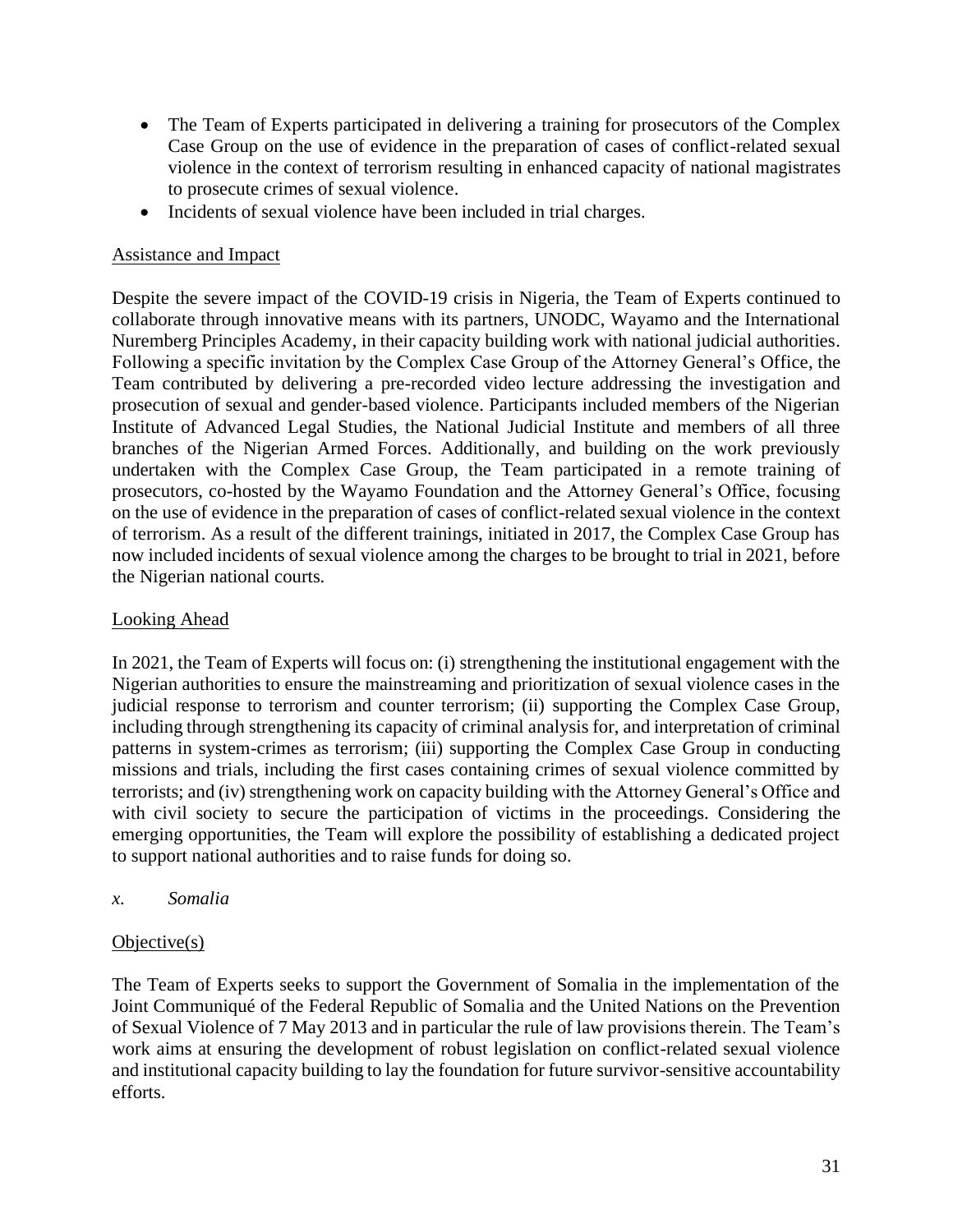- The Team of Experts participated in delivering a training for prosecutors of the Complex Case Group on the use of evidence in the preparation of cases of conflict-related sexual violence in the context of terrorism resulting in enhanced capacity of national magistrates to prosecute crimes of sexual violence.
- Incidents of sexual violence have been included in trial charges.

## Assistance and Impact

Despite the severe impact of the COVID-19 crisis in Nigeria, the Team of Experts continued to collaborate through innovative means with its partners, UNODC, Wayamo and the International Nuremberg Principles Academy, in their capacity building work with national judicial authorities. Following a specific invitation by the Complex Case Group of the Attorney General's Office, the Team contributed by delivering a pre-recorded video lecture addressing the investigation and prosecution of sexual and gender-based violence. Participants included members of the Nigerian Institute of Advanced Legal Studies, the National Judicial Institute and members of all three branches of the Nigerian Armed Forces. Additionally, and building on the work previously undertaken with the Complex Case Group, the Team participated in a remote training of prosecutors, co-hosted by the Wayamo Foundation and the Attorney General's Office, focusing on the use of evidence in the preparation of cases of conflict-related sexual violence in the context of terrorism. As a result of the different trainings, initiated in 2017, the Complex Case Group has now included incidents of sexual violence among the charges to be brought to trial in 2021, before the Nigerian national courts.

## Looking Ahead

In 2021, the Team of Experts will focus on: (i) strengthening the institutional engagement with the Nigerian authorities to ensure the mainstreaming and prioritization of sexual violence cases in the judicial response to terrorism and counter terrorism; (ii) supporting the Complex Case Group, including through strengthening its capacity of criminal analysis for, and interpretation of criminal patterns in system-crimes as terrorism; (iii) supporting the Complex Case Group in conducting missions and trials, including the first cases containing crimes of sexual violence committed by terrorists; and (iv) strengthening work on capacity building with the Attorney General's Office and with civil society to secure the participation of victims in the proceedings. Considering the emerging opportunities, the Team will explore the possibility of establishing a dedicated project to support national authorities and to raise funds for doing so.

*x. Somalia*

## Objective(s)

The Team of Experts seeks to support the Government of Somalia in the implementation of the Joint Communiqué of the Federal Republic of Somalia and the United Nations on the Prevention of Sexual Violence of 7 May 2013 and in particular the rule of law provisions therein. The Team's work aims at ensuring the development of robust legislation on conflict-related sexual violence and institutional capacity building to lay the foundation for future survivor-sensitive accountability efforts.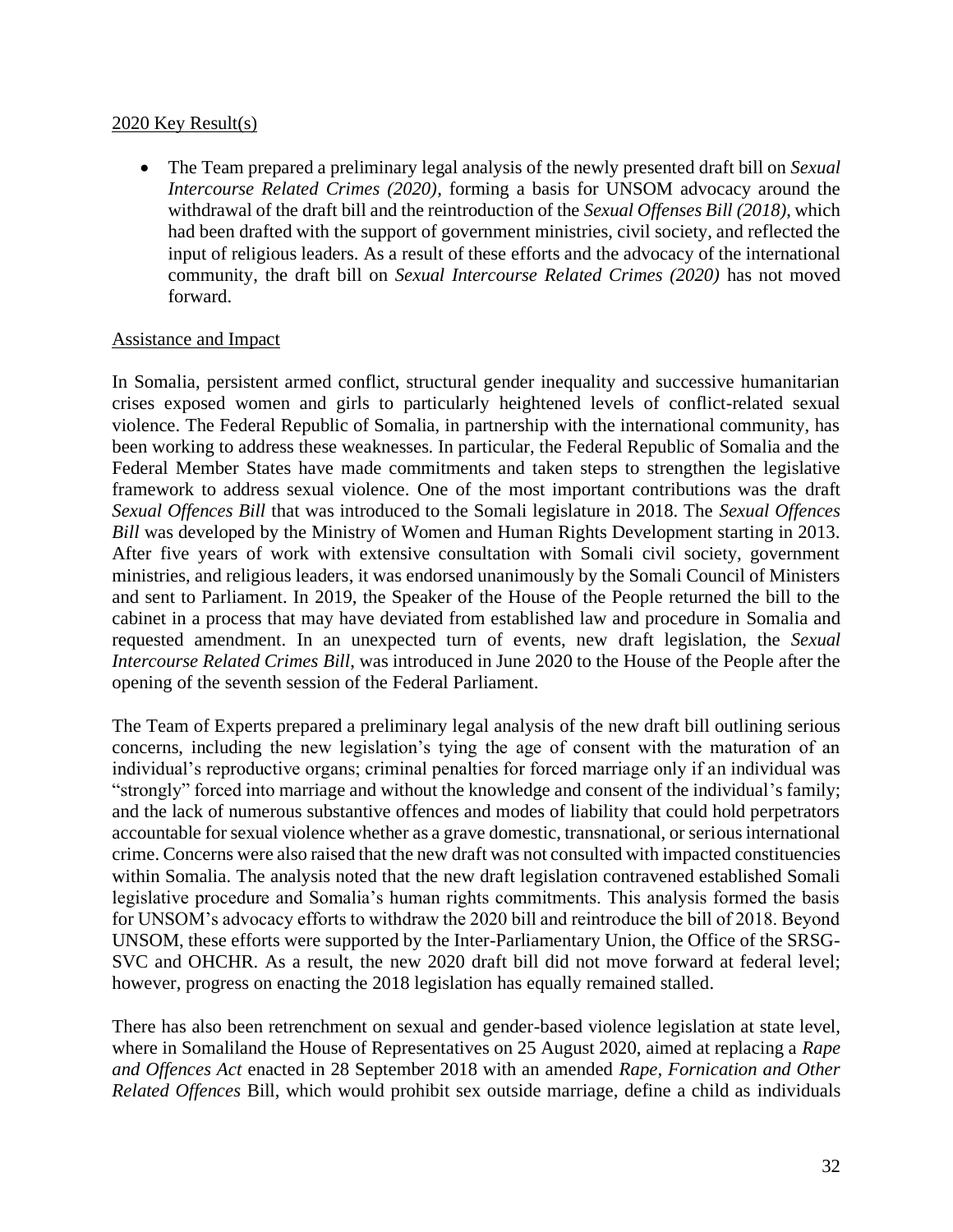#### 2020 Key Result(s)

• The Team prepared a preliminary legal analysis of the newly presented draft bill on *Sexual Intercourse Related Crimes (2020),* forming a basis for UNSOM advocacy around the withdrawal of the draft bill and the reintroduction of the *Sexual Offenses Bill (2018)*, which had been drafted with the support of government ministries, civil society, and reflected the input of religious leaders. As a result of these efforts and the advocacy of the international community, the draft bill on *Sexual Intercourse Related Crimes (2020)* has not moved forward.

### Assistance and Impact

In Somalia, persistent armed conflict, structural gender inequality and successive humanitarian crises exposed women and girls to particularly heightened levels of conflict-related sexual violence. The Federal Republic of Somalia, in partnership with the international community, has been working to address these weaknesses. In particular, the Federal Republic of Somalia and the Federal Member States have made commitments and taken steps to strengthen the legislative framework to address sexual violence. One of the most important contributions was the draft *Sexual Offences Bill* that was introduced to the Somali legislature in 2018. The *Sexual Offences Bill* was developed by the Ministry of Women and Human Rights Development starting in 2013. After five years of work with extensive consultation with Somali civil society, government ministries, and religious leaders, it was endorsed unanimously by the Somali Council of Ministers and sent to Parliament. In 2019, the Speaker of the House of the People returned the bill to the cabinet in a process that may have deviated from established law and procedure in Somalia and requested amendment. In an unexpected turn of events, new draft legislation, the *Sexual Intercourse Related Crimes Bill*, was introduced in June 2020 to the House of the People after the opening of the seventh session of the Federal Parliament.

The Team of Experts prepared a preliminary legal analysis of the new draft bill outlining serious concerns, including the new legislation's tying the age of consent with the maturation of an individual's reproductive organs; criminal penalties for forced marriage only if an individual was "strongly" forced into marriage and without the knowledge and consent of the individual's family; and the lack of numerous substantive offences and modes of liability that could hold perpetrators accountable for sexual violence whether as a grave domestic, transnational, or serious international crime. Concerns were also raised that the new draft was not consulted with impacted constituencies within Somalia. The analysis noted that the new draft legislation contravened established Somali legislative procedure and Somalia's human rights commitments. This analysis formed the basis for UNSOM's advocacy efforts to withdraw the 2020 bill and reintroduce the bill of 2018. Beyond UNSOM, these efforts were supported by the Inter-Parliamentary Union, the Office of the SRSG-SVC and OHCHR. As a result, the new 2020 draft bill did not move forward at federal level; however, progress on enacting the 2018 legislation has equally remained stalled.

There has also been retrenchment on sexual and gender-based violence legislation at state level, where in Somaliland the House of Representatives on 25 August 2020, aimed at replacing a *Rape and Offences Act* enacted in 28 September 2018 with an amended *Rape, Fornication and Other Related Offences* Bill, which would prohibit sex outside marriage, define a child as individuals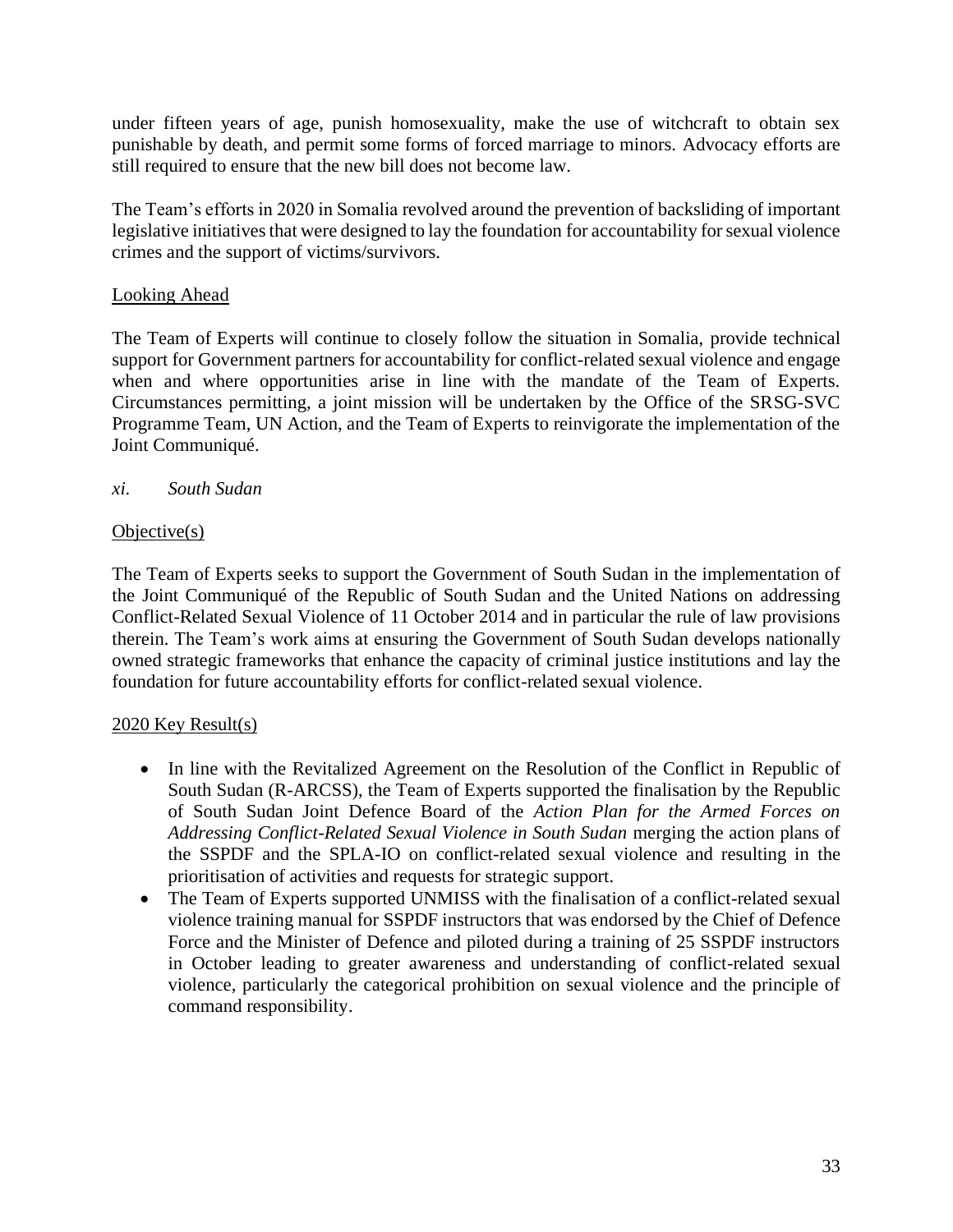under fifteen years of age, punish homosexuality, make the use of witchcraft to obtain sex punishable by death, and permit some forms of forced marriage to minors. Advocacy efforts are still required to ensure that the new bill does not become law.

The Team's efforts in 2020 in Somalia revolved around the prevention of backsliding of important legislative initiatives that were designed to lay the foundation for accountability for sexual violence crimes and the support of victims/survivors.

## Looking Ahead

The Team of Experts will continue to closely follow the situation in Somalia, provide technical support for Government partners for accountability for conflict-related sexual violence and engage when and where opportunities arise in line with the mandate of the Team of Experts. Circumstances permitting, a joint mission will be undertaken by the Office of the SRSG-SVC Programme Team, UN Action, and the Team of Experts to reinvigorate the implementation of the Joint Communiqué.

## *xi. South Sudan*

## Objective(s)

The Team of Experts seeks to support the Government of South Sudan in the implementation of the Joint Communiqué of the Republic of South Sudan and the United Nations on addressing Conflict-Related Sexual Violence of 11 October 2014 and in particular the rule of law provisions therein. The Team's work aims at ensuring the Government of South Sudan develops nationally owned strategic frameworks that enhance the capacity of criminal justice institutions and lay the foundation for future accountability efforts for conflict-related sexual violence.

## 2020 Key Result(s)

- In line with the Revitalized Agreement on the Resolution of the Conflict in Republic of South Sudan (R-ARCSS), the Team of Experts supported the finalisation by the Republic of South Sudan Joint Defence Board of the *Action Plan for the Armed Forces on Addressing Conflict-Related Sexual Violence in South Sudan* merging the action plans of the SSPDF and the SPLA-IO on conflict-related sexual violence and resulting in the prioritisation of activities and requests for strategic support.
- The Team of Experts supported UNMISS with the finalisation of a conflict-related sexual violence training manual for SSPDF instructors that was endorsed by the Chief of Defence Force and the Minister of Defence and piloted during a training of 25 SSPDF instructors in October leading to greater awareness and understanding of conflict-related sexual violence, particularly the categorical prohibition on sexual violence and the principle of command responsibility.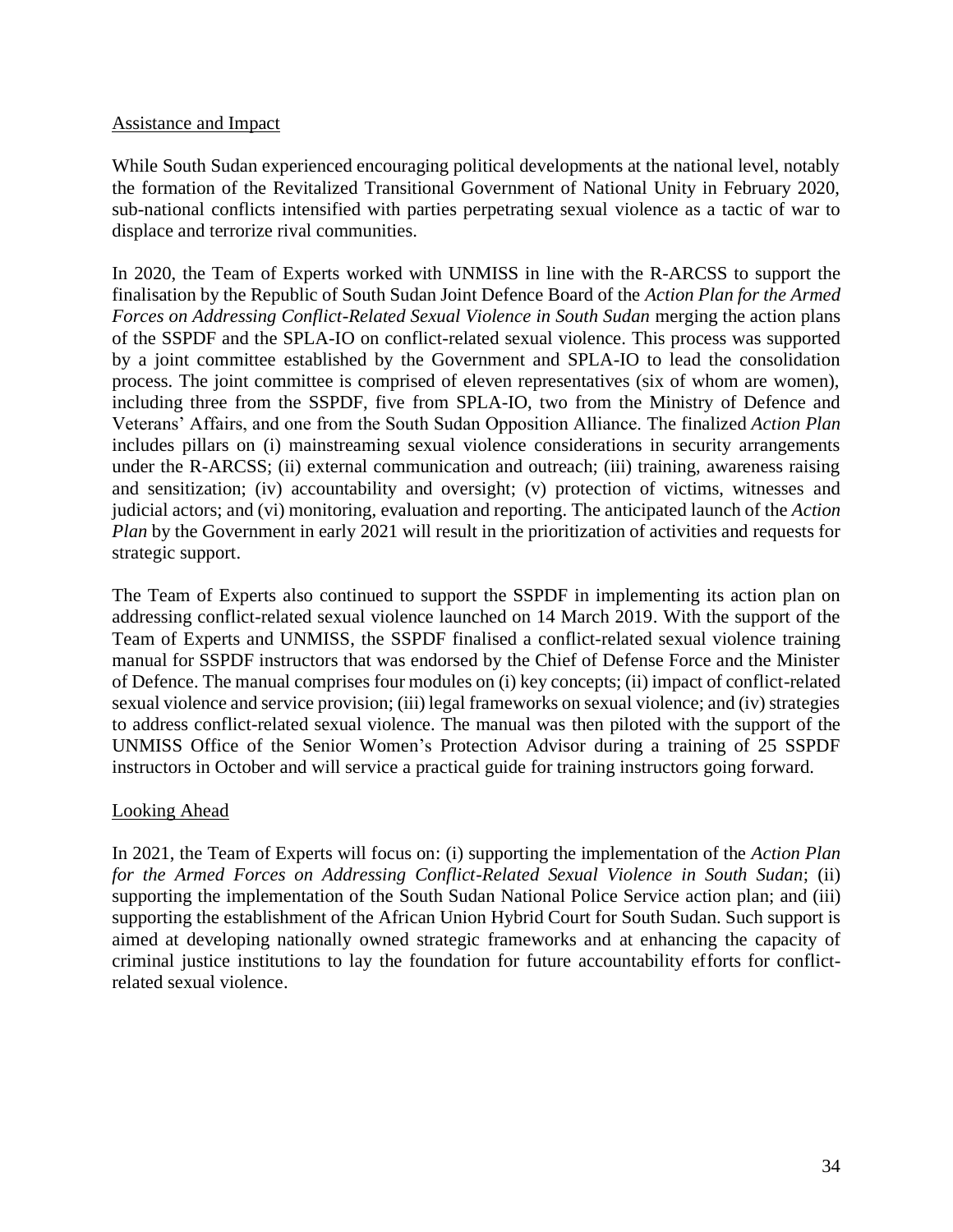#### Assistance and Impact

While South Sudan experienced encouraging political developments at the national level, notably the formation of the Revitalized Transitional Government of National Unity in February 2020, sub-national conflicts intensified with parties perpetrating sexual violence as a tactic of war to displace and terrorize rival communities.

In 2020, the Team of Experts worked with UNMISS in line with the R-ARCSS to support the finalisation by the Republic of South Sudan Joint Defence Board of the *Action Plan for the Armed Forces on Addressing Conflict-Related Sexual Violence in South Sudan* merging the action plans of the SSPDF and the SPLA-IO on conflict-related sexual violence. This process was supported by a joint committee established by the Government and SPLA-IO to lead the consolidation process. The joint committee is comprised of eleven representatives (six of whom are women), including three from the SSPDF, five from SPLA-IO, two from the Ministry of Defence and Veterans' Affairs, and one from the South Sudan Opposition Alliance. The finalized *Action Plan* includes pillars on (i) mainstreaming sexual violence considerations in security arrangements under the R-ARCSS; (ii) external communication and outreach; (iii) training, awareness raising and sensitization; (iv) accountability and oversight; (v) protection of victims, witnesses and judicial actors; and (vi) monitoring, evaluation and reporting. The anticipated launch of the *Action Plan* by the Government in early 2021 will result in the prioritization of activities and requests for strategic support.

The Team of Experts also continued to support the SSPDF in implementing its action plan on addressing conflict-related sexual violence launched on 14 March 2019. With the support of the Team of Experts and UNMISS, the SSPDF finalised a conflict-related sexual violence training manual for SSPDF instructors that was endorsed by the Chief of Defense Force and the Minister of Defence. The manual comprises four modules on (i) key concepts; (ii) impact of conflict-related sexual violence and service provision; (iii) legal frameworks on sexual violence; and (iv) strategies to address conflict-related sexual violence. The manual was then piloted with the support of the UNMISS Office of the Senior Women's Protection Advisor during a training of 25 SSPDF instructors in October and will service a practical guide for training instructors going forward.

## Looking Ahead

In 2021, the Team of Experts will focus on: (i) supporting the implementation of the *Action Plan for the Armed Forces on Addressing Conflict-Related Sexual Violence in South Sudan*; (ii) supporting the implementation of the South Sudan National Police Service action plan; and (iii) supporting the establishment of the African Union Hybrid Court for South Sudan. Such support is aimed at developing nationally owned strategic frameworks and at enhancing the capacity of criminal justice institutions to lay the foundation for future accountability efforts for conflictrelated sexual violence.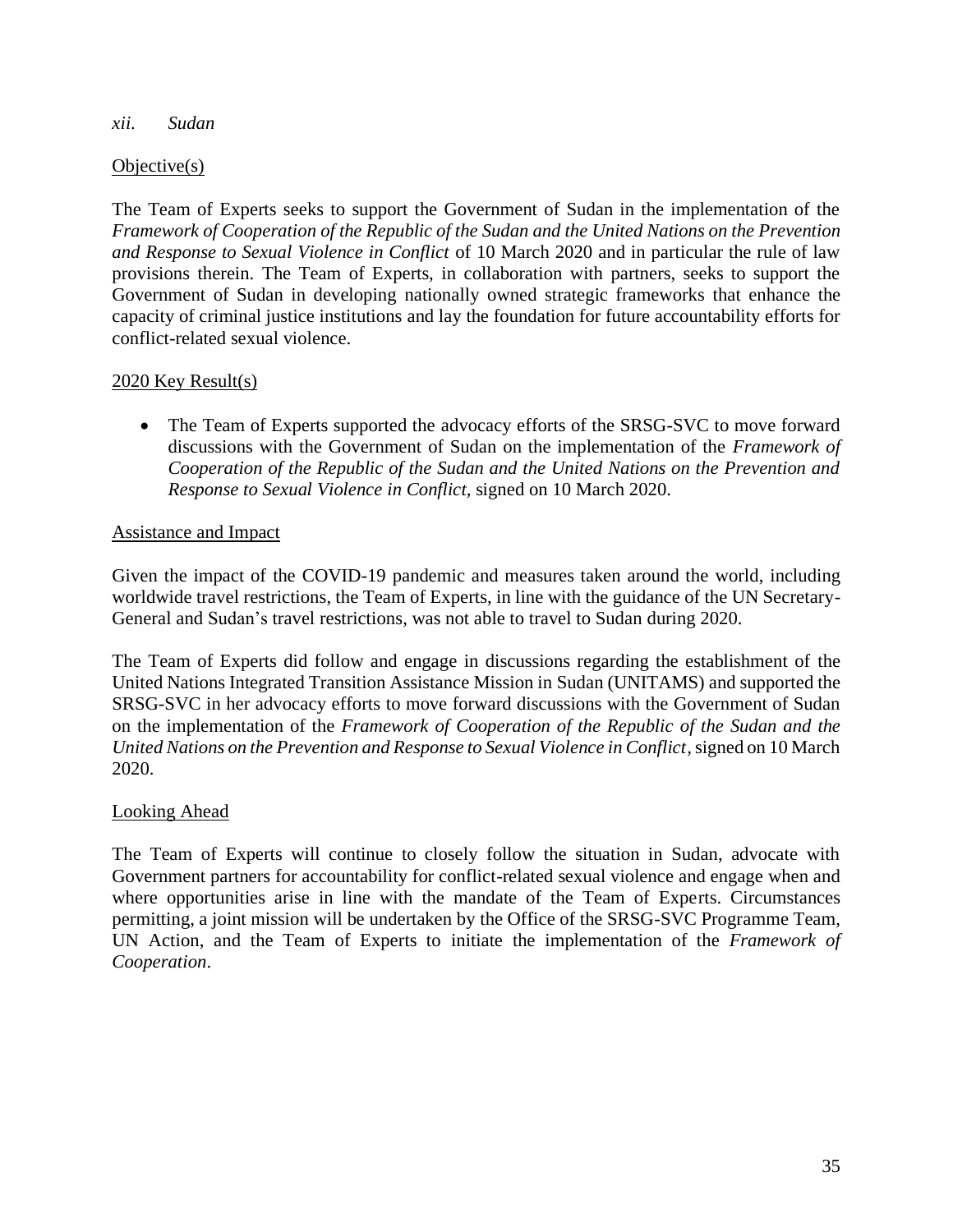#### *xii. Sudan*

### Objective(s)

The Team of Experts seeks to support the Government of Sudan in the implementation of the *Framework of Cooperation of the Republic of the Sudan and the United Nations on the Prevention and Response to Sexual Violence in Conflict* of 10 March 2020 and in particular the rule of law provisions therein. The Team of Experts, in collaboration with partners, seeks to support the Government of Sudan in developing nationally owned strategic frameworks that enhance the capacity of criminal justice institutions and lay the foundation for future accountability efforts for conflict-related sexual violence.

### 2020 Key Result(s)

• The Team of Experts supported the advocacy efforts of the SRSG-SVC to move forward discussions with the Government of Sudan on the implementation of the *Framework of Cooperation of the Republic of the Sudan and the United Nations on the Prevention and Response to Sexual Violence in Conflict,* signed on 10 March 2020.

#### Assistance and Impact

Given the impact of the COVID-19 pandemic and measures taken around the world, including worldwide travel restrictions, the Team of Experts, in line with the guidance of the UN Secretary-General and Sudan's travel restrictions, was not able to travel to Sudan during 2020.

The Team of Experts did follow and engage in discussions regarding the establishment of the United Nations Integrated Transition Assistance Mission in Sudan (UNITAMS) and supported the SRSG-SVC in her advocacy efforts to move forward discussions with the Government of Sudan on the implementation of the *Framework of Cooperation of the Republic of the Sudan and the United Nations on the Prevention and Response to Sexual Violence in Conflict,*signed on 10 March 2020.

#### Looking Ahead

The Team of Experts will continue to closely follow the situation in Sudan, advocate with Government partners for accountability for conflict-related sexual violence and engage when and where opportunities arise in line with the mandate of the Team of Experts. Circumstances permitting, a joint mission will be undertaken by the Office of the SRSG-SVC Programme Team, UN Action, and the Team of Experts to initiate the implementation of the *Framework of Cooperation*.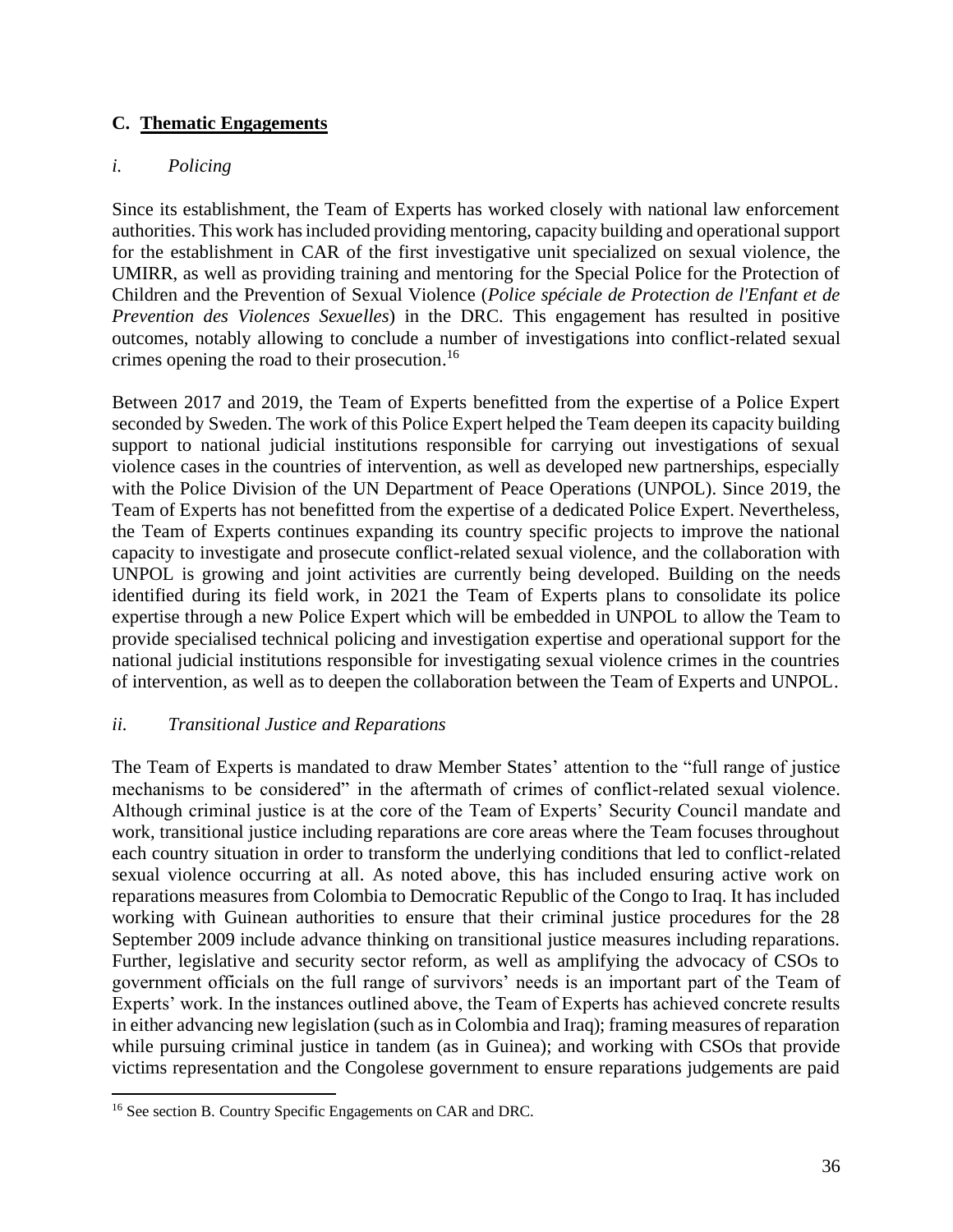## <span id="page-35-0"></span>**C. Thematic Engagements**

## *i. Policing*

Since its establishment, the Team of Experts has worked closely with national law enforcement authorities. This work has included providing mentoring, capacity building and operational support for the establishment in CAR of the first investigative unit specialized on sexual violence, the UMIRR, as well as providing training and mentoring for the Special Police for the Protection of Children and the Prevention of Sexual Violence (*Police spéciale de Protection de l'Enfant et de Prevention des Violences Sexuelles*) in the DRC. This engagement has resulted in positive outcomes, notably allowing to conclude a number of investigations into conflict-related sexual crimes opening the road to their prosecution. 16

Between 2017 and 2019, the Team of Experts benefitted from the expertise of a Police Expert seconded by Sweden. The work of this Police Expert helped the Team deepen its capacity building support to national judicial institutions responsible for carrying out investigations of sexual violence cases in the countries of intervention, as well as developed new partnerships, especially with the Police Division of the UN Department of Peace Operations (UNPOL). Since 2019, the Team of Experts has not benefitted from the expertise of a dedicated Police Expert. Nevertheless, the Team of Experts continues expanding its country specific projects to improve the national capacity to investigate and prosecute conflict-related sexual violence, and the collaboration with UNPOL is growing and joint activities are currently being developed. Building on the needs identified during its field work, in 2021 the Team of Experts plans to consolidate its police expertise through a new Police Expert which will be embedded in UNPOL to allow the Team to provide specialised technical policing and investigation expertise and operational support for the national judicial institutions responsible for investigating sexual violence crimes in the countries of intervention, as well as to deepen the collaboration between the Team of Experts and UNPOL.

## *ii. Transitional Justice and Reparations*

The Team of Experts is mandated to draw Member States' attention to the "full range of justice mechanisms to be considered" in the aftermath of crimes of conflict-related sexual violence. Although criminal justice is at the core of the Team of Experts' Security Council mandate and work, transitional justice including reparations are core areas where the Team focuses throughout each country situation in order to transform the underlying conditions that led to conflict-related sexual violence occurring at all. As noted above, this has included ensuring active work on reparations measures from Colombia to Democratic Republic of the Congo to Iraq. It has included working with Guinean authorities to ensure that their criminal justice procedures for the 28 September 2009 include advance thinking on transitional justice measures including reparations. Further, legislative and security sector reform, as well as amplifying the advocacy of CSOs to government officials on the full range of survivors' needs is an important part of the Team of Experts' work. In the instances outlined above, the Team of Experts has achieved concrete results in either advancing new legislation (such as in Colombia and Iraq); framing measures of reparation while pursuing criminal justice in tandem (as in Guinea); and working with CSOs that provide victims representation and the Congolese government to ensure reparations judgements are paid

<sup>&</sup>lt;sup>16</sup> See section B[. Country Specific Engagements](#page-15-0) on CAR and DRC.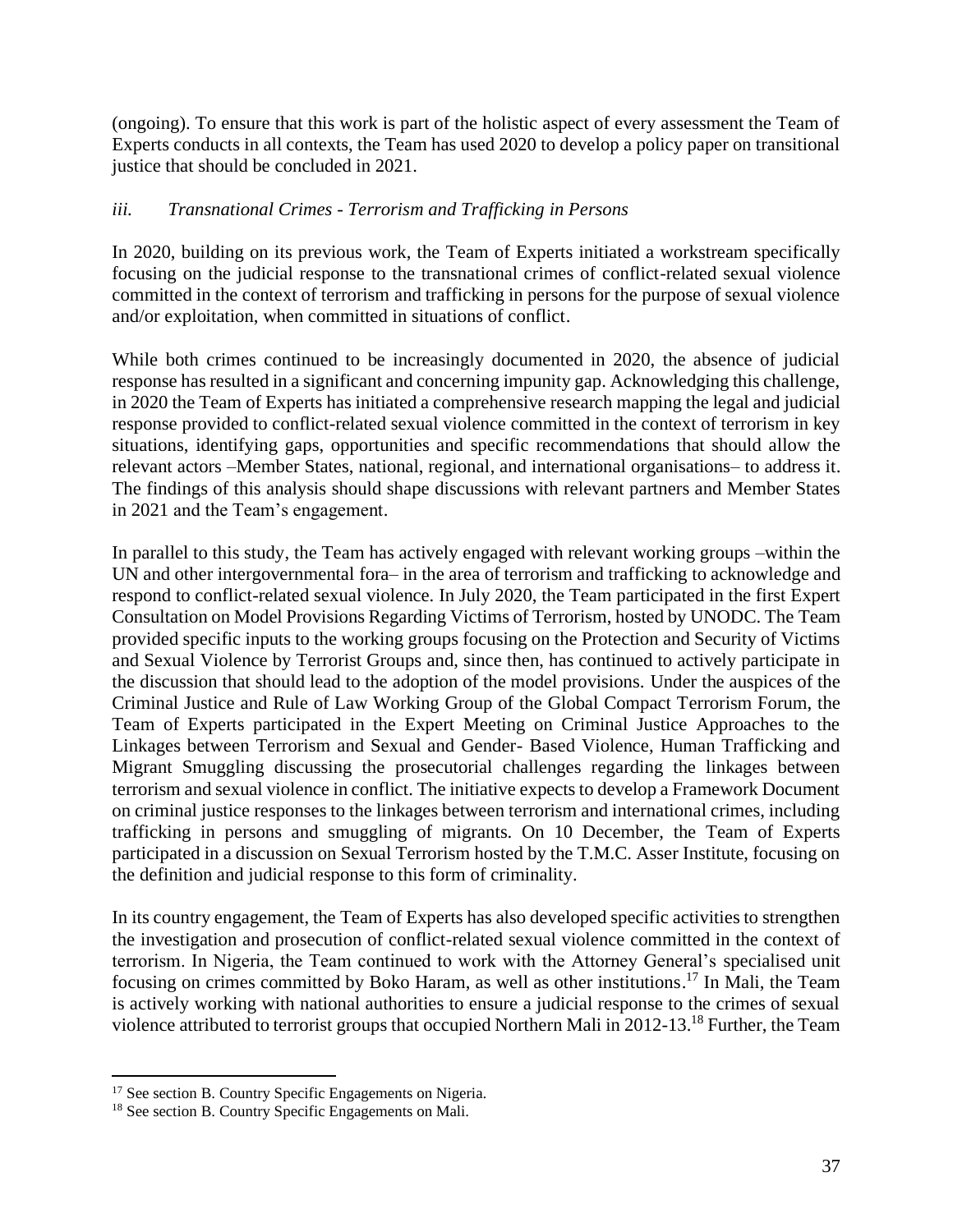(ongoing). To ensure that this work is part of the holistic aspect of every assessment the Team of Experts conducts in all contexts, the Team has used 2020 to develop a policy paper on transitional justice that should be concluded in 2021.

### *iii. Transnational Crimes - Terrorism and Trafficking in Persons*

In 2020, building on its previous work, the Team of Experts initiated a workstream specifically focusing on the judicial response to the transnational crimes of conflict-related sexual violence committed in the context of terrorism and trafficking in persons for the purpose of sexual violence and/or exploitation, when committed in situations of conflict.

While both crimes continued to be increasingly documented in 2020, the absence of judicial response has resulted in a significant and concerning impunity gap. Acknowledging this challenge, in 2020 the Team of Experts has initiated a comprehensive research mapping the legal and judicial response provided to conflict-related sexual violence committed in the context of terrorism in key situations, identifying gaps, opportunities and specific recommendations that should allow the relevant actors –Member States, national, regional, and international organisations– to address it. The findings of this analysis should shape discussions with relevant partners and Member States in 2021 and the Team's engagement.

In parallel to this study, the Team has actively engaged with relevant working groups –within the UN and other intergovernmental fora– in the area of terrorism and trafficking to acknowledge and respond to conflict-related sexual violence. In July 2020, the Team participated in the first Expert Consultation on Model Provisions Regarding Victims of Terrorism, hosted by UNODC. The Team provided specific inputs to the working groups focusing on the Protection and Security of Victims and Sexual Violence by Terrorist Groups and, since then, has continued to actively participate in the discussion that should lead to the adoption of the model provisions. Under the auspices of the Criminal Justice and Rule of Law Working Group of the Global Compact Terrorism Forum, the Team of Experts participated in the Expert Meeting on Criminal Justice Approaches to the Linkages between Terrorism and Sexual and Gender- Based Violence, Human Trafficking and Migrant Smuggling discussing the prosecutorial challenges regarding the linkages between terrorism and sexual violence in conflict. The initiative expects to develop a Framework Document on criminal justice responses to the linkages between terrorism and international crimes, including trafficking in persons and smuggling of migrants. On 10 December, the Team of Experts participated in a discussion on Sexual Terrorism hosted by the T.M.C. Asser Institute, focusing on the definition and judicial response to this form of criminality.

In its country engagement, the Team of Experts has also developed specific activities to strengthen the investigation and prosecution of conflict-related sexual violence committed in the context of terrorism. In Nigeria, the Team continued to work with the Attorney General's specialised unit focusing on crimes committed by Boko Haram, as well as other institutions.<sup>17</sup> In Mali, the Team is actively working with national authorities to ensure a judicial response to the crimes of sexual violence attributed to terrorist groups that occupied Northern Mali in 2012-13.<sup>18</sup> Further, the Team

<sup>&</sup>lt;sup>17</sup> See section [B. Country Specific Engagements](#page-15-0) on Nigeria.

<sup>&</sup>lt;sup>18</sup> See section [B. Country Specific Engagements](#page-15-0) on Mali.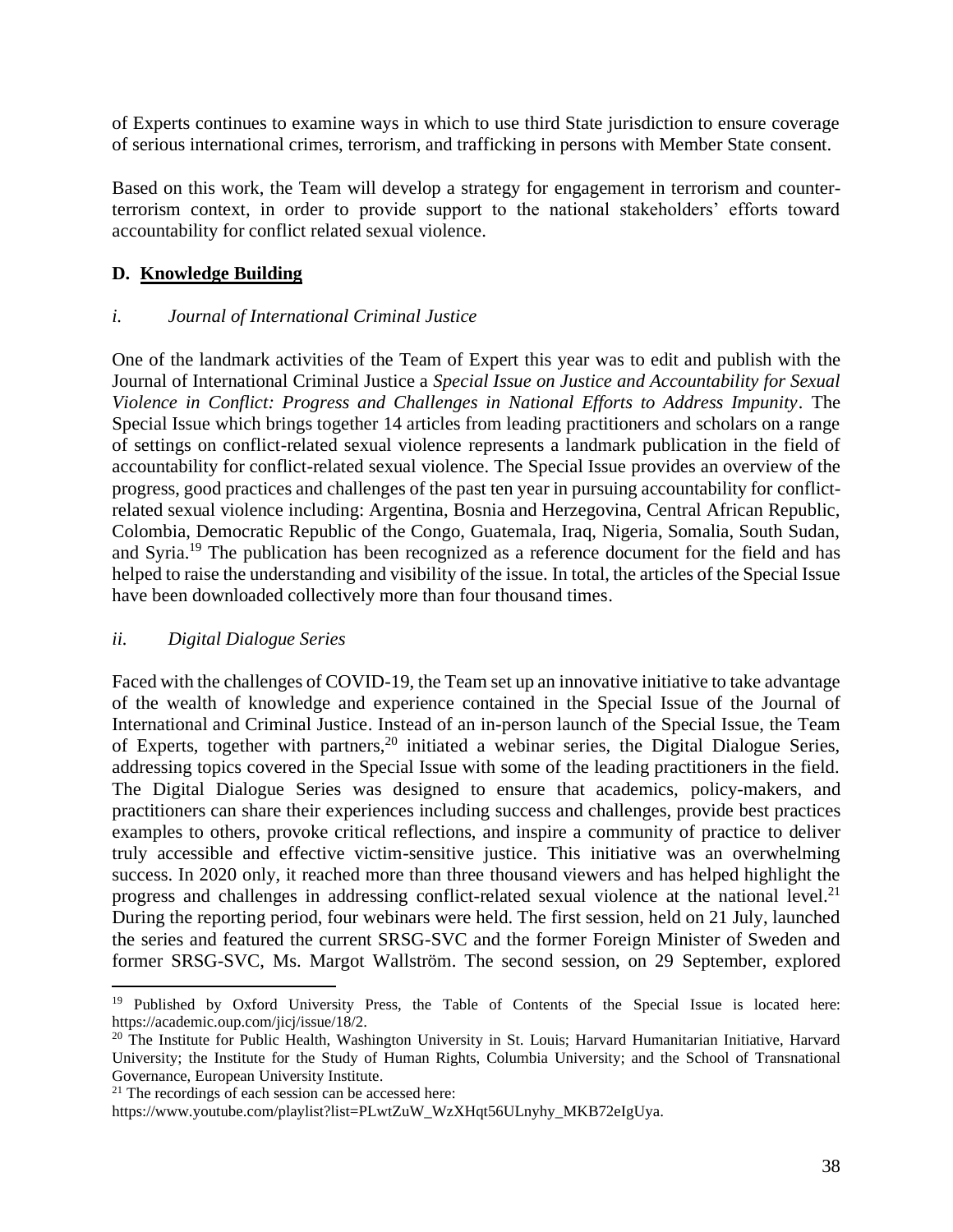of Experts continues to examine ways in which to use third State jurisdiction to ensure coverage of serious international crimes, terrorism, and trafficking in persons with Member State consent.

Based on this work, the Team will develop a strategy for engagement in terrorism and counterterrorism context, in order to provide support to the national stakeholders' efforts toward accountability for conflict related sexual violence.

## <span id="page-37-0"></span>**D. Knowledge Building**

## *i. Journal of International Criminal Justice*

One of the landmark activities of the Team of Expert this year was to edit and publish with the Journal of International Criminal Justice a *Special Issue on Justice and Accountability for Sexual Violence in Conflict: Progress and Challenges in National Efforts to Address Impunity.* The Special Issue which brings together 14 articles from leading practitioners and scholars on a range of settings on conflict-related sexual violence represents a landmark publication in the field of accountability for conflict-related sexual violence. The Special Issue provides an overview of the progress, good practices and challenges of the past ten year in pursuing accountability for conflictrelated sexual violence including: Argentina, Bosnia and Herzegovina, Central African Republic, Colombia, Democratic Republic of the Congo, Guatemala, Iraq, Nigeria, Somalia, South Sudan, and Syria.<sup>19</sup> The publication has been recognized as a reference document for the field and has helped to raise the understanding and visibility of the issue. In total, the articles of the Special Issue have been downloaded collectively more than four thousand times.

## *ii. Digital Dialogue Series*

Faced with the challenges of COVID-19, the Team set up an innovative initiative to take advantage of the wealth of knowledge and experience contained in the Special Issue of the Journal of International and Criminal Justice. Instead of an in-person launch of the Special Issue, the Team of Experts, together with partners,  $20$  initiated a webinar series, the Digital Dialogue Series, addressing topics covered in the Special Issue with some of the leading practitioners in the field. The Digital Dialogue Series was designed to ensure that academics, policy-makers, and practitioners can share their experiences including success and challenges, provide best practices examples to others, provoke critical reflections, and inspire a community of practice to deliver truly accessible and effective victim-sensitive justice. This initiative was an overwhelming success. In 2020 only, it reached more than three thousand viewers and has helped highlight the progress and challenges in addressing conflict-related sexual violence at the national level.<sup>21</sup> During the reporting period, four webinars were held. The first session, held on 21 July, launched the series and featured the current SRSG-SVC and the former Foreign Minister of Sweden and former SRSG-SVC, Ms. Margot Wallström. The second session, on 29 September, explored

<sup>&</sup>lt;sup>19</sup> Published by Oxford University Press, the Table of Contents of the Special Issue is located here: https://academic.oup.com/jicj/issue/18/2.

<sup>&</sup>lt;sup>20</sup> The Institute for Public Health, Washington University in St. Louis; Harvard Humanitarian Initiative, Harvard University; the Institute for the Study of Human Rights, Columbia University; and the School of Transnational Governance, European University Institute.

 $21$  The recordings of each session can be accessed here:

https://www.youtube.com/playlist?list=PLwtZuW\_WzXHqt56ULnyhy\_MKB72eIgUya.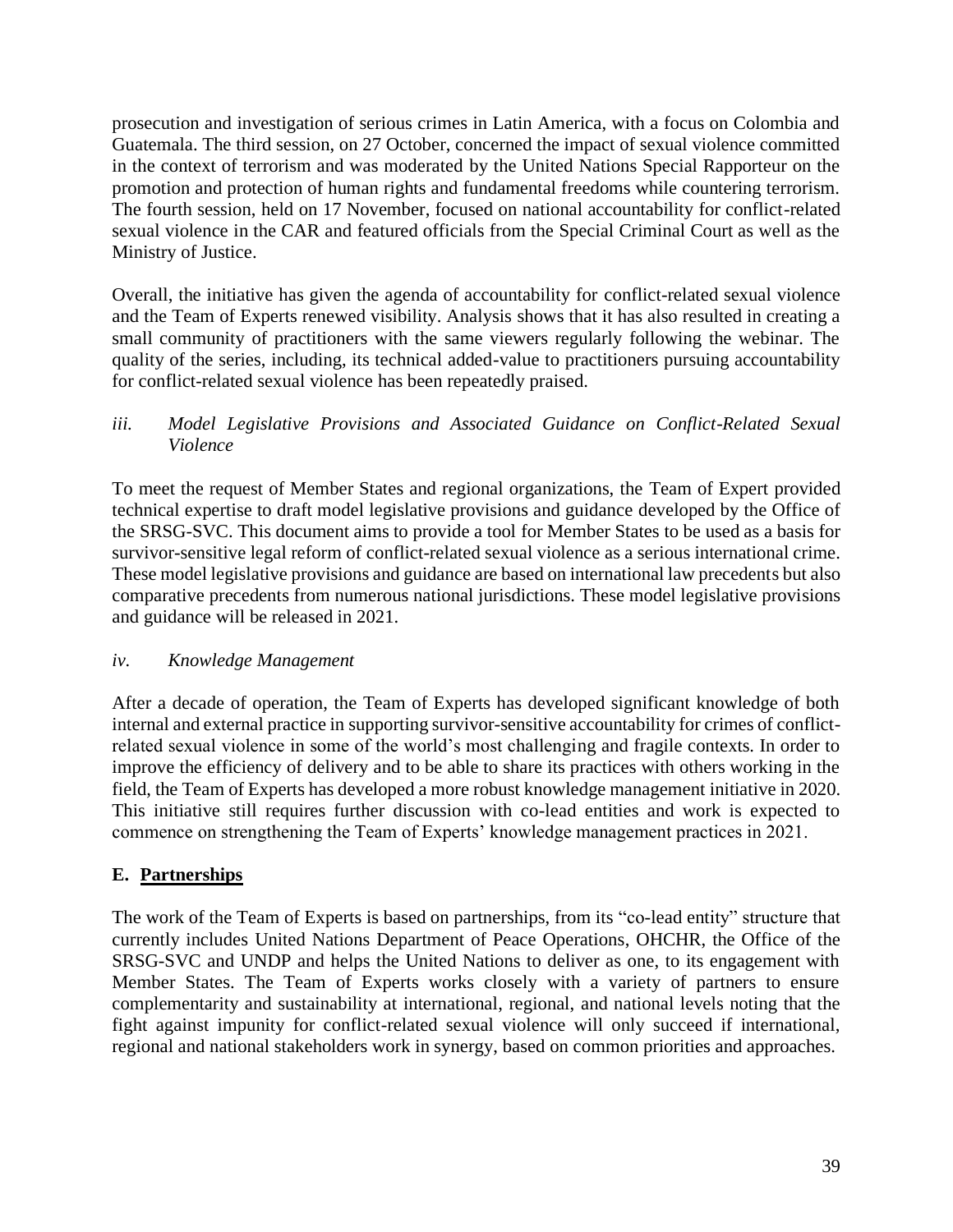prosecution and investigation of serious crimes in Latin America, with a focus on Colombia and Guatemala. The third session, on 27 October, concerned the impact of sexual violence committed in the context of terrorism and was moderated by the United Nations Special Rapporteur on the promotion and protection of human rights and fundamental freedoms while countering terrorism. The fourth session, held on 17 November, focused on national accountability for conflict-related sexual violence in the CAR and featured officials from the Special Criminal Court as well as the Ministry of Justice.

Overall, the initiative has given the agenda of accountability for conflict-related sexual violence and the Team of Experts renewed visibility. Analysis shows that it has also resulted in creating a small community of practitioners with the same viewers regularly following the webinar. The quality of the series, including, its technical added-value to practitioners pursuing accountability for conflict-related sexual violence has been repeatedly praised.

### *iii. Model Legislative Provisions and Associated Guidance on Conflict-Related Sexual Violence*

To meet the request of Member States and regional organizations, the Team of Expert provided technical expertise to draft model legislative provisions and guidance developed by the Office of the SRSG-SVC. This document aims to provide a tool for Member States to be used as a basis for survivor-sensitive legal reform of conflict-related sexual violence as a serious international crime. These model legislative provisions and guidance are based on international law precedents but also comparative precedents from numerous national jurisdictions. These model legislative provisions and guidance will be released in 2021.

## *iv. Knowledge Management*

After a decade of operation, the Team of Experts has developed significant knowledge of both internal and external practice in supporting survivor-sensitive accountability for crimes of conflictrelated sexual violence in some of the world's most challenging and fragile contexts. In order to improve the efficiency of delivery and to be able to share its practices with others working in the field, the Team of Experts has developed a more robust knowledge management initiative in 2020. This initiative still requires further discussion with co-lead entities and work is expected to commence on strengthening the Team of Experts' knowledge management practices in 2021.

## <span id="page-38-0"></span>**E. Partnerships**

The work of the Team of Experts is based on partnerships, from its "co-lead entity" structure that currently includes United Nations Department of Peace Operations, OHCHR, the Office of the SRSG-SVC and UNDP and helps the United Nations to deliver as one, to its engagement with Member States. The Team of Experts works closely with a variety of partners to ensure complementarity and sustainability at international, regional, and national levels noting that the fight against impunity for conflict-related sexual violence will only succeed if international, regional and national stakeholders work in synergy, based on common priorities and approaches.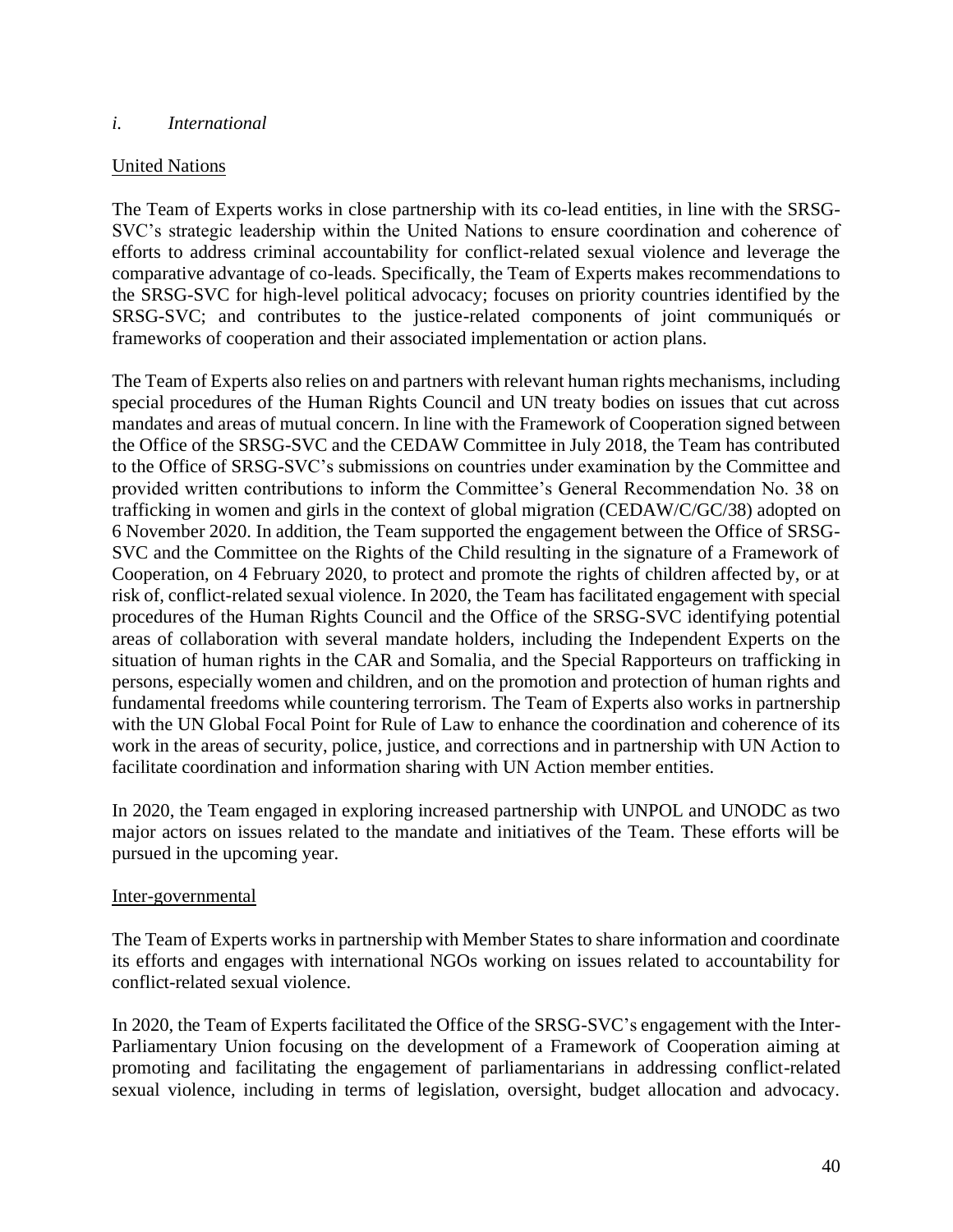#### *i. International*

### United Nations

The Team of Experts works in close partnership with its co-lead entities, in line with the SRSG-SVC's strategic leadership within the United Nations to ensure coordination and coherence of efforts to address criminal accountability for conflict-related sexual violence and leverage the comparative advantage of co-leads. Specifically, the Team of Experts makes recommendations to the SRSG-SVC for high-level political advocacy; focuses on priority countries identified by the SRSG-SVC; and contributes to the justice-related components of joint communiqués or frameworks of cooperation and their associated implementation or action plans.

The Team of Experts also relies on and partners with relevant human rights mechanisms, including special procedures of the Human Rights Council and UN treaty bodies on issues that cut across mandates and areas of mutual concern. In line with the Framework of Cooperation signed between the Office of the SRSG-SVC and the CEDAW Committee in July 2018, the Team has contributed to the Office of SRSG-SVC's submissions on countries under examination by the Committee and provided written contributions to inform the Committee's General Recommendation No. 38 on trafficking in women and girls in the context of global migration (CEDAW/C/GC/38) adopted on 6 November 2020. In addition, the Team supported the engagement between the Office of SRSG-SVC and the Committee on the Rights of the Child resulting in the signature of a Framework of Cooperation, on 4 February 2020, to protect and promote the rights of children affected by, or at risk of, conflict-related sexual violence. In 2020, the Team has facilitated engagement with special procedures of the Human Rights Council and the Office of the SRSG-SVC identifying potential areas of collaboration with several mandate holders, including the Independent Experts on the situation of human rights in the CAR and Somalia, and the Special Rapporteurs on trafficking in persons, especially women and children, and on the promotion and protection of human rights and fundamental freedoms while countering terrorism. The Team of Experts also works in partnership with the UN Global Focal Point for Rule of Law to enhance the coordination and coherence of its work in the areas of security, police, justice, and corrections and in partnership with UN Action to facilitate coordination and information sharing with UN Action member entities.

In 2020, the Team engaged in exploring increased partnership with UNPOL and UNODC as two major actors on issues related to the mandate and initiatives of the Team. These efforts will be pursued in the upcoming year.

#### Inter-governmental

The Team of Experts works in partnership with Member States to share information and coordinate its efforts and engages with international NGOs working on issues related to accountability for conflict-related sexual violence.

In 2020, the Team of Experts facilitated the Office of the SRSG-SVC's engagement with the Inter-Parliamentary Union focusing on the development of a Framework of Cooperation aiming at promoting and facilitating the engagement of parliamentarians in addressing conflict-related sexual violence, including in terms of legislation, oversight, budget allocation and advocacy.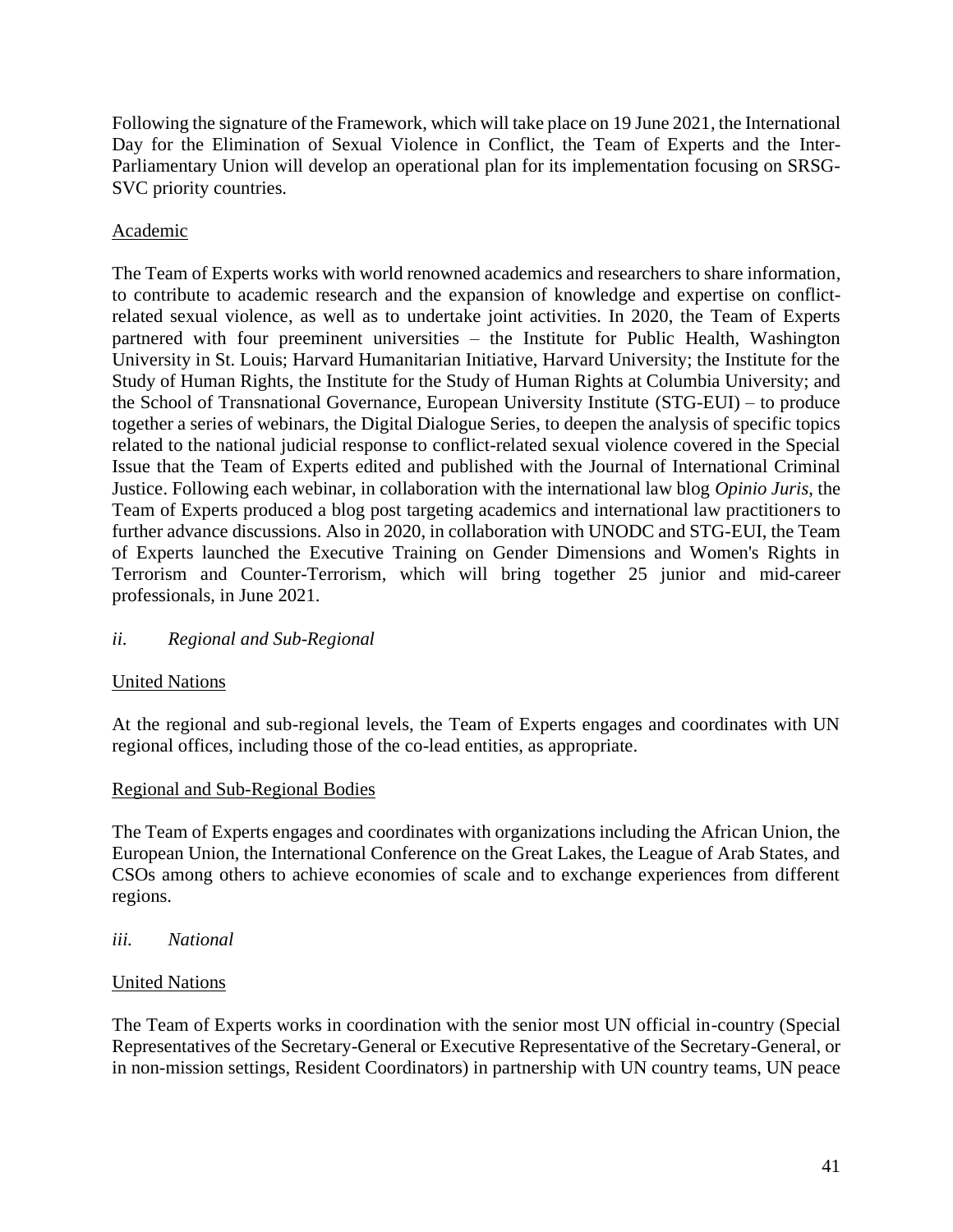Following the signature of the Framework, which will take place on 19 June 2021, the International Day for the Elimination of Sexual Violence in Conflict, the Team of Experts and the Inter-Parliamentary Union will develop an operational plan for its implementation focusing on SRSG-SVC priority countries.

## Academic

The Team of Experts works with world renowned academics and researchers to share information, to contribute to academic research and the expansion of knowledge and expertise on conflictrelated sexual violence, as well as to undertake joint activities. In 2020, the Team of Experts partnered with four preeminent universities – the Institute for Public Health, Washington University in St. Louis; Harvard Humanitarian Initiative, Harvard University; the Institute for the Study of Human Rights, the Institute for the Study of Human Rights at Columbia University; and the School of Transnational Governance, European University Institute (STG-EUI) – to produce together a series of webinars, the Digital Dialogue Series, to deepen the analysis of specific topics related to the national judicial response to conflict-related sexual violence covered in the Special Issue that the Team of Experts edited and published with the Journal of International Criminal Justice. Following each webinar, in collaboration with the international law blog *Opinio Juris*, the Team of Experts produced a blog post targeting academics and international law practitioners to further advance discussions. Also in 2020, in collaboration with UNODC and STG-EUI, the Team of Experts launched the Executive Training on Gender Dimensions and Women's Rights in Terrorism and Counter-Terrorism, which will bring together 25 junior and mid-career professionals, in June 2021.

## *ii. Regional and Sub-Regional*

## United Nations

At the regional and sub-regional levels, the Team of Experts engages and coordinates with UN regional offices, including those of the co-lead entities, as appropriate.

## Regional and Sub-Regional Bodies

The Team of Experts engages and coordinates with organizations including the African Union, the European Union, the International Conference on the Great Lakes, the League of Arab States, and CSOs among others to achieve economies of scale and to exchange experiences from different regions.

*iii. National*

## United Nations

The Team of Experts works in coordination with the senior most UN official in-country (Special Representatives of the Secretary-General or Executive Representative of the Secretary-General, or in non-mission settings, Resident Coordinators) in partnership with UN country teams, UN peace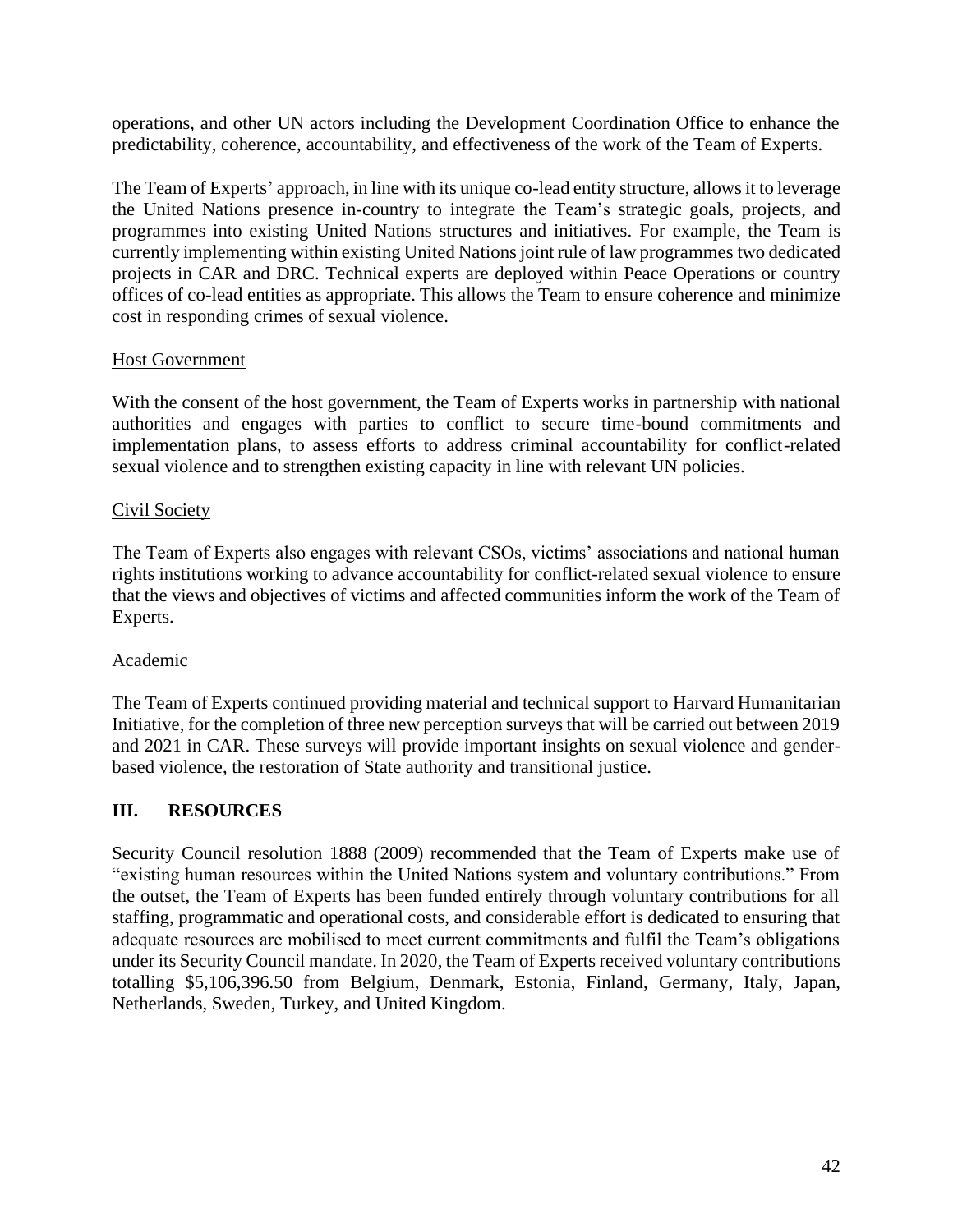operations, and other UN actors including the Development Coordination Office to enhance the predictability, coherence, accountability, and effectiveness of the work of the Team of Experts.

The Team of Experts' approach, in line with its unique co-lead entity structure, allows it to leverage the United Nations presence in-country to integrate the Team's strategic goals, projects, and programmes into existing United Nations structures and initiatives. For example, the Team is currently implementing within existing United Nations joint rule of law programmes two dedicated projects in CAR and DRC. Technical experts are deployed within Peace Operations or country offices of co-lead entities as appropriate. This allows the Team to ensure coherence and minimize cost in responding crimes of sexual violence.

### Host Government

With the consent of the host government, the Team of Experts works in partnership with national authorities and engages with parties to conflict to secure time-bound commitments and implementation plans, to assess efforts to address criminal accountability for conflict-related sexual violence and to strengthen existing capacity in line with relevant UN policies.

#### Civil Society

The Team of Experts also engages with relevant CSOs, victims' associations and national human rights institutions working to advance accountability for conflict-related sexual violence to ensure that the views and objectives of victims and affected communities inform the work of the Team of Experts.

#### Academic

The Team of Experts continued providing material and technical support to Harvard Humanitarian Initiative, for the completion of three new perception surveys that will be carried out between 2019 and 2021 in CAR. These surveys will provide important insights on sexual violence and genderbased violence, the restoration of State authority and transitional justice.

## <span id="page-41-0"></span>**III. RESOURCES**

Security Council resolution 1888 (2009) recommended that the Team of Experts make use of "existing human resources within the United Nations system and voluntary contributions." From the outset, the Team of Experts has been funded entirely through voluntary contributions for all staffing, programmatic and operational costs, and considerable effort is dedicated to ensuring that adequate resources are mobilised to meet current commitments and fulfil the Team's obligations under its Security Council mandate. In 2020, the Team of Experts received voluntary contributions totalling \$5,106,396.50 from Belgium, Denmark, Estonia, Finland, Germany, Italy, Japan, Netherlands, Sweden, Turkey, and United Kingdom.